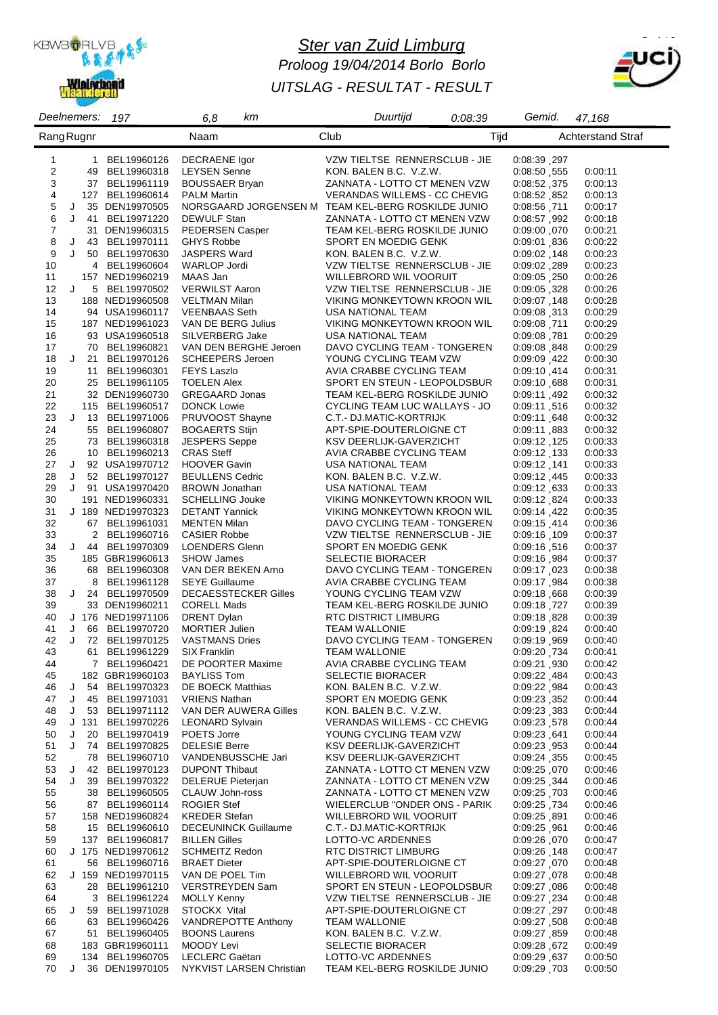

# *Ster van Zuid Limburg Proloog 19/04/2014 Borlo Borlo UITSLAG - RESULTAT - RESULT*



| Deelnemers:          | 197                                  | 6,8<br>kт                                    | Duurtijd<br>0.08:39                                         | Gemid.<br>47,168                                 |
|----------------------|--------------------------------------|----------------------------------------------|-------------------------------------------------------------|--------------------------------------------------|
| Rang Rugnr           |                                      | Naam                                         | Club<br>Tijd                                                | <b>Achterstand Straf</b>                         |
|                      |                                      |                                              |                                                             |                                                  |
| $\mathbf{1}$         | 1 BEL19960126                        | <b>DECRAENE</b> Igor                         | VZW TIELTSE RENNERSCLUB - JIE                               | 0:08:39,297                                      |
| 2<br>49              | BEL19960318                          | <b>LEYSEN Senne</b>                          | KON. BALEN B.C. V.Z.W.                                      | 0.08:50 555<br>0:00:11                           |
| 3                    | 37 BEL19961119                       | <b>BOUSSAER Bryan</b>                        | ZANNATA - LOTTO CT MENEN VZW                                | 0:08:52,375<br>0:00:13                           |
| 4                    | 127 BEL19960614                      | <b>PALM Martin</b>                           | <b>VERANDAS WILLEMS - CC CHEVIG</b>                         | 0:08:52,852<br>0:00:13                           |
| 5<br>J               | 35 DEN19970505                       |                                              | NORSGAARD JORGENSEN M TEAM KEL-BERG ROSKILDE JUNIO          | 0.08:56 711<br>0:00:17                           |
| 6<br>J<br>41         | BEL19971220                          | DEWULF Stan                                  | ZANNATA - LOTTO CT MENEN VZW                                | 0.08:57,992<br>0:00:18                           |
| $\boldsymbol{7}$     | 31 DEN19960315                       | PEDERSEN Casper                              | TEAM KEL-BERG ROSKILDE JUNIO                                | 0:09:00,070<br>0:00:21                           |
| 8<br>J               | 43 BEL19970111                       | <b>GHYS Robbe</b>                            | SPORT EN MOEDIG GENK                                        | 0.09:01,836<br>0:00:22                           |
| 9<br>J               | 50 BEL19970630                       | <b>JASPERS Ward</b>                          | KON. BALEN B.C. V.Z.W.                                      | 0.09:02,148<br>0:00:23                           |
| 10                   | 4 BEL19960604                        | <b>WARLOP Jordi</b>                          | VZW TIELTSE RENNERSCLUB - JIE                               | 0:09:02, 289<br>0:00:23                          |
| 11                   | 157 NED19960219                      | MAAS Jan                                     | WILLEBRORD WIL VOORUIT                                      | 0:09:05, 0:09:05<br>0:00:26                      |
| 12<br>J              | 5 BEL19970502                        | <b>VERWILST Aaron</b>                        | VZW TIELTSE RENNERSCLUB - JIE                               | 0.09:05, 328<br>0:00:26                          |
| 13                   | 188 NED19960508                      | VELTMAN Milan                                | VIKING MONKEYTOWN KROON WIL                                 | 0:09:07, 148<br>0:00:28                          |
| 14                   | 94 USA19960117                       | <b>VEENBAAS Seth</b>                         | USA NATIONAL TEAM                                           | 0:09:08.313<br>0:00:29                           |
| 15                   | 187 NED19961023                      | VAN DE BERG Julius                           | VIKING MONKEYTOWN KROON WIL                                 | 0:09:08,711<br>0:00:29                           |
| 16                   | 93 USA19960518                       | SILVERBERG Jake                              | USA NATIONAL TEAM                                           | 0:09:08.781<br>0:00:29                           |
| 17                   | 70 BEL19960821                       | VAN DEN BERGHE Jeroen                        | DAVO CYCLING TEAM - TONGEREN                                | 0:09:08, 848<br>0:00:29                          |
| 18<br>J              | 21 BEL19970126                       | <b>SCHEEPERS Jeroen</b>                      | YOUNG CYCLING TEAM VZW                                      | 0:09:09,422<br>0:00:30                           |
| 19                   | 11 BEL19960301                       | <b>FEYS Laszlo</b>                           | AVIA CRABBE CYCLING TEAM                                    | 0.09.10,414<br>0:00:31                           |
| 20                   | 25 BEL19961105                       | <b>TOELEN Alex</b>                           | SPORT EN STEUN - LEOPOLDSBUR                                | 0.09:10,688<br>0:00:31                           |
| 21                   | 32 DEN19960730                       | <b>GREGAARD Jonas</b>                        | TEAM KEL-BERG ROSKILDE JUNIO                                | 0.09:11,492<br>0:00:32                           |
| 22                   | 115 BEL19960517                      | <b>DONCK Lowie</b>                           | CYCLING TEAM LUC WALLAYS - JO                               | 0:09:11,516<br>0:00:32                           |
| 23<br>J              | 13 BEL19971006                       | PRUVOOST Shayne                              | C.T.- DJ.MATIC-KORTRIJK                                     | 0.09:11,648<br>0:00:32                           |
| 24                   | 55 BEL19960807                       | <b>BOGAERTS Stijn</b>                        | APT-SPIE-DOUTERLOIGNE CT                                    | 0:09:11,883<br>0:00:32                           |
| 25                   | 73 BEL19960318                       | <b>JESPERS Seppe</b>                         | KSV DEERLIJK-GAVERZICHT                                     | 0.09:12,125<br>0:00:33                           |
| 26                   | 10 BEL19960213                       | <b>CRAS Steff</b>                            | AVIA CRABBE CYCLING TEAM                                    | 0:09:12, 133<br>0:00:33                          |
| 27<br>J              | 92 USA19970712                       | <b>HOOVER Gavin</b>                          | USA NATIONAL TEAM                                           | 0.09:12 141<br>0:00:33                           |
| 28<br>J              | 52 BEL19970127                       | <b>BEULLENS Cedric</b>                       | KON. BALEN B.C. V.Z.W.                                      | 0:09:12,445<br>0:00:33                           |
| 29<br>30             | J 91 USA19970420                     | <b>BROWN Jonathan</b>                        | USA NATIONAL TEAM                                           | 0.09.12 633<br>0:00:33                           |
|                      | 191 NED19960331<br>J 189 NED19970323 | <b>SCHELLING Jouke</b>                       | VIKING MONKEYTOWN KROON WIL                                 | 0.09:12,824<br>0:00:33                           |
| 31<br>32             | 67 BEL19961031                       | <b>DETANT Yannick</b><br><b>MENTEN Milan</b> | VIKING MONKEYTOWN KROON WIL<br>DAVO CYCLING TEAM - TONGEREN | 0.09:14,422<br>0:00:35<br>0:09:15,414<br>0:00:36 |
| 33<br>$\overline{2}$ | BEL19960716                          | <b>CASIER Robbe</b>                          | VZW TIELTSE RENNERSCLUB - JIE                               | 0.09:16, 109<br>0:00:37                          |
| 34                   | J 44 BEL19970309                     | LOENDERS Glenn                               | SPORT EN MOEDIG GENK                                        | 0:09:16, 0:09<br>0:00:37                         |
| 35                   | 185 GBR19960613                      | <b>SHOW James</b>                            | <b>SELECTIE BIORACER</b>                                    | 0.09.16,984<br>0:00:37                           |
| 36                   | 68 BEL19960308                       | VAN DER BEKEN Arno                           | DAVO CYCLING TEAM - TONGEREN                                | 0:09:17,023<br>0:00:38                           |
| 37<br>8              | BEL19961128                          | <b>SEYE Guillaume</b>                        | AVIA CRABBE CYCLING TEAM                                    | 0.09:17,984<br>0:00:38                           |
| 38<br>J              | 24 BEL19970509                       | <b>DECAESSTECKER Gilles</b>                  | YOUNG CYCLING TEAM VZW                                      | 0:09:18,668<br>0:00:39                           |
| 39                   | 33 DEN19960211                       | <b>CORELL Mads</b>                           | TEAM KEL-BERG ROSKILDE JUNIO                                | 0:09:18, 727<br>0:00:39                          |
| 40                   | J 176 NED19971106                    | DRENT Dylan                                  | RTC DISTRICT LIMBURG                                        | 0.09:18,828<br>0:00:39                           |
| 41<br>J              | 66 BEL19970720                       | <b>MORTIER Julien</b>                        | <b>TEAM WALLONIE</b>                                        | 0.09:19,824<br>0:00:40                           |
| 42                   | J 72 BEL19970125                     | <b>VASTMANS Dries</b>                        | DAVO CYCLING TEAM - TONGEREN                                | 0.09.19 ,969<br>0:00:40                          |
| 43                   | 61 BEL19961229                       | SIX Franklin                                 | <b>TEAM WALLONIE</b>                                        | 0:09:20,734<br>0:00:41                           |
| 44                   | 7 BEL19960421                        | DE POORTER Maxime                            | AVIA CRABBE CYCLING TEAM                                    | 0:09:21,930<br>0:00:42                           |
| 45                   | 182 GBR19960103 BAYLISS Tom          |                                              | <b>SELECTIE BIORACER</b>                                    | 0:09:22,484<br>0:00:43                           |
| 46<br>J              | 54 BEL19970323                       | DE BOECK Matthias                            | KON. BALEN B.C. V.Z.W.                                      | 0:09:22,984<br>0:00:43                           |
| 47<br>J              | 45 BEL19971031                       | <b>VRIENS Nathan</b>                         | SPORT EN MOEDIG GENK                                        | 0:09:23, 352<br>0:00:44                          |
| 48                   | J 53 BEL19971112                     | VAN DER AUWERA Gilles                        | KON. BALEN B.C. V.Z.W.                                      | 0:09:23,383<br>0:00:44                           |
| 49                   | J 131 BEL19970226                    | <b>LEONARD Sylvain</b>                       | <b>VERANDAS WILLEMS - CC CHEVIG</b>                         | 0:09:23,578<br>0:00:44                           |
| 50<br>J              | 20 BEL19970419                       | POETS Jorre                                  | YOUNG CYCLING TEAM VZW                                      | 0:09:23,641<br>0:00:44                           |
| 51<br>J              | 74 BEL19970825                       | <b>DELESIE Berre</b>                         | KSV DEERLIJK-GAVERZICHT                                     | 0:09:23,953<br>0:00:44                           |
| 52                   | 78 BEL19960710                       | VANDENBUSSCHE Jari                           | KSV DEERLIJK-GAVERZICHT                                     | 0.09:24, 355<br>0:00:45                          |
| 53<br>J              | 42 BEL19970123                       | <b>DUPONT Thibaut</b>                        | ZANNATA - LOTTO CT MENEN VZW                                | 0:09:25,070<br>0:00:46                           |
| 54<br>J              | 39 BEL19970322                       | <b>DELERUE Pieterjan</b>                     | ZANNATA - LOTTO CT MENEN VZW                                | 0:09:25, 344<br>0:00:46                          |
| 55                   | 38 BEL19960505                       | CLAUW John-ross                              | ZANNATA - LOTTO CT MENEN VZW                                | 0.09.25 703<br>0:00:46                           |
| 56                   | 87 BEL19960114                       | <b>ROGIER Stef</b>                           | WIELERCLUB "ONDER ONS - PARIK                               | 0:09:25, 734<br>0:00:46                          |
| 57                   | 158 NED19960824                      | <b>KREDER Stefan</b>                         | WILLEBRORD WIL VOORUIT                                      | 0.09.25 891<br>0:00:46                           |
| 58                   | 15 BEL19960610                       | <b>DECEUNINCK Guillaume</b>                  | C.T.- DJ.MATIC-KORTRIJK                                     | 0:09:25,961<br>0:00:46                           |
| 59                   | 137 BEL19960817                      | <b>BILLEN Gilles</b>                         | LOTTO-VC ARDENNES                                           | 0:09:26,070<br>0:00:47                           |
| 60                   | J 175 NED19970612                    | <b>SCHMEITZ Redon</b>                        | RTC DISTRICT LIMBURG                                        | 0:09:26, 148<br>0:00:47                          |
| 61                   | 56 BEL19960716                       | <b>BRAET Dieter</b>                          | APT-SPIE-DOUTERLOIGNE CT                                    | 0:09:27,070<br>0:00:48                           |
| 62                   | J 159 NED19970115                    | VAN DE POEL Tim                              | WILLEBRORD WIL VOORUIT                                      | 0:09:27,078<br>0:00:48                           |
| 63                   | 28 BEL19961210                       | VERSTREYDEN Sam                              | SPORT EN STEUN - LEOPOLDSBUR                                | 0.09:27,086<br>0:00:48                           |
| 64                   | 3 BEL19961224                        | <b>MOLLY Kenny</b>                           | VZW TIELTSE RENNERSCLUB - JIE                               | 0:09:27, 234<br>0:00:48                          |
| 65<br>J<br>59        | BEL19971028                          | STOCKX Vital                                 | APT-SPIE-DOUTERLOIGNE CT                                    | 0:09:27,297<br>0:00:48                           |
| 66                   | 63 BEL19960426                       | <b>VANDREPOTTE Anthony</b>                   | <b>TEAM WALLONIE</b>                                        | 0:09:27,508<br>0:00:48                           |
| 67                   | 51 BEL19960405                       | <b>BOONS Laurens</b>                         | KON. BALEN B.C. V.Z.W.                                      | 0.09:27,859<br>0:00:48                           |
| 68                   | 183 GBR19960111                      | MOODY Levi                                   | SELECTIE BIORACER                                           | 0:09:28,672<br>0:00:49                           |
| 69                   | 134 BEL19960705                      | LECLERC Gaëtan                               | LOTTO-VC ARDENNES                                           | 0:09:29 637<br>0:00:50                           |
| 70<br>J              | 36 DEN19970105                       | NYKVIST LARSEN Christian                     | TEAM KEL-BERG ROSKILDE JUNIO                                | 0:09:29,703<br>0:00:50                           |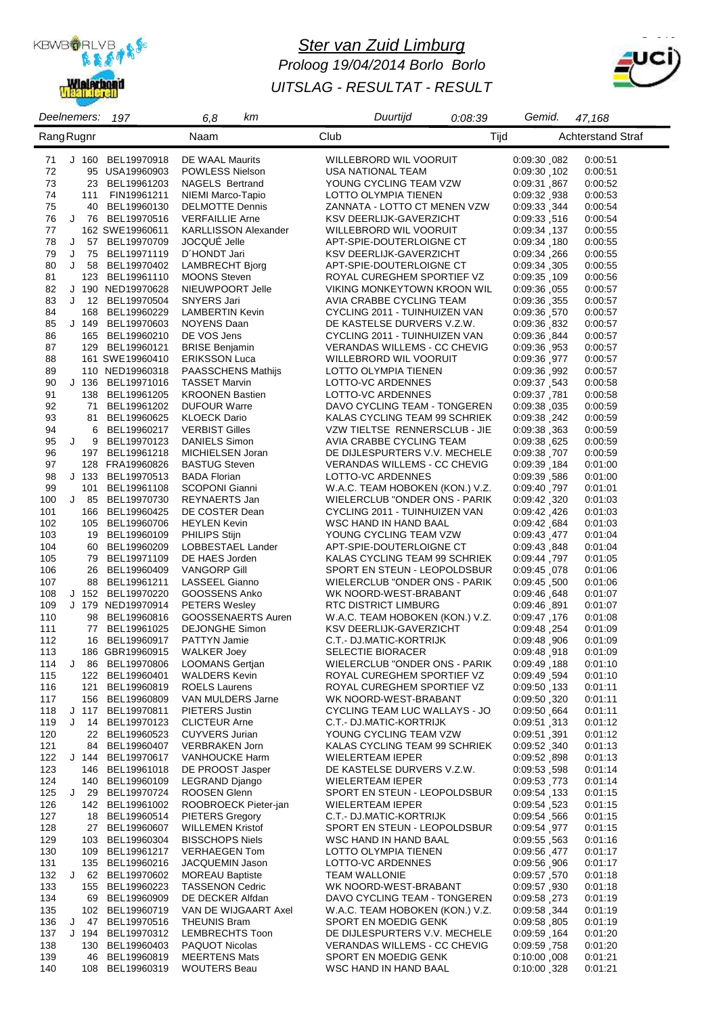

# *Ster van Zuid Limburg Proloog 19/04/2014 Borlo Borlo UITSLAG - RESULTAT - RESULT*



| Deelnemers:       |   |                  | 197                                 | 6,8<br>kт                                   | Duurtijd                                                          | 0:08:39 | Gemid.                      | 47,168                   |
|-------------------|---|------------------|-------------------------------------|---------------------------------------------|-------------------------------------------------------------------|---------|-----------------------------|--------------------------|
| <b>Rang Rugnr</b> |   |                  |                                     | Naam                                        | Club                                                              | Tijd    |                             | <b>Achterstand Straf</b> |
|                   |   |                  |                                     |                                             |                                                                   |         |                             |                          |
| 71                |   | J <sub>160</sub> | BEL19970918                         | DE WAAL Maurits                             | WILLEBRORD WIL VOORUIT                                            |         | 0:09:30,082                 | 0:00:51                  |
| 72                |   |                  | 95 USA19960903                      | <b>POWLESS Nielson</b>                      | USA NATIONAL TEAM                                                 |         | 0:09:30,102                 | 0:00:51                  |
| 73<br>74          |   | 111              | 23 BEL19961203                      | <b>NAGELS Bertrand</b>                      | YOUNG CYCLING TEAM VZW                                            |         | 0:09:31,867                 | 0:00:52                  |
| 75                |   | 40               | FIN19961211<br>BEL19960130          | NIEMI Marco-Tapio<br><b>DELMOTTE Dennis</b> | LOTTO OLYMPIA TIENEN<br>ZANNATA - LOTTO CT MENEN VZW              |         | 0:09:32,938<br>0:09:33, 344 | 0:00:53<br>0:00:54       |
| 76                |   |                  | J 76 BEL19970516                    | <b>VERFAILLIE Arne</b>                      | KSV DEERLIJK-GAVERZICHT                                           |         | 0.09.33,516                 | 0:00:54                  |
| 77                |   |                  | 162 SWE19960611                     | <b>KARLLISSON Alexander</b>                 | WILLEBRORD WIL VOORUIT                                            |         | 0:09:34, 137                | 0:00:55                  |
| 78                | J |                  | 57 BEL19970709                      | JOCQUÉ Jelle                                | APT-SPIE-DOUTERLOIGNE CT                                          |         | 0.09:34,180                 | 0:00:55                  |
| 79                | J | 75               | BEL19971119                         | D'HONDT Jari                                | KSV DEERLIJK-GAVERZICHT                                           |         | 0:09:34,266                 | 0:00:55                  |
| 80                | J |                  | 58 BEL19970402                      | <b>LAMBRECHT Bjorg</b>                      | APT-SPIE-DOUTERLOIGNE CT                                          |         | 0:09:34,305                 | 0:00:55                  |
| 81                |   |                  | 123 BEL19961110                     | <b>MOONS Steven</b>                         | ROYAL CUREGHEM SPORTIEF VZ                                        |         | 0:09:35,109                 | 0:00:56                  |
| 82                |   |                  | J 190 NED19970628                   | NIEUWPOORT Jelle                            | VIKING MONKEYTOWN KROON WIL                                       |         | 0:09:36,055                 | 0:00:57                  |
| 83                | J |                  | 12 BEL19970504                      | SNYERS Jari                                 | AVIA CRABBE CYCLING TEAM                                          |         | 0.09.36, 355                | 0:00:57                  |
| 84                |   |                  | 168 BEL19960229                     | <b>LAMBERTIN Kevin</b>                      | CYCLING 2011 - TUINHUIZEN VAN                                     |         | 0:09:36,570                 | 0:00:57                  |
| 85<br>86          |   | J 149            | BEL19970603<br>165 BEL19960210      | NOYENS Daan<br>DE VOS Jens                  | DE KASTELSE DURVERS V.Z.W.<br>CYCLING 2011 - TUINHUIZEN VAN       |         | 0:09:36 832                 | 0:00:57                  |
| 87                |   |                  | 129 BEL19960121                     | <b>BRISE Benjamin</b>                       | VERANDAS WILLEMS - CC CHEVIG                                      |         | 0:09:36, 844<br>0.09.36.953 | 0:00:57<br>0:00:57       |
| 88                |   |                  | 161 SWE19960410                     | <b>ERIKSSON Luca</b>                        | WILLEBRORD WIL VOORUIT                                            |         | 0:09:36.977                 | 0:00:57                  |
| 89                |   |                  | 110 NED19960318                     | PAASSCHENS Mathijs                          | LOTTO OLYMPIA TIENEN                                              |         | 0:09:36,992                 | 0:00:57                  |
| 90                |   |                  | J 136 BEL19971016                   | <b>TASSET Marvin</b>                        | LOTTO-VC ARDENNES                                                 |         | 0:09:37,543                 | 0:00:58                  |
| 91                |   |                  | 138 BEL19961205                     | <b>KROONEN Bastien</b>                      | LOTTO-VC ARDENNES                                                 |         | 0:09:37,781                 | 0:00:58                  |
| 92                |   | 71               | BEL19961202                         | <b>DUFOUR Warre</b>                         | DAVO CYCLING TEAM - TONGEREN                                      |         | 0:09:38,035                 | 0:00:59                  |
| 93                |   | 81               | BEL19960625                         | <b>KLOECK Dario</b>                         | KALAS CYCLING TEAM 99 SCHRIEK                                     |         | 0:09:38, 242                | 0:00:59                  |
| 94                |   | 6                | BEL19960217                         | <b>VERBIST Gilles</b>                       | VZW TIELTSE RENNERSCLUB - JIE                                     |         | 0:09:38, 363                | 0:00:59                  |
| 95                | J | 9                | BEL19970123                         | <b>DANIELS Simon</b>                        | AVIA CRABBE CYCLING TEAM                                          |         | 0:09:38,625                 | 0:00:59                  |
| 96                |   |                  | 197 BEL19961218                     | MICHIELSEN Joran                            | DE DIJLESPURTERS V.V. MECHELE                                     |         | 0:09:38,707                 | 0:00:59                  |
| 97                |   |                  | 128 FRA19960826                     | <b>BASTUG Steven</b>                        | VERANDAS WILLEMS - CC CHEVIG                                      |         | 0.09.39 184                 | 0:01:00                  |
| 98                |   | J 133            | BEL19970513                         | <b>BADA Florian</b>                         | LOTTO-VC ARDENNES                                                 |         | 0:09:39,586                 | 0:01:00                  |
| 99<br>100         |   | 101<br>$J$ 85    | BEL19961108<br>BEL19970730          | <b>SCOPONI Gianni</b><br>REYNAERTS Jan      | W.A.C. TEAM HOBOKEN (KON.) V.Z.<br>WIELERCLUB "ONDER ONS - PARIK" |         | 0:09:40 797<br>0:09:42,320  | 0:01:01<br>0.01:03       |
| 101               |   |                  | 166 BEL19960425                     | DE COSTER Dean                              | CYCLING 2011 - TUINHUIZEN VAN                                     |         | 0.09:42,426                 | 0:01:03                  |
| 102               |   |                  | 105 BEL19960706                     | <b>HEYLEN Kevin</b>                         | WSC HAND IN HAND BAAL                                             |         | 0.09.42,684                 | 0.01:03                  |
| 103               |   | 19               | BEL19960109                         | <b>PHILIPS Stijn</b>                        | YOUNG CYCLING TEAM VZW                                            |         | 0.09:43,477                 | 0:01:04                  |
| 104               |   | 60               | BEL19960209                         | LOBBESTAEL Lander                           | APT-SPIE-DOUTERLOIGNE CT                                          |         | 0.09:43,848                 | 0:01:04                  |
| 105               |   | 79               | BEL19971109                         | DE HAES Jorden                              | KALAS CYCLING TEAM 99 SCHRIEK                                     |         | 0:09:44,797                 | 0:01:05                  |
| 106               |   | 26               | BEL19960409                         | <b>VANGORP Gill</b>                         | SPORT EN STEUN - LEOPOLDSBUR                                      |         | 0:09:45,078                 | 0:01:06                  |
| 107               |   |                  | 88 BEL19961211                      | LASSEEL Gianno                              | WIELERCLUB "ONDER ONS - PARIK                                     |         | 0.09:45,500                 | 0.01:06                  |
| 108               |   |                  | J 152 BEL19970220                   | GOOSSENS Anko                               | WK NOORD-WEST-BRABANT                                             |         | 0:09:46,648                 | 0:01:07                  |
| 109               |   |                  | J 179 NED19970914                   | <b>PETERS Wesley</b>                        | RTC DISTRICT LIMBURG                                              |         | 0:09:46,891                 | 0.01:07                  |
| 110               |   |                  | 98 BEL19960816                      | GOOSSENAERTS Auren                          | W.A.C. TEAM HOBOKEN (KON.) V.Z.                                   |         | 0:09:47, 176                | 0:01:08                  |
| 111               |   |                  | 77 BEL19961025                      | <b>DEJONGHE Simon</b>                       | KSV DEERLIJK-GAVERZICHT                                           |         | 0:09:48, 254                | 0:01:09                  |
| 112<br>113        |   |                  | 16 BEL19960917<br>186 GBR19960915   | <b>PATTYN Jamie</b><br><b>WALKER Joey</b>   | C.T.- DJ.MATIC-KORTRIJK<br><b>SELECTIE BIORACER</b>               |         | 0.09.48,906                 | 0:01:09                  |
| 114               |   |                  | J 86 BEL19970806                    | <b>LOOMANS Gertjan</b>                      | <b>WIELERCLUB "ONDER ONS - PARIK</b>                              |         | 0:09:48, 918<br>0:09:49 188 | 0:01:09<br>0:01:10       |
| 115               |   |                  | 122 BEL19960401                     | <b>WALDERS Kevin</b>                        | ROYAL CUREGHEM SPORTIEF VZ                                        |         | 0:09:49,594                 | 0:01:10                  |
| 116               |   |                  | 121 BEL19960819                     | <b>ROELS Laurens</b>                        | ROYAL CUREGHEM SPORTIEF VZ                                        |         | 0:09:50, 133                | 0:01:11                  |
| 117               |   |                  | 156 BEL19960809                     | VAN MULDERS Jarne                           | WK NOORD-WEST-BRABANT                                             |         | 0.09.50.320                 | 0:01:11                  |
| 118               |   |                  | J 117 BEL19970811                   | PIETERS Justin                              | CYCLING TEAM LUC WALLAYS - JO                                     |         | 0.09:50,664                 | 0:01:11                  |
| 119               |   |                  | J 14 BEL19970123                    | <b>CLICTEUR Arne</b>                        | C.T.- DJ.MATIC-KORTRIJK                                           |         | 0:09:51, 313                | 0:01:12                  |
| 120               |   |                  | 22 BEL19960523                      | <b>CUYVERS Jurian</b>                       | YOUNG CYCLING TEAM VZW                                            |         | 0:09:51, 391                | 0:01:12                  |
| 121               |   |                  | 84 BEL19960407                      | VERBRAKEN Jorn                              | KALAS CYCLING TEAM 99 SCHRIEK                                     |         | 0:09:52,340                 | 0:01:13                  |
| 122               |   |                  | J 144 BEL19970617                   | VANHOUCKE Harm                              | WIELERTEAM IEPER                                                  |         | 0:09:52,898                 | 0:01:13                  |
| 123               |   |                  | 146 BEL19961018                     | DE PROOST Jasper                            | DE KASTELSE DURVERS V.Z.W.                                        |         | 0:09:53,598                 | 0:01:14                  |
| 124               |   |                  | 140 BEL19960109                     | LEGRAND Django                              | WIELERTEAM IEPER                                                  |         | 0:09:53,773                 | 0:01:14                  |
| 125<br>126        |   |                  | J 29 BEL19970724<br>142 BEL19961002 | ROOSEN Glenn<br>ROOBROECK Pieter-jan        | SPORT EN STEUN - LEOPOLDSBUR<br><b>WIELERTEAM IEPER</b>           |         | 0:09:54 133<br>0:09:54.523  | 0:01:15<br>0:01:15       |
| 127               |   |                  | 18 BEL19960514                      | <b>PIETERS Gregory</b>                      | C.T.- DJ.MATIC-KORTRIJK                                           |         | 0:09:54.566                 | 0:01:15                  |
| 128               |   |                  | 27 BEL19960607                      | <b>WILLEMEN Kristof</b>                     | SPORT EN STEUN - LEOPOLDSBUR                                      |         | 0:09:54, 977                | 0:01:15                  |
| 129               |   |                  | 103 BEL19960304                     | <b>BISSCHOPS Niels</b>                      | WSC HAND IN HAND BAAL                                             |         | 0:09:55,563                 | 0:01:16                  |
| 130               |   |                  | 109 BEL19961217                     | <b>VERHAEGEN Tom</b>                        | LOTTO OLYMPIA TIENEN                                              |         | 0:09:56,477                 | 0:01:17                  |
| 131               |   |                  | 135 BEL19960216                     | JACQUEMIN Jason                             | LOTTO-VC ARDENNES                                                 |         | 0:09:56,906                 | 0:01:17                  |
| 132               |   |                  | J 62 BEL19970602                    | <b>MOREAU Baptiste</b>                      | TEAM WALLONIE                                                     |         | 0:09:57,570                 | 0:01:18                  |
| 133               |   |                  | 155 BEL19960223                     | <b>TASSENON Cedric</b>                      | WK NOORD-WEST-BRABANT                                             |         | 0:09:57,930                 | 0:01:18                  |
| 134               |   |                  | 69 BEL19960909                      | DE DECKER Alfdan                            | DAVO CYCLING TEAM - TONGEREN                                      |         | 0:09:58, 273                | 0:01:19                  |
| 135               |   |                  | 102 BEL19960719                     | VAN DE WIJGAART Axel                        | W.A.C. TEAM HOBOKEN (KON.) V.Z.                                   |         | 0:09:58, 344                | 0.01:19                  |
| 136               |   |                  | J 47 BEL19970516                    | <b>THEUNIS Bram</b>                         | SPORT EN MOEDIG GENK                                              |         | 0:09:58,805                 | 0:01:19                  |
| 137               |   |                  | J 194 BEL19970312                   | LEMBRECHTS Toon                             | DE DIJLESPURTERS V.V. MECHELE                                     |         | 0:09:59 164                 | 0:01:20                  |
| 138               |   |                  | 130 BEL19960403                     | PAQUOT Nicolas                              | VERANDAS WILLEMS - CC CHEVIG                                      |         | 0:09:59,758                 | 0:01:20                  |
| 139               |   |                  | 46 BEL19960819                      | <b>MEERTENS Mats</b>                        | SPORT EN MOEDIG GENK                                              |         | 0:10:00 008                 | 0:01:21                  |
| 140               |   |                  | 108 BEL19960319                     | <b>WOUTERS Beau</b>                         | WSC HAND IN HAND BAAL                                             |         | 0:10:00, 328                | 0:01:21                  |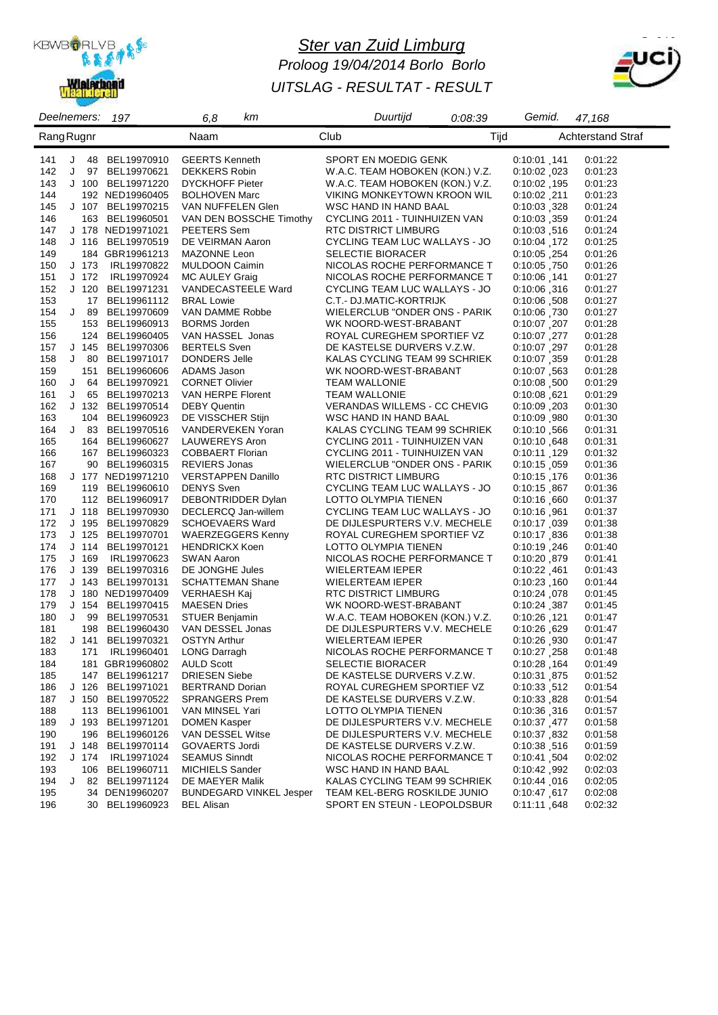

# *Ster van Zuid Limburg Proloog 19/04/2014 Borlo Borlo UITSLAG - RESULTAT - RESULT*



| Deelnemers: |               | 197                              | 6,8<br>kт                                  | Duurtijd                                                    | 0:08:39 | Gemid.                      | 47,168                   |
|-------------|---------------|----------------------------------|--------------------------------------------|-------------------------------------------------------------|---------|-----------------------------|--------------------------|
| Rang Rugnr  |               |                                  | Naam                                       | Club                                                        | Tijd    |                             | <b>Achterstand Straf</b> |
| 141         | J<br>48       | BEL19970910                      | <b>GEERTS Kenneth</b>                      | SPORT EN MOEDIG GENK                                        |         | 0:10:01.141                 | 0:01:22                  |
| 142         | J             | 97 BEL19970621                   | <b>DEKKERS Robin</b>                       | W.A.C. TEAM HOBOKEN (KON.) V.Z.                             |         | 0:10:02 023                 | 0:01:23                  |
| 143         |               | J 100 BEL19971220                | <b>DYCKHOFF Pieter</b>                     | W.A.C. TEAM HOBOKEN (KON.) V.Z.                             |         | 0:10:02 195                 | 0:01:23                  |
| 144         |               | 192 NED19960405                  | <b>BOLHOVEN Marc</b>                       | VIKING MONKEYTOWN KROON WIL                                 |         | $0:10:02$ .211              | 0:01:23                  |
| 145         |               | J 107 BEL19970215                | VAN NUFFELEN Glen                          | WSC HAND IN HAND BAAL                                       |         | 0:10:03.328                 | 0:01:24                  |
| 146         |               | 163 BEL19960501                  | VAN DEN BOSSCHE Timothy                    | CYCLING 2011 - TUINHUIZEN VAN                               |         | 0:10:03, 359                | 0:01:24                  |
| 147         |               | J 178 NED19971021                | PEETERS Sem                                | RTC DISTRICT LIMBURG                                        |         | 0:10:03,516                 | 0:01:24                  |
| 148         | $J$ 116       | BEL19970519                      | DE VEIRMAN Aaron                           | CYCLING TEAM LUC WALLAYS - JO                               |         | 0:10:04, 172                | 0:01:25                  |
| 149         |               | 184 GBR19961213                  | MAZONNE Leon                               | <b>SELECTIE BIORACER</b>                                    |         | 0:10:05, 254                | 0:01:26                  |
| 150         | $J$ 173       | IRL19970822                      | <b>MULDOON Caimin</b>                      | NICOLAS ROCHE PERFORMANCE T                                 |         | 0:10:05.750                 | 0:01:26                  |
| 151         | J 172         | IRL19970924                      | <b>MC AULEY Graig</b>                      | NICOLAS ROCHE PERFORMANCE T                                 |         | 0:10:06, 141                | 0:01:27                  |
| 152         | $J$ 120       | BEL19971231                      | VANDECASTEELE Ward                         | CYCLING TEAM LUC WALLAYS - JO                               |         | 0:10:06.316                 | 0:01:27                  |
| 153         | 17            | BEL19961112                      | <b>BRAL Lowie</b>                          | C.T.- DJ.MATIC-KORTRIJK                                     |         | 0:10:06,508                 | 0:01:27                  |
| 154         | J<br>89       | BEL19970609                      | VAN DAMME Robbe                            | WIELERCLUB "ONDER ONS - PARIK                               |         | 0:10:06.730                 | 0:01:27                  |
| 155         | 153           | BEL19960913                      | <b>BORMS Jorden</b>                        | WK NOORD-WEST-BRABANT                                       |         | 0:10:07,207                 | 0:01:28                  |
| 156         | 124           | BEL19960405                      | VAN HASSEL Jonas                           | ROYAL CUREGHEM SPORTIEF VZ                                  |         | 0:10:07.277                 | 0:01:28                  |
| 157         | $J$ 145       | BEL19970306                      | <b>BERTELS</b> Sven                        | DE KASTELSE DURVERS V.Z.W.                                  |         | 0:10:07.297                 | 0:01:28                  |
| 158         | J<br>80       | BEL19971017                      | DONDERS Jelle                              | KALAS CYCLING TEAM 99 SCHRIEK                               |         | 0:10:07.359                 | 0:01:28                  |
| 159         | 151           | BEL19960606                      | ADAMS Jason                                | WK NOORD-WEST-BRABANT                                       |         | 0:10:07.563                 | 0:01:28                  |
| 160<br>161  | J<br>64<br>65 | BEL19970921                      | <b>CORNET Olivier</b><br>VAN HERPE Florent | <b>TEAM WALLONIE</b>                                        |         | $0.10.08$ , 500             | 0:01:29                  |
| J<br>162    |               | BEL19970213<br>J 132 BEL19970514 | <b>DEBY Quentin</b>                        | <b>TEAM WALLONIE</b><br><b>VERANDAS WILLEMS - CC CHEVIG</b> |         | 0:10:08,621                 | 0:01:29                  |
| 163         | 104           | BEL19960923                      | DE VISSCHER Stijn                          | WSC HAND IN HAND BAAL                                       |         | 0:10:09, 203<br>0:10:09,980 | 0:01:30<br>0:01:30       |
| 164         |               | J 83 BEL19970516                 | VANDERVEKEN Yoran                          | KALAS CYCLING TEAM 99 SCHRIEK                               |         | 0:10:10,566                 | 0:01:31                  |
| 165         |               | 164 BEL19960627                  | LAUWEREYS Aron                             | CYCLING 2011 - TUINHUIZEN VAN                               |         | 0:10:10.648                 | 0:01:31                  |
| 166         |               | 167 BEL19960323                  | COBBAERT Florian                           | CYCLING 2011 - TUINHUIZEN VAN                               |         | 0:10:11, 129                | 0:01:32                  |
| 167         | 90            | BEL19960315                      | <b>REVIERS Jonas</b>                       | WIELERCLUB "ONDER ONS - PARIK                               |         | 0.10.15 059                 | 0:01:36                  |
| 168         |               | J 177 NED19971210                | <b>VERSTAPPEN Danillo</b>                  | RTC DISTRICT LIMBURG                                        |         | 0:10:15, 176                | 0:01:36                  |
| 169         |               | 119 BEL19960610                  | <b>DENYS Sven</b>                          | CYCLING TEAM LUC WALLAYS - JO                               |         | 0.10.15 867                 | 0:01:36                  |
| 170         |               | 112 BEL19960917                  | DEBONTRIDDER Dylan                         | LOTTO OLYMPIA TIENEN                                        |         | 0.10.16,660                 | 0:01:37                  |
| 171         |               | J 118 BEL19970930                | DECLERCQ Jan-willem                        | CYCLING TEAM LUC WALLAYS - JO                               |         | 0:10:16,961                 | 0.01:37                  |
| 172         |               | J 195 BEL19970829                | <b>SCHOEVAERS Ward</b>                     | DE DIJLESPURTERS V.V. MECHELE                               |         | 0:10:17,039                 | 0:01:38                  |
| 173         | $J$ 125       | BEL19970701                      | <b>WAERZEGGERS Kenny</b>                   | ROYAL CUREGHEM SPORTIEF VZ                                  |         | 0:10:17,836                 | 0:01:38                  |
| 174         | J 114         | BEL19970121                      | <b>HENDRICKX Koen</b>                      | LOTTO OLYMPIA TIENEN                                        |         | 0:10:19,246                 | 0:01:40                  |
| 175         | $J$ 169       | IRL19970623                      | <b>SWAN Aaron</b>                          | NICOLAS ROCHE PERFORMANCE T                                 |         | 0:10:20,879                 | 0:01:41                  |
| 176         | J 139         | BEL19970316                      | DE JONGHE Jules                            | WIELERTEAM IEPER                                            |         | 0:10:22,461                 | 0:01:43                  |
| 177         | $J$ 143       | BEL19970131                      | <b>SCHATTEMAN Shane</b>                    | WIELERTEAM IEPER                                            |         | $0.10.23$ , 160             | 0:01:44                  |
| 178         |               | J 180 NED19970409                | VERHAESH Kaj                               | RTC DISTRICT LIMBURG                                        |         | 0:10:24,078                 | 0:01:45                  |
| 179         | J 154         | BEL19970415                      | <b>MAESEN Dries</b>                        | WK NOORD-WEST-BRABANT                                       |         | 0.10:24, 387                | 0:01:45                  |
| 180         | J 99          | BEL19970531                      | STUER Benjamin                             | W.A.C. TEAM HOBOKEN (KON.) V.Z.                             |         | 0:10:26,121                 | 0:01:47                  |
| 181         | 198           | BEL19960430                      | VAN DESSEL Jonas                           | DE DIJLESPURTERS V.V. MECHELE                               |         | 0:10:26,629                 | 0:01:47                  |
| 182         | $J$ 141       | BEL19970321                      | <b>OSTYN Arthur</b>                        | WIELERTEAM IEPER                                            |         | 0:10:26.930                 | 0:01:47                  |
| 183         |               | 171 IRL19960401                  | <b>LONG Darragh</b>                        | NICOLAS ROCHE PERFORMANCE T                                 |         | 0:10:27,258                 | 0.01:48                  |
| 184         |               | 181 GBR19960802                  | <b>AULD Scott</b>                          | <b>SELECTIE BIORACER</b>                                    |         | 0.10.28 164                 | 0.01:49                  |
| 185         |               | 147 BEL19961217                  | <b>DRIESEN Siebe</b>                       | DE KASTELSE DURVERS V.Z.W.                                  |         | 0:10:31,875                 | 0:01:52                  |
| 186         | J 126         | BEL19971021                      | <b>BERTRAND Dorian</b>                     | ROYAL CUREGHEM SPORTIEF VZ                                  |         | 0:10:33,512                 | 0:01:54                  |
| 187         |               | J 150 BEL19970522                | <b>SPRANGERS Prem</b>                      | DE KASTELSE DURVERS V.Z.W.                                  |         | 0:10:33,828                 | 0:01:54                  |
| 188         | 113           | BEL19961001                      | VAN MINSEL Yari<br><b>DOMEN Kasper</b>     | LOTTO OLYMPIA TIENEN<br>DE DIJLESPURTERS V.V. MECHELE       |         | 0:10:36, 316                | 0:01:57                  |
| 189         | J 193         | BEL19971201                      | VAN DESSEL Witse                           | DE DIJLESPURTERS V.V. MECHELE                               |         | 0:10:37,477                 | 0.01:58                  |
| 190<br>191  | J 148         | 196 BEL19960126<br>BEL19970114   | <b>GOVAERTS Jordi</b>                      | DE KASTELSE DURVERS V.Z.W.                                  |         | 0:10:37,832<br>0:10:38,516  | 0:01:58<br>0:01:59       |
| 192         | J 174         | IRL19971024                      | <b>SEAMUS Sinndt</b>                       | NICOLAS ROCHE PERFORMANCE T                                 |         | 0:10:41,504                 | 0:02:02                  |
| 193         |               | 106 BEL19960711                  | <b>MICHIELS Sander</b>                     | WSC HAND IN HAND BAAL                                       |         | 0:10:42,992                 | 0:02:03                  |
| J<br>194    |               | 82 BEL19971124                   | DE MAEYER Malik                            | KALAS CYCLING TEAM 99 SCHRIEK                               |         | 0.10:44 016                 | 0:02:05                  |
| 195         |               | 34 DEN19960207                   | <b>BUNDEGARD VINKEL Jesper</b>             | TEAM KEL-BERG ROSKILDE JUNIO                                |         | 0:10:47 617                 | 0:02:08                  |
| 196         |               | 30 BEL19960923                   | <b>BEL Alisan</b>                          | SPORT EN STEUN - LEOPOLDSBUR                                |         | 0.11:11 648                 | 0:02:32                  |
|             |               |                                  |                                            |                                                             |         |                             |                          |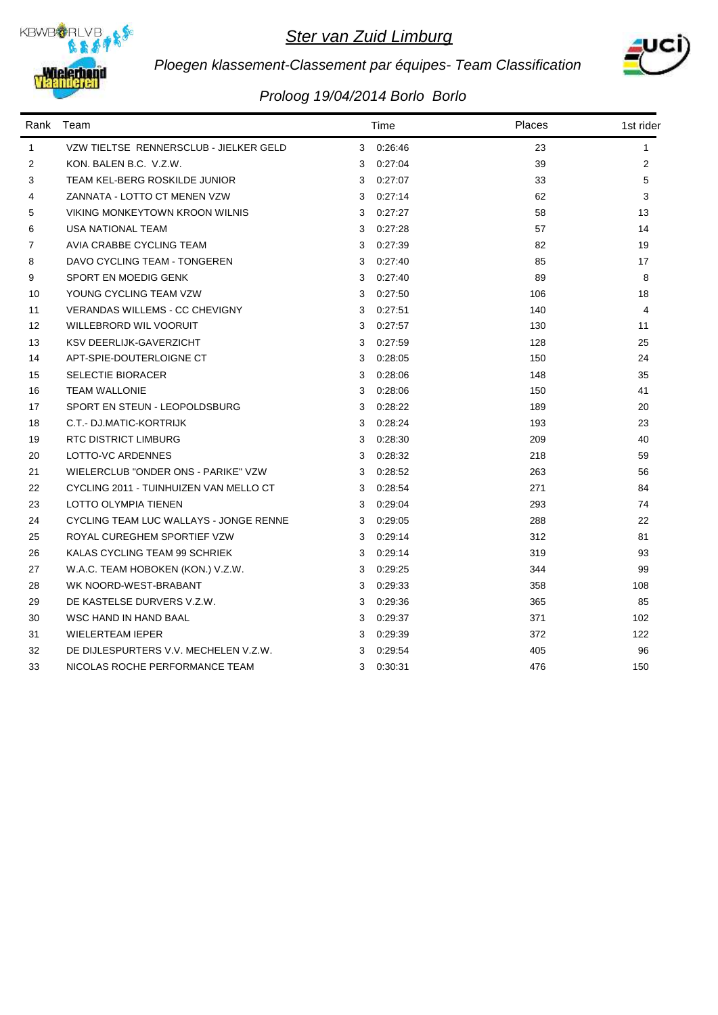



# *Ploegen klassement-Classement par équipes- Team Classification*

| Rank           | Team                                   |   | Time    | Places | 1st rider    |  |
|----------------|----------------------------------------|---|---------|--------|--------------|--|
| $\mathbf{1}$   | VZW TIELTSE RENNERSCLUB - JIELKER GELD | 3 | 0:26:46 | 23     | $\mathbf{1}$ |  |
| 2              | KON. BALEN B.C. V.Z.W.                 | 3 | 0.27.04 | 39     | 2            |  |
| 3              | TEAM KEL-BERG ROSKILDE JUNIOR          | 3 | 0:27:07 | 33     | 5            |  |
| 4              | ZANNATA - LOTTO CT MENEN VZW           | 3 | 0.27:14 | 62     | 3            |  |
| 5              | VIKING MONKEYTOWN KROON WILNIS         | 3 | 0.27:27 | 58     | 13           |  |
| 6              | <b>USA NATIONAL TEAM</b>               | 3 | 0.27:28 | 57     | 14           |  |
| $\overline{7}$ | AVIA CRABBE CYCLING TEAM               | 3 | 0:27:39 | 82     | 19           |  |
| 8              | DAVO CYCLING TEAM - TONGEREN           | 3 | 0:27:40 | 85     | 17           |  |
| 9              | SPORT EN MOEDIG GENK                   | 3 | 0.27:40 | 89     | 8            |  |
| 10             | YOUNG CYCLING TEAM VZW                 | 3 | 0.27:50 | 106    | 18           |  |
| 11             | <b>VERANDAS WILLEMS - CC CHEVIGNY</b>  | 3 | 0.27:51 | 140    | 4            |  |
| 12             | WILLEBRORD WIL VOORUIT                 | 3 | 0.27.57 | 130    | 11           |  |
| 13             | KSV DEERLIJK-GAVERZICHT                | 3 | 0.27:59 | 128    | 25           |  |
| 14             | APT-SPIE-DOUTERLOIGNE CT               | 3 | 0:28:05 | 150    | 24           |  |
| 15             | <b>SELECTIE BIORACER</b>               | 3 | 0:28:06 | 148    | 35           |  |
| 16             | <b>TEAM WALLONIE</b>                   | 3 | 0:28:06 | 150    | 41           |  |
| 17             | SPORT EN STEUN - LEOPOLDSBURG          | 3 | 0:28:22 | 189    | 20           |  |
| 18             | C.T.- DJ.MATIC-KORTRIJK                | 3 | 0.28.24 | 193    | 23           |  |
| 19             | <b>RTC DISTRICT LIMBURG</b>            | 3 | 0.28.30 | 209    | 40           |  |
| 20             | LOTTO-VC ARDENNES                      | 3 | 0:28:32 | 218    | 59           |  |
| 21             | WIELERCLUB "ONDER ONS - PARIKE" VZW    | 3 | 0:28:52 | 263    | 56           |  |
| 22             | CYCLING 2011 - TUINHUIZEN VAN MELLO CT | 3 | 0.28.54 | 271    | 84           |  |
| 23             | LOTTO OLYMPIA TIENEN                   | 3 | 0.29.04 | 293    | 74           |  |
| 24             | CYCLING TEAM LUC WALLAYS - JONGE RENNE | 3 | 0.29.05 | 288    | 22           |  |
| 25             | ROYAL CUREGHEM SPORTIEF VZW            | 3 | 0:29:14 | 312    | 81           |  |
| 26             | KALAS CYCLING TEAM 99 SCHRIEK          | 3 | 0.29.14 | 319    | 93           |  |
| 27             | W.A.C. TEAM HOBOKEN (KON.) V.Z.W.      | 3 | 0.29.25 | 344    | 99           |  |
| 28             | WK NOORD-WEST-BRABANT                  | 3 | 0.29.33 | 358    | 108          |  |
| 29             | DE KASTELSE DURVERS V.Z.W.             | 3 | 0.29.36 | 365    | 85           |  |
| 30             | WSC HAND IN HAND BAAL                  | 3 | 0:29:37 | 371    | 102          |  |
| 31             | <b>WIELERTEAM IEPER</b>                | 3 | 0.29.39 | 372    | 122          |  |
| 32             | DE DIJLESPURTERS V.V. MECHELEN V.Z.W.  | 3 | 0.29.54 | 405    | 96           |  |
| 33             | NICOLAS ROCHE PERFORMANCE TEAM         | 3 | 0:30:31 | 476    | 150          |  |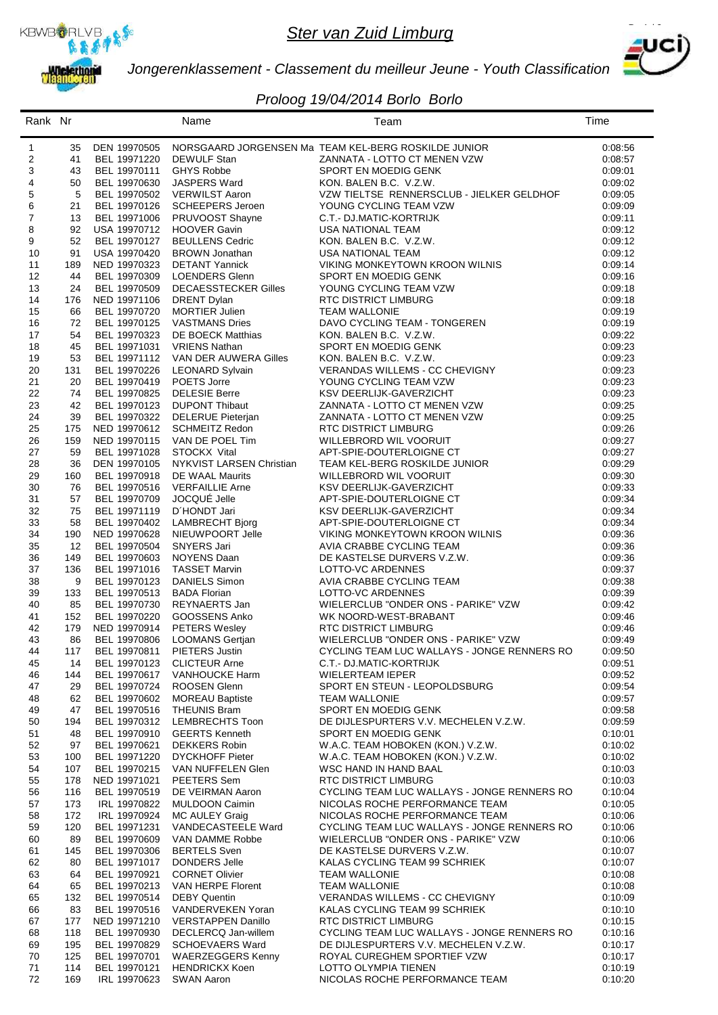



*Jongerenklassement - Classement du meilleur Jeune - Youth Classification*

| Rank Nr  |            |                              | Name                                              | Team                                                                   | Time               |
|----------|------------|------------------------------|---------------------------------------------------|------------------------------------------------------------------------|--------------------|
| 1        | 35         | DEN 19970505                 |                                                   | NORSGAARD JORGENSEN Ma TEAM KEL-BERG ROSKILDE JUNIOR                   | 0:08:56            |
| 2        | 41         | BEL 19971220                 | DEWULF Stan                                       | ZANNATA - LOTTO CT MENEN VZW                                           | 0:08:57            |
| 3        | 43         | BEL 19970111                 | <b>GHYS Robbe</b>                                 | SPORT EN MOEDIG GENK                                                   | 0:09:01            |
| 4        | 50         | BEL 19970630                 | JASPERS Ward                                      | KON. BALEN B.C. V.Z.W.                                                 | 0:09:02            |
| 5        | 5          | BEL 19970502                 | <b>VERWILST Aaron</b>                             | VZW TIELTSE RENNERSCLUB - JIELKER GELDHOF                              | 0:09:05            |
| 6        | 21         | BEL 19970126                 | SCHEEPERS Jeroen                                  | YOUNG CYCLING TEAM VZW                                                 | 0:09:09            |
| 7        | 13         | BEL 19971006                 | PRUVOOST Shayne                                   | C.T.- DJ.MATIC-KORTRIJK                                                | 0:09:11            |
| 8        | 92         | USA 19970712                 | <b>HOOVER Gavin</b>                               | USA NATIONAL TEAM                                                      | 0:09:12            |
| 9<br>10  | 52<br>91   | BEL 19970127<br>USA 19970420 | <b>BEULLENS Cedric</b><br><b>BROWN Jonathan</b>   | KON. BALEN B.C. V.Z.W.<br><b>USA NATIONAL TEAM</b>                     | 0:09:12<br>0:09:12 |
| 11       | 189        | NED 19970323                 | <b>DETANT Yannick</b>                             | VIKING MONKEYTOWN KROON WILNIS                                         | 0:09:14            |
| 12       | 44         | BEL 19970309                 | <b>LOENDERS Glenn</b>                             | SPORT EN MOEDIG GENK                                                   | 0.09:16            |
| 13       | 24         | BEL 19970509                 | <b>DECAESSTECKER Gilles</b>                       | YOUNG CYCLING TEAM VZW                                                 | 0:09:18            |
| 14       | 176        | NED 19971106                 | <b>DRENT Dylan</b>                                | <b>RTC DISTRICT LIMBURG</b>                                            | 0:09:18            |
| 15       | 66         | BEL 19970720                 | <b>MORTIER Julien</b>                             | <b>TEAM WALLONIE</b>                                                   | 0:09:19            |
| 16       | 72         | BEL 19970125                 | <b>VASTMANS Dries</b>                             | DAVO CYCLING TEAM - TONGEREN                                           | 0:09:19            |
| 17<br>18 | 54<br>45   | BEL 19970323<br>BEL 19971031 | DE BOECK Matthias<br><b>VRIENS Nathan</b>         | KON. BALEN B.C. V.Z.W.<br>SPORT EN MOEDIG GENK                         | 0:09:22<br>0:09:23 |
| 19       | 53         | BEL 19971112                 | VAN DER AUWERA Gilles                             | KON, BALEN B.C. V.Z.W.                                                 | 0:09:23            |
| 20       | 131        | BEL 19970226                 | <b>LEONARD Sylvain</b>                            | VERANDAS WILLEMS - CC CHEVIGNY                                         | 0:09:23            |
| 21       | 20         | BEL 19970419                 | POETS Jorre                                       | YOUNG CYCLING TEAM VZW                                                 | 0:09:23            |
| 22       | 74         | BEL 19970825                 | <b>DELESIE Berre</b>                              | KSV DEERLIJK-GAVERZICHT                                                | 0:09:23            |
| 23       | 42         | BEL 19970123                 | <b>DUPONT Thibaut</b>                             | ZANNATA - LOTTO CT MENEN VZW                                           | 0:09:25            |
| 24       | 39         | BEL 19970322                 | <b>DELERUE Pieterjan</b>                          | ZANNATA - LOTTO CT MENEN VZW                                           | 0:09:25            |
| 25       | 175        | NED 19970612                 | <b>SCHMEITZ Redon</b>                             | <b>RTC DISTRICT LIMBURG</b>                                            | 0:09:26            |
| 26       | 159<br>59  | NED 19970115                 | VAN DE POEL Tim                                   | WILLEBRORD WIL VOORUIT<br>APT-SPIE-DOUTERLOIGNE CT                     | 0:09:27<br>0:09:27 |
| 27<br>28 | 36         | BEL 19971028<br>DEN 19970105 | STOCKX Vital<br>NYKVIST LARSEN Christian          | TEAM KEL-BERG ROSKILDE JUNIOR                                          | 0:09:29            |
| 29       | 160        | BEL 19970918                 | DE WAAL Maurits                                   | WILLEBRORD WIL VOORUIT                                                 | 0:09:30            |
| 30       | 76         | BEL 19970516                 | <b>VERFAILLIE Arne</b>                            | KSV DEERLIJK-GAVERZICHT                                                | 0:09:33            |
| 31       | 57         | BEL 19970709                 | JOCQUÉ Jelle                                      | APT-SPIE-DOUTERLOIGNE CT                                               | 0.09.34            |
| 32       | 75         | BEL 19971119                 | D'HONDT Jari                                      | KSV DEERLIJK-GAVERZICHT                                                | 0:09:34            |
| 33       | 58         | BEL 19970402                 | <b>LAMBRECHT Bjorg</b>                            | APT-SPIE-DOUTERLOIGNE CT                                               | 0:09:34            |
| 34       | 190        | NED 19970628                 | NIEUWPOORT Jelle                                  | VIKING MONKEYTOWN KROON WILNIS                                         | 0:09:36            |
| 35       | 12         | BEL 19970504                 | SNYERS Jari                                       | AVIA CRABBE CYCLING TEAM                                               | 0:09:36            |
| 36<br>37 | 149<br>136 | BEL 19970603<br>BEL 19971016 | NOYENS Daan<br><b>TASSET Marvin</b>               | DE KASTELSE DURVERS V.Z.W.<br>LOTTO-VC ARDENNES                        | 0:09:36<br>0:09:37 |
| 38       | 9          | BEL 19970123                 | DANIELS Simon                                     | AVIA CRABBE CYCLING TEAM                                               | 0:09:38            |
| 39       | 133        | BEL 19970513                 | <b>BADA Florian</b>                               | LOTTO-VC ARDENNES                                                      | 0:09:39            |
| 40       | 85         | BEL 19970730                 | REYNAERTS Jan                                     | WIELERCLUB "ONDER ONS - PARIKE" VZW                                    | 0:09:42            |
| 41       | 152        | BEL 19970220                 | GOOSSENS Anko                                     | WK NOORD-WEST-BRABANT                                                  | 0:09:46            |
| 42       | 179        | NED 19970914                 | <b>PETERS Wesley</b>                              | <b>RTC DISTRICT LIMBURG</b>                                            | 0:09:46            |
| 43       | 86         | BEL 19970806                 | <b>LOOMANS Gertjan</b>                            | WIELERCLUB "ONDER ONS - PARIKE" VZW                                    | 0:09:49            |
| 44       | 117        | BEL 19970811<br>BEL 19970123 | PIETERS Justin<br><b>CLICTEUR Arne</b>            | CYCLING TEAM LUC WALLAYS - JONGE RENNERS RO<br>C.T.- DJ.MATIC-KORTRIJK | 0:09:50<br>0:09:51 |
| 45<br>46 | 14<br>144  | BEL 19970617                 | VANHOUCKE Harm                                    | <b>WIELERTEAM IEPER</b>                                                | 0:09:52            |
| 47       | 29         | BEL 19970724                 | ROOSEN Glenn                                      | SPORT EN STEUN - LEOPOLDSBURG                                          | 0.09:54            |
| 48       | 62         | BEL 19970602                 | <b>MOREAU Baptiste</b>                            | <b>TEAM WALLONIE</b>                                                   | 0:09:57            |
| 49       | 47         | BEL 19970516                 | <b>THEUNIS Bram</b>                               | SPORT EN MOEDIG GENK                                                   | 0:09:58            |
| 50       | 194        | BEL 19970312                 | LEMBRECHTS Toon                                   | DE DIJLESPURTERS V.V. MECHELEN V.Z.W.                                  | 0:09:59            |
| 51       | 48         | BEL 19970910                 | <b>GEERTS Kenneth</b>                             | SPORT EN MOEDIG GENK                                                   | 0:10:01            |
| 52       | 97         | BEL 19970621                 | <b>DEKKERS Robin</b>                              | W.A.C. TEAM HOBOKEN (KON.) V.Z.W.                                      | 0:10:02            |
| 53<br>54 | 100<br>107 | BEL 19971220<br>BEL 19970215 | <b>DYCKHOFF Pieter</b><br>VAN NUFFELEN Glen       | W.A.C. TEAM HOBOKEN (KON.) V.Z.W.<br>WSC HAND IN HAND BAAL             | 0:10:02<br>0:10:03 |
| 55       | 178        | NED 19971021                 | PEETERS Sem                                       | <b>RTC DISTRICT LIMBURG</b>                                            | 0.10:03            |
| 56       | 116        | BEL 19970519                 | DE VEIRMAN Aaron                                  | CYCLING TEAM LUC WALLAYS - JONGE RENNERS RO                            | 0.10:04            |
| 57       | 173        | IRL 19970822                 | <b>MULDOON Caimin</b>                             | NICOLAS ROCHE PERFORMANCE TEAM                                         | 0:10:05            |
| 58       | 172        | IRL 19970924                 | MC AULEY Graig                                    | NICOLAS ROCHE PERFORMANCE TEAM                                         | 0.10:06            |
| 59       | 120        | BEL 19971231                 | VANDECASTEELE Ward                                | CYCLING TEAM LUC WALLAYS - JONGE RENNERS RO                            | 0:10:06            |
| 60       | 89         | BEL 19970609                 | VAN DAMME Robbe                                   | WIELERCLUB "ONDER ONS - PARIKE" VZW                                    | 0:10:06            |
| 61       | 145        | BEL 19970306                 | <b>BERTELS Sven</b>                               | DE KASTELSE DURVERS V.Z.W.                                             | 0:10:07            |
| 62<br>63 | 80<br>64   | BEL 19971017<br>BEL 19970921 | DONDERS Jelle<br><b>CORNET Olivier</b>            | KALAS CYCLING TEAM 99 SCHRIEK<br><b>TEAM WALLONIE</b>                  | 0:10:07<br>0:10:08 |
| 64       | 65         | BEL 19970213                 | VAN HERPE Florent                                 | <b>TEAM WALLONIE</b>                                                   | 0.10:08            |
| 65       | 132        | BEL 19970514                 | <b>DEBY Quentin</b>                               | VERANDAS WILLEMS - CC CHEVIGNY                                         | 0:10:09            |
| 66       | 83         | BEL 19970516                 | VANDERVEKEN Yoran                                 | KALAS CYCLING TEAM 99 SCHRIEK                                          | 0:10:10            |
| 67       | 177        | NED 19971210                 | <b>VERSTAPPEN Danillo</b>                         | <b>RTC DISTRICT LIMBURG</b>                                            | 0:10:15            |
| 68       | 118        | BEL 19970930                 | DECLERCQ Jan-willem                               | CYCLING TEAM LUC WALLAYS - JONGE RENNERS RO                            | 0:10:16            |
| 69       | 195        | BEL 19970829                 | <b>SCHOEVAERS Ward</b>                            | DE DIJLESPURTERS V.V. MECHELEN V.Z.W.                                  | 0:10:17            |
| 70<br>71 | 125<br>114 | BEL 19970701<br>BEL 19970121 | <b>WAERZEGGERS Kenny</b><br><b>HENDRICKX Koen</b> | ROYAL CUREGHEM SPORTIEF VZW<br>LOTTO OLYMPIA TIENEN                    | 0:10:17<br>0:10:19 |
| 72       | 169        | IRL 19970623                 | <b>SWAN Aaron</b>                                 | NICOLAS ROCHE PERFORMANCE TEAM                                         | 0:10:20            |
|          |            |                              |                                                   |                                                                        |                    |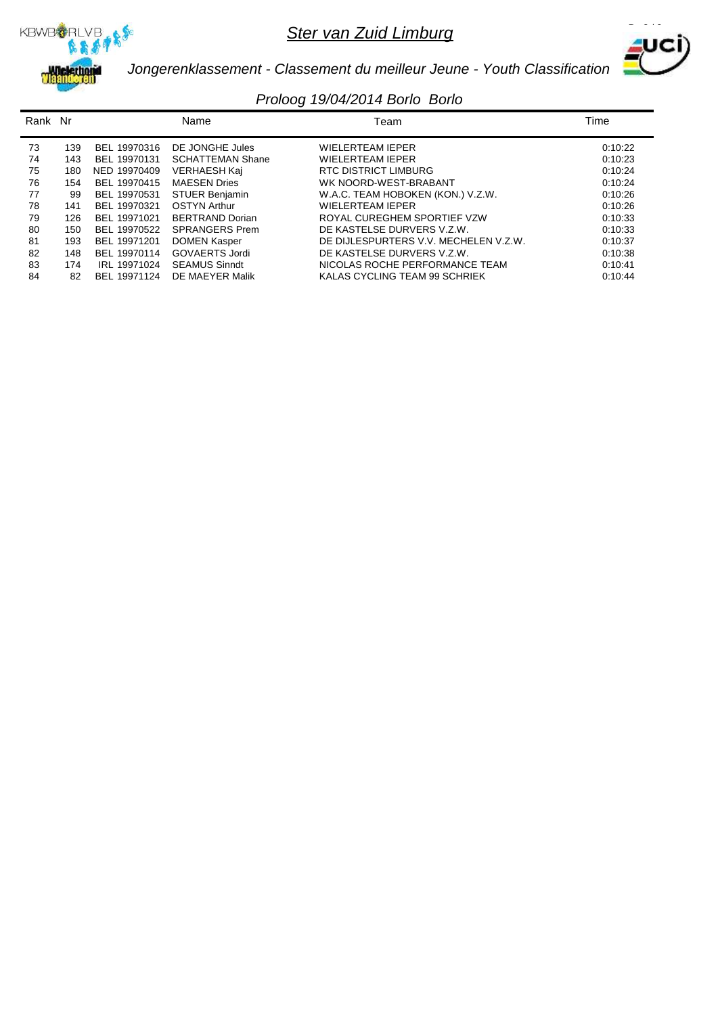



*Jongerenklassement - Classement du meilleur Jeune - Youth Classification*

| Rank Nr |     |              | Name                    | Team                                  | Time    |
|---------|-----|--------------|-------------------------|---------------------------------------|---------|
| 73      | 139 | BEL 19970316 | DE JONGHE Jules         | <b>WIELERTEAM IEPER</b>               | 0:10:22 |
| 74      | 143 | BEL 19970131 | <b>SCHATTEMAN Shane</b> | <b>WIELERTEAM IEPER</b>               | 0:10:23 |
| 75      | 180 | NED 19970409 | VERHAESH Kaj            | RTC DISTRICT LIMBURG                  | 0:10:24 |
| 76      | 154 | BEL 19970415 | <b>MAESEN Dries</b>     | WK NOORD-WEST-BRABANT                 | 0:10:24 |
| 77      | 99  | BEL 19970531 | <b>STUER Benjamin</b>   | W.A.C. TEAM HOBOKEN (KON.) V.Z.W.     | 0:10:26 |
| 78      | 141 | BEL 19970321 | <b>OSTYN Arthur</b>     | <b>WIELERTEAM IEPER</b>               | 0:10:26 |
| 79      | 126 | BEL 19971021 | <b>BERTRAND Dorian</b>  | ROYAL CUREGHEM SPORTIEF VZW           | 0:10:33 |
| 80      | 150 | BEL 19970522 | <b>SPRANGERS Prem</b>   | DE KASTELSE DURVERS V.Z.W.            | 0:10:33 |
| 81      | 193 | BEL 19971201 | <b>DOMEN Kasper</b>     | DE DIJLESPURTERS V.V. MECHELEN V.Z.W. | 0:10:37 |
| 82      | 148 | BEL 19970114 | <b>GOVAERTS Jordi</b>   | DE KASTELSE DURVERS V.Z.W.            | 0:10:38 |
| 83      | 174 | IRL 19971024 | <b>SEAMUS Sinndt</b>    | NICOLAS ROCHE PERFORMANCE TEAM        | 0:10:41 |
| 84      | 82  | BEL 19971124 | DE MAEYER Malik         | KALAS CYCLING TEAM 99 SCHRIEK         | 0:10:44 |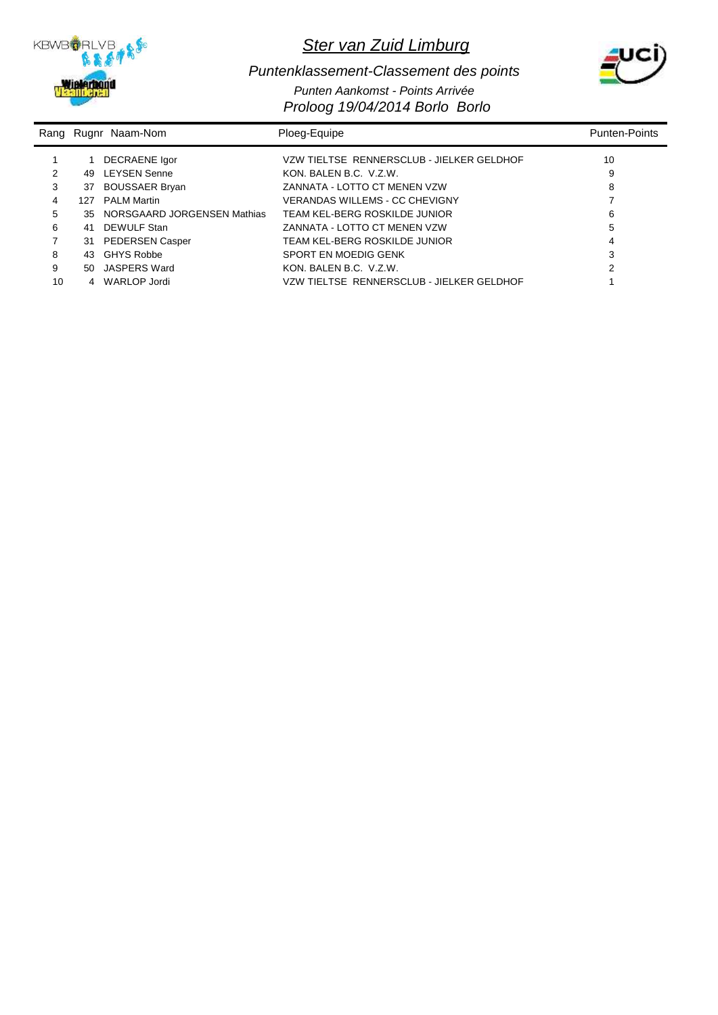



#### *Proloog 19/04/2014 Borlo Borlo Puntenklassement-Classement des points Punten Aankomst - Points Arrivée*

|    |     | Rang Rugnr Naam-Nom         | Ploeg-Equipe                              | <b>Punten-Points</b> |
|----|-----|-----------------------------|-------------------------------------------|----------------------|
|    |     | DECRAENE Igor               | VZW TIELTSE RENNERSCLUB - JIELKER GELDHOF | 10                   |
| 2  | 49  | <b>LEYSEN Senne</b>         | KON, BALEN B.C. V.Z.W.                    | 9                    |
| 3  | 37  | <b>BOUSSAER Bryan</b>       | ZANNATA - LOTTO CT MENEN VZW              | 8                    |
| 4  | 127 | <b>PALM Martin</b>          | VERANDAS WILLEMS - CC CHEVIGNY            |                      |
| 5  | 35. | NORSGAARD JORGENSEN Mathias | TEAM KEL-BERG ROSKILDE JUNIOR             | 6                    |
| 6  | 41  | DEWULF Stan                 | ZANNATA - LOTTO CT MENEN VZW              | 5                    |
|    | 31  | <b>PEDERSEN Casper</b>      | TEAM KEL-BERG ROSKILDE JUNIOR             |                      |
| 8  | 43  | GHYS Robbe                  | SPORT EN MOEDIG GENK                      | 3                    |
| 9  | 50  | JASPERS Ward                | KON, BALEN B.C. V.Z.W.                    | 2                    |
| 10 |     | WARLOP Jordi                | VZW TIELTSE RENNERSCLUB - JIELKER GELDHOF |                      |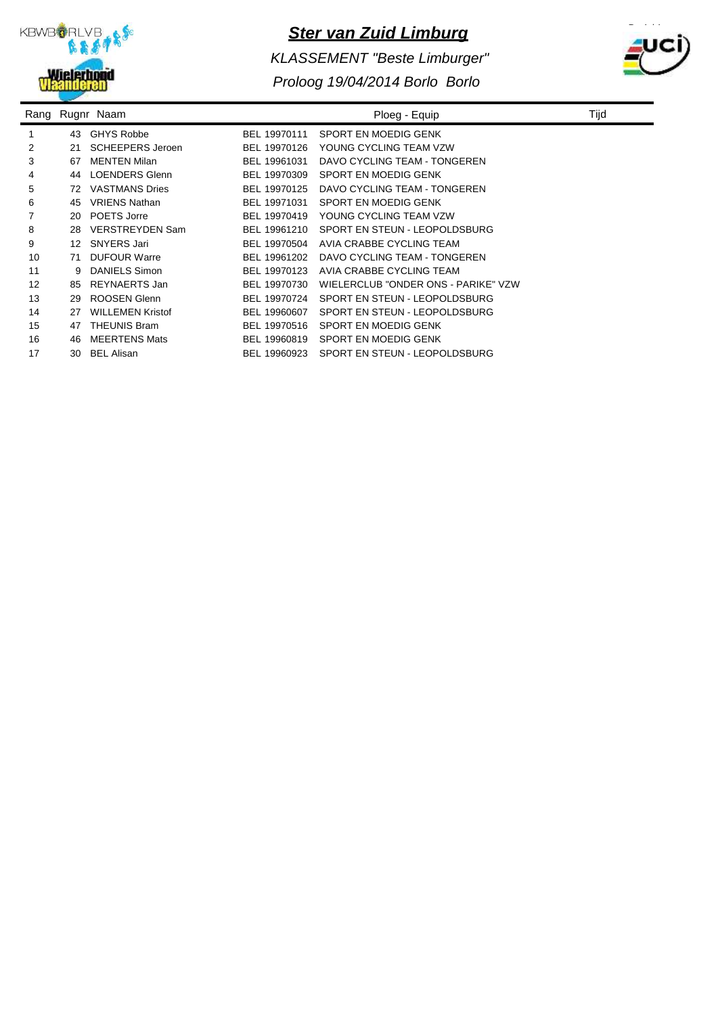

*KLASSEMENT "Beste Limburger"*



|    |    | Rang Rugnr Naam         |              | Ploeg - Equip                       | Tijc |
|----|----|-------------------------|--------------|-------------------------------------|------|
|    | 43 | <b>GHYS Robbe</b>       | BEL 19970111 | SPORT EN MOEDIG GENK                |      |
| 2  | 21 | <b>SCHEEPERS Jeroen</b> | BEL 19970126 | YOUNG CYCLING TEAM VZW              |      |
| 3  | 67 | <b>MENTEN Milan</b>     | BEL 19961031 | DAVO CYCLING TEAM - TONGEREN        |      |
| 4  | 44 | <b>LOENDERS Glenn</b>   | BEL 19970309 | SPORT EN MOEDIG GENK                |      |
| 5  | 72 | <b>VASTMANS Dries</b>   | BEL 19970125 | DAVO CYCLING TEAM - TONGEREN        |      |
| 6  | 45 | <b>VRIENS Nathan</b>    | BEL 19971031 | SPORT EN MOEDIG GENK                |      |
| 7  | 20 | POETS Jorre             | BEL 19970419 | YOUNG CYCLING TEAM VZW              |      |
| 8  | 28 | <b>VERSTREYDEN Sam</b>  | BEL 19961210 | SPORT EN STEUN - LEOPOLDSBURG       |      |
| 9  | 12 | SNYERS Jari             | BEL 19970504 | AVIA CRABBE CYCLING TEAM            |      |
| 10 | 71 | <b>DUFOUR Warre</b>     | BEL 19961202 | DAVO CYCLING TEAM - TONGEREN        |      |
| 11 | 9  | <b>DANIELS Simon</b>    | BEL 19970123 | AVIA CRABBE CYCLING TEAM            |      |
| 12 | 85 | REYNAERTS Jan           | BEL 19970730 | WIELERCLUB "ONDER ONS - PARIKE" VZW |      |
| 13 | 29 | ROOSEN Glenn            | BEL 19970724 | SPORT EN STEUN - LEOPOLDSBURG       |      |
| 14 | 27 | <b>WILLEMEN Kristof</b> | BEL 19960607 | SPORT EN STEUN - LEOPOLDSBURG       |      |
| 15 | 47 | <b>THEUNIS Bram</b>     | BEL 19970516 | SPORT EN MOEDIG GENK                |      |
| 16 | 46 | <b>MEERTENS Mats</b>    | BEL 19960819 | SPORT EN MOEDIG GENK                |      |
| 17 | 30 | <b>BEL Alisan</b>       | BEL 19960923 | SPORT EN STEUN - LEOPOLDSBURG       |      |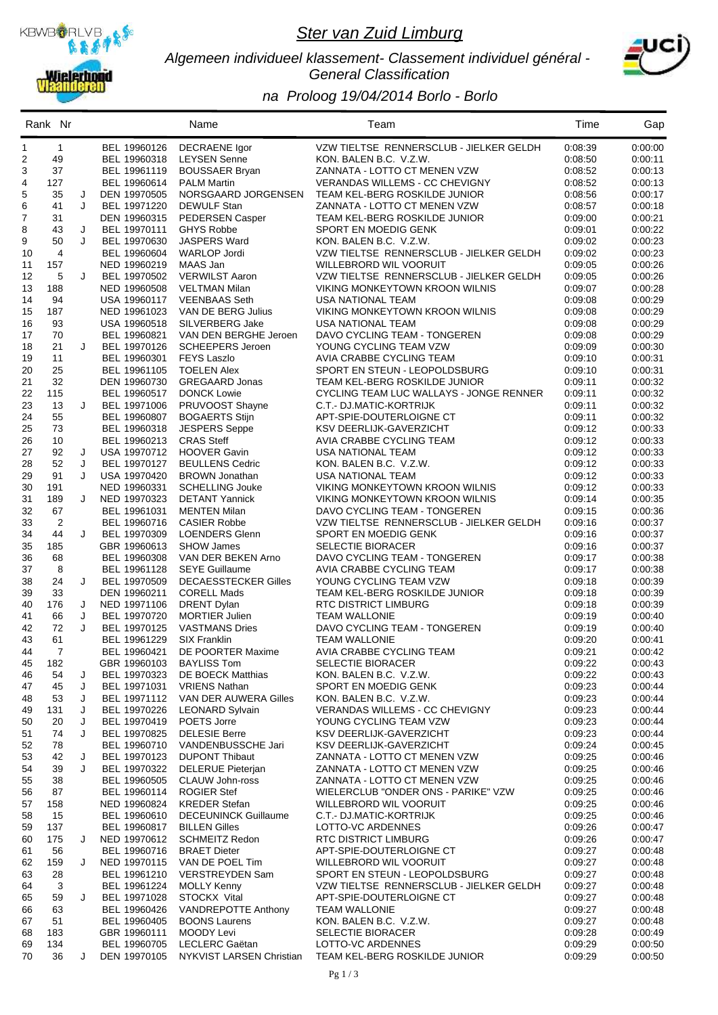

#### *Algemeen individueel klassement- Classement individuel général - General Classification*



|          | Rank Nr        |        |                              | Name                                            | Team                                                                    | Time               | Gap                |
|----------|----------------|--------|------------------------------|-------------------------------------------------|-------------------------------------------------------------------------|--------------------|--------------------|
| 1        | $\mathbf{1}$   |        | BEL 19960126                 | <b>DECRAENE</b> Igor                            | VZW TIELTSE RENNERSCLUB - JIELKER GELDH                                 | 0:08:39            | 0:00:00            |
| 2        | 49             |        | BEL 19960318                 | <b>LEYSEN Senne</b>                             | KON. BALEN B.C. V.Z.W.                                                  | 0:08:50            | 0:00:11            |
| 3        | 37             |        | BEL 19961119                 | <b>BOUSSAER Bryan</b>                           | ZANNATA - LOTTO CT MENEN VZW                                            | 0:08:52            | 0.00:13            |
| 4        | 127            |        | BEL 19960614                 | <b>PALM Martin</b>                              | <b>VERANDAS WILLEMS - CC CHEVIGNY</b>                                   | 0:08:52            | 0:00:13            |
| 5        | 35             | J      | DEN 19970505                 | NORSGAARD JORGENSEN                             | TEAM KEL-BERG ROSKILDE JUNIOR                                           | 0:08:56            | 0:00:17            |
| 6<br>7   | 41<br>31       | J      | BEL 19971220                 | <b>DEWULF Stan</b><br><b>PEDERSEN Casper</b>    | ZANNATA - LOTTO CT MENEN VZW<br>TEAM KEL-BERG ROSKILDE JUNIOR           | 0:08:57<br>0:09:00 | 0:00:18<br>0:00:21 |
| 8        | 43             | J      | DEN 19960315<br>BEL 19970111 | <b>GHYS Robbe</b>                               | SPORT EN MOEDIG GENK                                                    | 0:09:01            | 0:00:22            |
| 9        | 50             | J      | BEL 19970630                 | JASPERS Ward                                    | KON. BALEN B.C. V.Z.W.                                                  | 0:09:02            | 0:00:23            |
| 10       | 4              |        | BEL 19960604                 | <b>WARLOP Jordi</b>                             | VZW TIELTSE RENNERSCLUB - JIELKER GELDH                                 | 0:09:02            | 0:00:23            |
| 11       | 157            |        | NED 19960219                 | MAAS Jan                                        | WILLEBRORD WIL VOORUIT                                                  | 0:09:05            | 0:00:26            |
| 12       | 5              | J      | BEL 19970502                 | <b>VERWILST Aaron</b>                           | VZW TIELTSE RENNERSCLUB - JIELKER GELDH                                 | 0:09:05            | 0:00:26            |
| 13       | 188            |        | NED 19960508                 | VELTMAN Milan                                   | VIKING MONKEYTOWN KROON WILNIS                                          | 0:09:07            | 0:00:28            |
| 14       | 94             |        | USA 19960117                 | <b>VEENBAAS Seth</b>                            | USA NATIONAL TEAM                                                       | 0:09:08            | 0:00:29            |
| 15       | 187            |        | NED 19961023                 | VAN DE BERG Julius                              | VIKING MONKEYTOWN KROON WILNIS                                          | 0:09:08            | 0:00:29            |
| 16       | 93             |        | USA 19960518                 | SILVERBERG Jake                                 | <b>USA NATIONAL TEAM</b>                                                | 0:09:08            | 0:00:29            |
| 17       | 70<br>21       | J      | BEL 19960821                 | VAN DEN BERGHE Jeroen                           | DAVO CYCLING TEAM - TONGEREN                                            | 0:09:08            | 0:00:29            |
| 18<br>19 | 11             |        | BEL 19970126<br>BEL 19960301 | <b>SCHEEPERS Jeroen</b><br><b>FEYS Laszlo</b>   | YOUNG CYCLING TEAM VZW<br>AVIA CRABBE CYCLING TEAM                      | 0:09:09<br>0:09:10 | 0:00:30<br>0:00:31 |
| 20       | 25             |        | BEL 19961105                 | <b>TOELEN Alex</b>                              | SPORT EN STEUN - LEOPOLDSBURG                                           | 0:09:10            | 0:00:31            |
| 21       | 32             |        | DEN 19960730                 | <b>GREGAARD Jonas</b>                           | TEAM KEL-BERG ROSKILDE JUNIOR                                           | 0:09:11            | 0:00:32            |
| 22       | 115            |        | BEL 19960517                 | <b>DONCK Lowie</b>                              | CYCLING TEAM LUC WALLAYS - JONGE RENNER                                 | 0:09:11            | 0:00:32            |
| 23       | 13             | J      | BEL 19971006                 | PRUVOOST Shayne                                 | C.T.- DJ.MATIC-KORTRIJK                                                 | 0:09:11            | 0:00:32            |
| 24       | 55             |        | BEL 19960807                 | <b>BOGAERTS Stijn</b>                           | APT-SPIE-DOUTERLOIGNE CT                                                | 0:09:11            | 0:00:32            |
| 25       | 73             |        | BEL 19960318                 | <b>JESPERS Seppe</b>                            | KSV DEERLIJK-GAVERZICHT                                                 | 0:09:12            | 0:00:33            |
| 26       | 10             |        | BEL 19960213                 | <b>CRAS Steff</b>                               | AVIA CRABBE CYCLING TEAM                                                | 0:09:12            | 0:00:33            |
| 27       | 92             | J      | USA 19970712                 | <b>HOOVER Gavin</b>                             | <b>USA NATIONAL TEAM</b>                                                | 0.09:12            | 0:00:33            |
| 28       | 52             | J      | BEL 19970127                 | <b>BEULLENS Cedric</b>                          | KON. BALEN B.C. V.Z.W.                                                  | 0.09:12            | 0:00:33            |
| 29       | 91             | J      | USA 19970420                 | <b>BROWN Jonathan</b>                           | USA NATIONAL TEAM                                                       | 0:09:12            | 0:00:33            |
| 30<br>31 | 191<br>189     | J      | NED 19960331<br>NED 19970323 | <b>SCHELLING Jouke</b><br><b>DETANT Yannick</b> | VIKING MONKEYTOWN KROON WILNIS<br><b>VIKING MONKEYTOWN KROON WILNIS</b> | 0:09:12<br>0:09:14 | 0:00:33<br>0:00:35 |
| 32       | 67             |        | BEL 19961031                 | <b>MENTEN Milan</b>                             | DAVO CYCLING TEAM - TONGEREN                                            | 0:09:15            | 0:00:36            |
| 33       | $\overline{c}$ |        | BEL 19960716                 | <b>CASIER Robbe</b>                             | VZW TIELTSE RENNERSCLUB - JIELKER GELDH                                 | 0:09:16            | 0:00:37            |
| 34       | 44             | J      | BEL 19970309                 | <b>LOENDERS Glenn</b>                           | SPORT EN MOEDIG GENK                                                    | 0:09:16            | 0:00:37            |
| 35       | 185            |        | GBR 19960613                 | <b>SHOW James</b>                               | <b>SELECTIE BIORACER</b>                                                | 0:09:16            | 0:00:37            |
| 36       | 68             |        | BEL 19960308                 | VAN DER BEKEN Arno                              | DAVO CYCLING TEAM - TONGEREN                                            | 0:09:17            | 0:00:38            |
| 37       | 8              |        | BEL 19961128                 | <b>SEYE Guillaume</b>                           | AVIA CRABBE CYCLING TEAM                                                | 0:09:17            | 0:00:38            |
| 38       | 24             | J      | BEL 19970509                 | <b>DECAESSTECKER Gilles</b>                     | YOUNG CYCLING TEAM VZW                                                  | 0:09:18            | 0:00:39            |
| 39       | 33             |        | DEN 19960211                 | <b>CORELL Mads</b>                              | TEAM KEL-BERG ROSKILDE JUNIOR                                           | 0.09:18            | 0:00:39            |
| 40       | 176            | J      | NED 19971106<br>BEL 19970720 | <b>DRENT Dylan</b>                              | RTC DISTRICT LIMBURG                                                    | 0:09:18            | 0:00:39            |
| 41<br>42 | 66<br>72       | J<br>J | BEL 19970125                 | <b>MORTIER Julien</b><br><b>VASTMANS Dries</b>  | <b>TEAM WALLONIE</b><br>DAVO CYCLING TEAM - TONGEREN                    | 0:09:19<br>0:09:19 | 0:00:40<br>0:00:40 |
| 43       | 61             |        | BEL 19961229                 | <b>SIX Franklin</b>                             | <b>TEAM WALLONIE</b>                                                    | 0:09:20            | 0.00:41            |
| 44       | 7              |        | BEL 19960421                 | DE POORTER Maxime                               | AVIA CRABBE CYCLING TEAM                                                | 0:09:21            | 0:00:42            |
| 45       | 182            |        | GBR 19960103                 | <b>BAYLISS Tom</b>                              | SELECTIE BIORACER                                                       | 0:09:22            | 0:00:43            |
| 46       | 54             | J      | BEL 19970323                 | <b>DE BOECK Matthias</b>                        | KON. BALEN B.C. V.Z.W.                                                  | 0:09:22            | 0.00.43            |
| 47       | 45             | J      | BEL 19971031                 | <b>VRIENS Nathan</b>                            | SPORT EN MOEDIG GENK                                                    | 0:09:23            | 0:00:44            |
| 48       | 53             | J      | BEL 19971112                 | VAN DER AUWERA Gilles                           | KON. BALEN B.C. V.Z.W.                                                  | 0:09:23            | 0.00:44            |
| 49       | 131            | J      | BEL 19970226                 | <b>LEONARD Sylvain</b>                          | VERANDAS WILLEMS - CC CHEVIGNY                                          | 0:09:23            | 0:00:44            |
| 50       | 20             | J      | BEL 19970419                 | POETS Jorre                                     | YOUNG CYCLING TEAM VZW                                                  | 0:09:23            | 0:00:44            |
| 51<br>52 | 74<br>78       | J      | BEL 19970825<br>BEL 19960710 | <b>DELESIE Berre</b><br>VANDENBUSSCHE Jari      | KSV DEERLIJK-GAVERZICHT<br>KSV DEERLIJK-GAVERZICHT                      | 0:09:23<br>0:09:24 | 0:00:44<br>0.00:45 |
| 53       | 42             | J      | BEL 19970123                 | <b>DUPONT Thibaut</b>                           | ZANNATA - LOTTO CT MENEN VZW                                            | 0:09:25            | 0.00:46            |
| 54       | 39             | J      | BEL 19970322                 | <b>DELERUE Pieterjan</b>                        | ZANNATA - LOTTO CT MENEN VZW                                            | 0:09:25            | 0.00:46            |
| 55       | 38             |        | BEL 19960505                 | <b>CLAUW John-ross</b>                          | ZANNATA - LOTTO CT MENEN VZW                                            | 0:09:25            | 0:00:46            |
| 56       | 87             |        | BEL 19960114                 | <b>ROGIER Stef</b>                              | WIELERCLUB "ONDER ONS - PARIKE" VZW                                     | 0:09:25            | 0.00:46            |
| 57       | 158            |        | NED 19960824                 | <b>KREDER Stefan</b>                            | WILLEBRORD WIL VOORUIT                                                  | 0:09:25            | 0:00:46            |
| 58       | 15             |        | BEL 19960610                 | <b>DECEUNINCK Guillaume</b>                     | C.T.- DJ.MATIC-KORTRIJK                                                 | 0:09:25            | 0.00:46            |
| 59       | 137            |        | BEL 19960817                 | <b>BILLEN Gilles</b>                            | LOTTO-VC ARDENNES                                                       | 0:09:26            | 0.00:47            |
| 60       | 175            | J      | NED 19970612                 | <b>SCHMEITZ Redon</b>                           | RTC DISTRICT LIMBURG                                                    | 0:09:26            | 0.00:47            |
| 61       | 56             |        | BEL 19960716                 | <b>BRAET Dieter</b>                             | APT-SPIE-DOUTERLOIGNE CT                                                | 0:09:27            | 0:00:48            |
| 62<br>63 | 159<br>28      | J      | NED 19970115<br>BEL 19961210 | VAN DE POEL Tim<br><b>VERSTREYDEN Sam</b>       | WILLEBRORD WIL VOORUIT<br>SPORT EN STEUN - LEOPOLDSBURG                 | 0:09:27<br>0:09:27 | 0:00:48<br>0:00:48 |
| 64       | 3              |        | BEL 19961224                 | <b>MOLLY Kenny</b>                              | VZW TIELTSE RENNERSCLUB - JIELKER GELDH                                 | 0:09:27            | 0.00:48            |
| 65       | 59             | J      | BEL 19971028                 | STOCKX Vital                                    | APT-SPIE-DOUTERLOIGNE CT                                                | 0:09:27            | 0:00:48            |
| 66       | 63             |        | BEL 19960426                 | VANDREPOTTE Anthony                             | <b>TEAM WALLONIE</b>                                                    | 0:09:27            | 0:00:48            |
| 67       | 51             |        | BEL 19960405                 | <b>BOONS Laurens</b>                            | KON. BALEN B.C. V.Z.W.                                                  | 0:09:27            | 0:00:48            |
| 68       | 183            |        | GBR 19960111                 | MOODY Levi                                      | <b>SELECTIE BIORACER</b>                                                | 0:09:28            | 0.00:49            |
| 69       | 134            |        | BEL 19960705                 | LECLERC Gaëtan                                  | LOTTO-VC ARDENNES                                                       | 0:09:29            | 0:00:50            |
| 70       | 36             | J      | DEN 19970105                 | NYKVIST LARSEN Christian                        | TEAM KEL-BERG ROSKILDE JUNIOR                                           | 0:09:29            | 0.00:50            |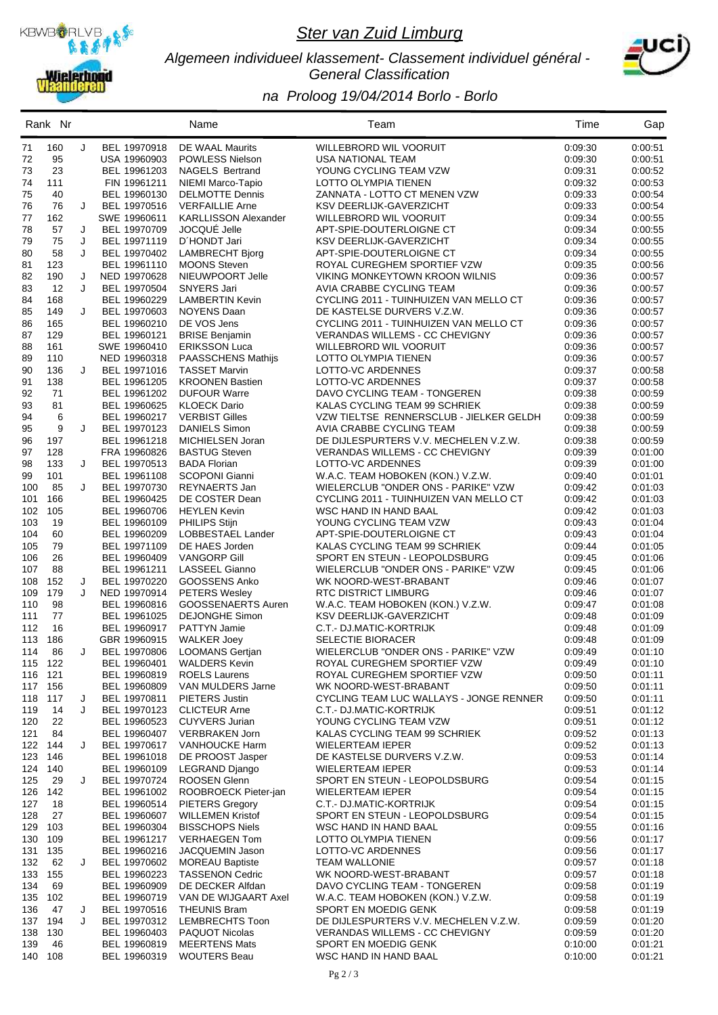

#### *Algemeen individueel klassement- Classement individuel général - General Classification*



|                | Rank Nr    |   |                              | Name                                              | Team                                                                          | Time               | Gap                |
|----------------|------------|---|------------------------------|---------------------------------------------------|-------------------------------------------------------------------------------|--------------------|--------------------|
| 71             | 160        | J | BEL 19970918                 | DE WAAL Maurits                                   | <b>WILLEBRORD WIL VOORUIT</b>                                                 | 0:09:30            | 0:00:51            |
| 72             | 95         |   | USA 19960903                 | <b>POWLESS Nielson</b>                            | USA NATIONAL TEAM                                                             | 0:09:30            | 0:00:51            |
| 73             | 23         |   | BEL 19961203                 | <b>NAGELS Bertrand</b>                            | YOUNG CYCLING TEAM VZW                                                        | 0:09:31            | 0:00:52            |
| 74             | 111        |   | FIN 19961211                 | NIEMI Marco-Tapio                                 | LOTTO OLYMPIA TIENEN                                                          | 0:09:32            | 0:00:53            |
| 75             | 40         |   | BEL 19960130                 | <b>DELMOTTE Dennis</b>                            | ZANNATA - LOTTO CT MENEN VZW                                                  | 0:09:33            | 0:00:54            |
| 76             | 76         | J | BEL 19970516                 | <b>VERFAILLIE Arne</b>                            | KSV DEERLIJK-GAVERZICHT                                                       | 0:09:33            | 0:00:54            |
| 77<br>78       | 162<br>57  | J | SWE 19960611<br>BEL 19970709 | <b>KARLLISSON Alexander</b><br>JOCQUÉ Jelle       | WILLEBRORD WIL VOORUIT<br>APT-SPIE-DOUTERLOIGNE CT                            | 0:09:34<br>0:09:34 | 0:00:55<br>0:00:55 |
| 79             | 75         | J | BEL 19971119                 | D'HONDT Jari                                      | KSV DEERLIJK-GAVERZICHT                                                       | 0:09:34            | 0:00:55            |
| 80             | 58         | J | BEL 19970402                 | <b>LAMBRECHT Bjorg</b>                            | APT-SPIE-DOUTERLOIGNE CT                                                      | 0:09:34            | 0:00:55            |
| 81             | 123        |   | BEL 19961110                 | <b>MOONS Steven</b>                               | ROYAL CUREGHEM SPORTIEF VZW                                                   | 0:09:35            | 0:00:56            |
| 82             | 190        | J | NED 19970628                 | NIEUWPOORT Jelle                                  | <b>VIKING MONKEYTOWN KROON WILNIS</b>                                         | 0:09:36            | 0:00:57            |
| 83             | 12         | J | BEL 19970504                 | SNYERS Jari                                       | AVIA CRABBE CYCLING TEAM                                                      | 0:09:36            | 0:00:57            |
| 84             | 168        |   | BEL 19960229                 | <b>LAMBERTIN Kevin</b>                            | CYCLING 2011 - TUINHUIZEN VAN MELLO CT                                        | 0:09:36            | 0:00:57            |
| 85             | 149        | J | BEL 19970603                 | <b>NOYENS Daan</b>                                | DE KASTELSE DURVERS V.Z.W.                                                    | 0:09:36            | 0:00:57            |
| 86             | 165        |   | BEL 19960210                 | DE VOS Jens                                       | CYCLING 2011 - TUINHUIZEN VAN MELLO CT                                        | 0:09:36            | 0:00:57            |
| 87             | 129        |   | BEL 19960121                 | <b>BRISE Benjamin</b>                             | VERANDAS WILLEMS - CC CHEVIGNY                                                | 0:09:36            | 0:00:57            |
| 88<br>89       | 161<br>110 |   | SWE 19960410<br>NED 19960318 | <b>ERIKSSON Luca</b><br><b>PAASSCHENS Mathijs</b> | WILLEBRORD WIL VOORUIT<br>LOTTO OLYMPIA TIENEN                                | 0:09:36<br>0:09:36 | 0:00:57<br>0:00:57 |
| 90             | 136        | J | BEL 19971016                 | <b>TASSET Marvin</b>                              | LOTTO-VC ARDENNES                                                             | 0:09:37            | 0:00:58            |
| 91             | 138        |   | BEL 19961205                 | <b>KROONEN Bastien</b>                            | LOTTO-VC ARDENNES                                                             | 0:09:37            | 0:00:58            |
| 92             | 71         |   | BEL 19961202                 | <b>DUFOUR Warre</b>                               | DAVO CYCLING TEAM - TONGEREN                                                  | 0:09:38            | 0:00:59            |
| 93             | 81         |   | BEL 19960625                 | <b>KLOECK Dario</b>                               | KALAS CYCLING TEAM 99 SCHRIEK                                                 | 0:09:38            | 0:00:59            |
| 94             | 6          |   | BEL 19960217                 | <b>VERBIST Gilles</b>                             | VZW TIELTSE RENNERSCLUB - JIELKER GELDH                                       | 0:09:38            | 0:00:59            |
| 95             | 9          | J | BEL 19970123                 | <b>DANIELS Simon</b>                              | AVIA CRABBE CYCLING TEAM                                                      | 0:09:38            | 0:00:59            |
| 96             | 197        |   | BEL 19961218                 | MICHIELSEN Joran                                  | DE DIJLESPURTERS V.V. MECHELEN V.Z.W.                                         | 0:09:38            | 0:00:59            |
| 97             | 128        |   | FRA 19960826                 | <b>BASTUG Steven</b>                              | VERANDAS WILLEMS - CC CHEVIGNY                                                | 0:09:39            | 0.01:00            |
| 98             | 133        | J | BEL 19970513                 | <b>BADA Florian</b>                               | LOTTO-VC ARDENNES                                                             | 0:09:39            | 0:01:00            |
| 99<br>100      | 101<br>85  | J | BEL 19961108                 | <b>SCOPONI Gianni</b><br>REYNAERTS Jan            | W.A.C. TEAM HOBOKEN (KON.) V.Z.W.                                             | 0:09:40<br>0:09:42 | 0.01:01<br>0:01:03 |
| 101            | 166        |   | BEL 19970730<br>BEL 19960425 | DE COSTER Dean                                    | WIELERCLUB "ONDER ONS - PARIKE" VZW<br>CYCLING 2011 - TUINHUIZEN VAN MELLO CT | 0:09:42            | 0:01:03            |
| 102            | 105        |   | BEL 19960706                 | <b>HEYLEN Kevin</b>                               | WSC HAND IN HAND BAAL                                                         | 0:09:42            | 0:01:03            |
| 103            | 19         |   | BEL 19960109                 | PHILIPS Stijn                                     | YOUNG CYCLING TEAM VZW                                                        | 0:09:43            | 0:01:04            |
| 104            | 60         |   | BEL 19960209                 | LOBBESTAEL Lander                                 | APT-SPIE-DOUTERLOIGNE CT                                                      | 0:09:43            | 0:01:04            |
| 105            | 79         |   | BEL 19971109                 | DE HAES Jorden                                    | KALAS CYCLING TEAM 99 SCHRIEK                                                 | 0:09:44            | 0.01:05            |
| 106            | 26         |   | BEL 19960409                 | <b>VANGORP Gill</b>                               | SPORT EN STEUN - LEOPOLDSBURG                                                 | 0:09:45            | 0.01:06            |
| 107            | 88         |   | BEL 19961211                 | <b>LASSEEL Gianno</b>                             | WIELERCLUB "ONDER ONS - PARIKE" VZW                                           | 0:09:45            | 0.01:06            |
| 108            | 152        | J | BEL 19970220                 | GOOSSENS Anko                                     | WK NOORD-WEST-BRABANT                                                         | 0:09:46            | 0:01:07            |
| 109            | 179<br>98  | J | NED 19970914                 | <b>PETERS Wesley</b>                              | <b>RTC DISTRICT LIMBURG</b>                                                   | 0:09:46            | 0:01:07            |
| 110<br>111     | 77         |   | BEL 19960816<br>BEL 19961025 | GOOSSENAERTS Auren<br><b>DEJONGHE Simon</b>       | W.A.C. TEAM HOBOKEN (KON.) V.Z.W.<br>KSV DEERLIJK-GAVERZICHT                  | 0:09:47<br>0:09:48 | 0.01:08<br>0:01:09 |
| 112            | 16         |   | BEL 19960917                 | <b>PATTYN Jamie</b>                               | C.T.- DJ.MATIC-KORTRIJK                                                       | 0:09:48            | 0:01:09            |
| 113            | 186        |   | GBR 19960915                 | <b>WALKER Joey</b>                                | <b>SELECTIE BIORACER</b>                                                      | 0:09:48            | 0:01:09            |
| 114            | 86         | J | BEL 19970806                 | <b>LOOMANS Gertjan</b>                            | WIELERCLUB "ONDER ONS - PARIKE" VZW                                           | 0.09:49            | 0.01:10            |
| 115 122        |            |   | BEL 19960401                 | <b>WALDERS Kevin</b>                              | ROYAL CUREGHEM SPORTIEF VZW                                                   | 0:09:49            | 0.01:10            |
| 116 121        |            |   | BEL 19960819                 | <b>ROELS Laurens</b>                              | ROYAL CUREGHEM SPORTIEF VZW                                                   | 0:09:50            | 0.01:11            |
| 117 156        |            |   | BEL 19960809                 | VAN MULDERS Jarne                                 | WK NOORD-WEST-BRABANT                                                         | 0:09:50            | 0:01:11            |
|                | 118 117    | J | BEL 19970811                 | PIETERS Justin                                    | CYCLING TEAM LUC WALLAYS - JONGE RENNER                                       | 0:09:50            | 0:01:11            |
| 119            | 14<br>22   | J | BEL 19970123<br>BEL 19960523 | <b>CLICTEUR Arne</b><br><b>CUYVERS Jurian</b>     | C.T.- DJ.MATIC-KORTRIJK<br>YOUNG CYCLING TEAM VZW                             | 0:09:51            | 0:01:12<br>0:01:12 |
| 120<br>121     | 84         |   | BEL 19960407                 | <b>VERBRAKEN Jorn</b>                             | KALAS CYCLING TEAM 99 SCHRIEK                                                 | 0:09:51<br>0:09:52 | 0:01:13            |
|                | 122 144    | J | BEL 19970617                 | <b>VANHOUCKE Harm</b>                             | WIELERTEAM IEPER                                                              | 0:09:52            | 0:01:13            |
| 123            | 146        |   | BEL 19961018                 | DE PROOST Jasper                                  | DE KASTELSE DURVERS V.Z.W.                                                    | 0:09:53            | 0:01:14            |
|                | 124 140    |   | BEL 19960109                 | <b>LEGRAND Django</b>                             | WIELERTEAM IEPER                                                              | 0:09:53            | 0:01:14            |
| 125            | 29         | J | BEL 19970724                 | ROOSEN Glenn                                      | SPORT EN STEUN - LEOPOLDSBURG                                                 | 0:09:54            | 0:01:15            |
|                | 126 142    |   | BEL 19961002                 | ROOBROECK Pieter-jan                              | WIELERTEAM IEPER                                                              | 0:09:54            | 0:01:15            |
| 127            | 18         |   | BEL 19960514                 | <b>PIETERS Gregory</b>                            | C.T.- DJ.MATIC-KORTRIJK                                                       | 0:09:54            | 0:01:15            |
| 128            | 27         |   | BEL 19960607                 | <b>WILLEMEN Kristof</b>                           | SPORT EN STEUN - LEOPOLDSBURG                                                 | 0:09:54            | 0:01:15            |
|                | 129 103    |   | BEL 19960304                 | <b>BISSCHOPS Niels</b>                            | WSC HAND IN HAND BAAL                                                         | 0:09:55            | 0:01:16            |
| 130<br>131 135 | 109        |   | BEL 19961217<br>BEL 19960216 | <b>VERHAEGEN Tom</b><br>JACQUEMIN Jason           | LOTTO OLYMPIA TIENEN<br>LOTTO-VC ARDENNES                                     | 0:09:56<br>0:09:56 | 0:01:17<br>0:01:17 |
| 132            | 62         | J | BEL 19970602                 | <b>MOREAU Baptiste</b>                            | <b>TEAM WALLONIE</b>                                                          | 0:09:57            | 0:01:18            |
|                | 133 155    |   | BEL 19960223                 | <b>TASSENON Cedric</b>                            | WK NOORD-WEST-BRABANT                                                         | 0:09:57            | 0:01:18            |
| 134            | 69         |   | BEL 19960909                 | DE DECKER Alfdan                                  | DAVO CYCLING TEAM - TONGEREN                                                  | 0:09:58            | 0:01:19            |
|                | 135 102    |   | BEL 19960719                 | VAN DE WIJGAART Axel                              | W.A.C. TEAM HOBOKEN (KON.) V.Z.W.                                             | 0:09:58            | 0:01:19            |
| 136            | 47         | J | BEL 19970516                 | <b>THEUNIS Bram</b>                               | SPORT EN MOEDIG GENK                                                          | 0:09:58            | 0:01:19            |
|                | 137 194    | J | BEL 19970312                 | <b>LEMBRECHTS Toon</b>                            | DE DIJLESPURTERS V.V. MECHELEN V.Z.W.                                         | 0:09:59            | 0:01:20            |
| 138 130        |            |   | BEL 19960403                 | PAQUOT Nicolas                                    | VERANDAS WILLEMS - CC CHEVIGNY                                                | 0:09:59            | 0:01:20            |
| 139            | 46         |   | BEL 19960819                 | <b>MEERTENS Mats</b>                              | SPORT EN MOEDIG GENK                                                          | 0:10:00            | 0:01:21            |
| 140 108        |            |   | BEL 19960319                 | <b>WOUTERS Beau</b>                               | WSC HAND IN HAND BAAL                                                         | 0.10:00            | 0.01:21            |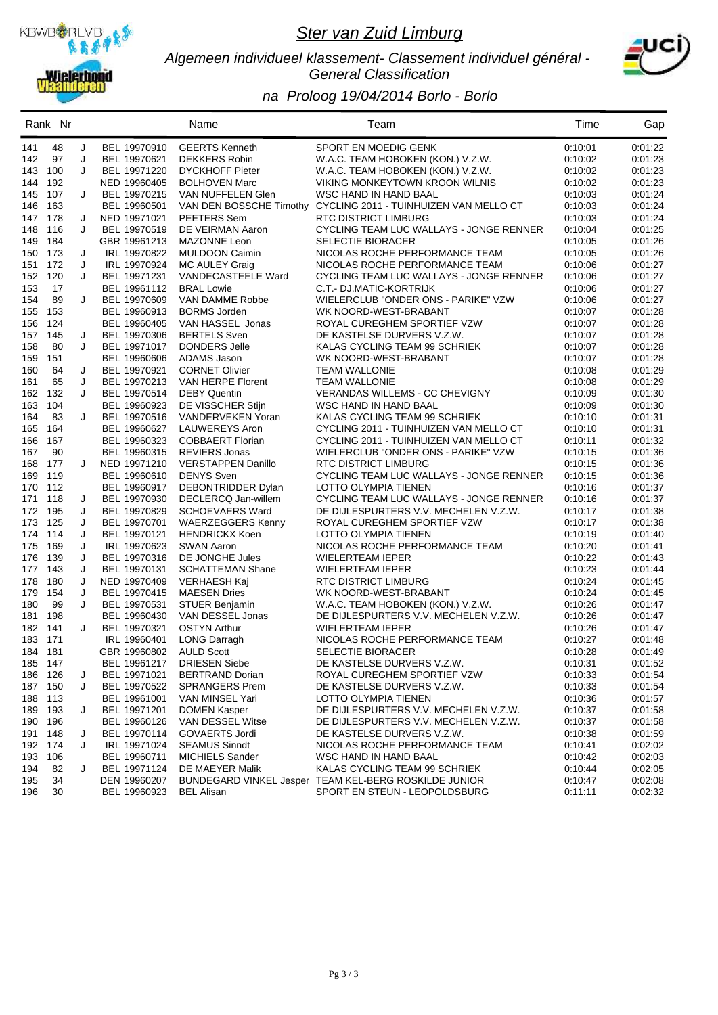

#### *Algemeen individueel klassement- Classement individuel général - General Classification*



|         | Rank Nr |   |                              | Name                      | Team                                                           | Time    | Gap                |
|---------|---------|---|------------------------------|---------------------------|----------------------------------------------------------------|---------|--------------------|
| 141     | 48      | J | BEL 19970910                 | <b>GEERTS Kenneth</b>     | SPORT EN MOEDIG GENK                                           | 0:10:01 | 0.01.22            |
| 142     | 97      | J | BEL 19970621                 | <b>DEKKERS Robin</b>      | W.A.C. TEAM HOBOKEN (KON.) V.Z.W.                              | 0:10:02 | 0:01:23            |
| 143     | 100     | J | BEL 19971220                 | <b>DYCKHOFF Pieter</b>    | W.A.C. TEAM HOBOKEN (KON.) V.Z.W.                              | 0:10:02 | 0:01:23            |
| 144     | 192     |   | NED 19960405                 | <b>BOLHOVEN Marc</b>      | VIKING MONKEYTOWN KROON WILNIS                                 | 0:10:02 | 0:01:23            |
| 145     | 107     | J | BEL 19970215                 | VAN NUFFELEN Glen         | WSC HAND IN HAND BAAL                                          | 0:10:03 | 0:01:24            |
| 146     | 163     |   | BEL 19960501                 |                           | VAN DEN BOSSCHE Timothy CYCLING 2011 - TUINHUIZEN VAN MELLO CT | 0:10:03 | 0:01:24            |
| 147     | 178     | J | NED 19971021                 | PEETERS Sem               | RTC DISTRICT LIMBURG                                           | 0:10:03 | 0:01:24            |
| 148     | 116     | J | BEL 19970519                 | DE VEIRMAN Aaron          | CYCLING TEAM LUC WALLAYS - JONGE RENNER                        | 0:10:04 | 0:01:25            |
| 149     | 184     |   | GBR 19961213                 | MAZONNE Leon              | <b>SELECTIE BIORACER</b>                                       | 0:10:05 | 0.01:26            |
| 150     | 173     | J | IRL 19970822                 | <b>MULDOON Caimin</b>     | NICOLAS ROCHE PERFORMANCE TEAM                                 | 0:10:05 | 0:01:26            |
| 151     | 172     | J | IRL 19970924                 | <b>MC AULEY Graig</b>     | NICOLAS ROCHE PERFORMANCE TEAM                                 | 0:10:06 | 0.01:27            |
| 152     | 120     | J | BEL 19971231                 | VANDECASTEELE Ward        | CYCLING TEAM LUC WALLAYS - JONGE RENNER                        | 0:10:06 | 0:01:27            |
| 153     | 17      |   | BEL 19961112                 | <b>BRAL Lowie</b>         | C.T.- DJ.MATIC-KORTRIJK                                        | 0:10:06 | 0.01:27            |
| 154     | 89      | J | BEL 19970609                 | VAN DAMME Robbe           | WIELERCLUB "ONDER ONS - PARIKE" VZW                            | 0:10:06 | 0:01:27            |
| 155     | 153     |   | BEL 19960913                 | <b>BORMS</b> Jorden       | WK NOORD-WEST-BRABANT                                          | 0:10:07 | 0:01:28            |
| 156     | 124     |   | BEL 19960405                 | VAN HASSEL Jonas          | ROYAL CUREGHEM SPORTIEF VZW                                    | 0:10:07 | 0:01:28            |
| 157     | 145     | J | BEL 19970306                 | <b>BERTELS</b> Sven       | DE KASTELSE DURVERS V.Z.W.                                     | 0:10:07 | 0.01:28            |
| 158     | 80      | J | BEL 19971017                 | DONDERS Jelle             | KALAS CYCLING TEAM 99 SCHRIEK                                  | 0:10:07 | 0:01:28            |
| 159     | 151     |   | BEL 19960606                 | ADAMS Jason               | WK NOORD-WEST-BRABANT                                          | 0:10:07 | 0.01:28            |
| 160     | 64      | J | BEL 19970921                 | <b>CORNET Olivier</b>     | TEAM WALLONIE                                                  | 0:10:08 | 0:01:29            |
| 161     | 65      | J | BEL 19970213                 | VAN HERPE Florent         | TEAM WALLONIE                                                  | 0:10:08 | 0:01:29            |
| 162     | 132     | J | BEL 19970514                 | <b>DEBY Quentin</b>       | VERANDAS WILLEMS - CC CHEVIGNY                                 | 0:10:09 | 0.01:30            |
| 163     | 104     |   | BEL 19960923                 | DE VISSCHER Stijn         | <b>WSC HAND IN HAND BAAL</b>                                   | 0:10:09 | 0:01:30            |
| 164     | 83      | J | BEL 19970516                 | VANDERVEKEN Yoran         | KALAS CYCLING TEAM 99 SCHRIEK                                  | 0:10:10 | 0:01:31            |
| 165     | 164     |   | BEL 19960627                 | LAUWEREYS Aron            | CYCLING 2011 - TUINHUIZEN VAN MELLO CT                         | 0:10:10 | 0.01:31            |
| 166     | 167     |   | BEL 19960323                 | <b>COBBAERT Florian</b>   | CYCLING 2011 - TUINHUIZEN VAN MELLO CT                         | 0:10:11 | 0:01:32            |
| 167     | 90      |   | BEL 19960315                 | <b>REVIERS Jonas</b>      | WIELERCLUB "ONDER ONS - PARIKE" VZW                            | 0:10:15 | 0:01:36            |
| 168     | 177     | J | NED 19971210                 | <b>VERSTAPPEN Danillo</b> | RTC DISTRICT LIMBURG                                           | 0:10:15 | 0.01:36            |
| 169     | 119     |   | BEL 19960610                 | <b>DENYS</b> Sven         | CYCLING TEAM LUC WALLAYS - JONGE RENNER                        | 0:10:15 | 0:01:36            |
| 170     | 112     |   | BEL 19960917                 | DEBONTRIDDER Dylan        | LOTTO OLYMPIA TIENEN                                           | 0:10:16 | 0.01:37            |
| 171     | 118     | J | BEL 19970930                 | DECLERCQ Jan-willem       | CYCLING TEAM LUC WALLAYS - JONGE RENNER                        | 0:10:16 | 0:01:37            |
| 172     | 195     | J | BEL 19970829                 | <b>SCHOEVAERS Ward</b>    | DE DIJLESPURTERS V.V. MECHELEN V.Z.W.                          | 0:10:17 | 0:01:38            |
| 173     | 125     | J | BEL 19970701                 | <b>WAERZEGGERS Kenny</b>  | ROYAL CUREGHEM SPORTIEF VZW                                    | 0:10:17 | 0.01:38            |
| 174     | 114     | J | BEL 19970121                 | <b>HENDRICKX Koen</b>     | LOTTO OLYMPIA TIENEN                                           | 0:10:19 | 0:01:40            |
| 175     | 169     | J | IRL 19970623                 | <b>SWAN Aaron</b>         | NICOLAS ROCHE PERFORMANCE TEAM                                 | 0:10:20 | 0:01:41            |
| 176     | 139     | J | BEL 19970316                 | DE JONGHE Jules           | WIELERTEAM IEPER                                               | 0:10:22 | 0:01:43            |
| 177     | 143     | J | BEL 19970131                 | <b>SCHATTEMAN Shane</b>   | WIELERTEAM IEPER                                               | 0:10:23 | 0.01:44            |
| 178     | 180     | J | NED 19970409                 | <b>VERHAESH Kaj</b>       | RTC DISTRICT LIMBURG                                           | 0:10:24 | 0:01:45            |
| 179     | 154     | J | BEL 19970415                 | <b>MAESEN Dries</b>       | WK NOORD-WEST-BRABANT                                          | 0:10:24 | 0:01:45            |
| 180     | 99      | J | BEL 19970531                 | <b>STUER Benjamin</b>     | W.A.C. TEAM HOBOKEN (KON.) V.Z.W.                              | 0:10:26 | 0:01:47            |
| 181     | 198     |   | BEL 19960430                 | VAN DESSEL Jonas          | DE DIJLESPURTERS V.V. MECHELEN V.Z.W.                          | 0:10:26 | 0:01:47            |
| 182     | 141     | J | BEL 19970321                 | <b>OSTYN Arthur</b>       | WIELERTEAM IEPER                                               | 0.10:26 | 0:01:47            |
| 183 171 |         |   | IRL 19960401                 | <b>LONG Darragh</b>       | NICOLAS ROCHE PERFORMANCE TEAM                                 | 0:10:27 | 0:01:48            |
| 184 181 |         |   | GBR 19960802                 | <b>AULD Scott</b>         | SELECTIE BIORACER                                              | 0:10:28 | 0:01:49            |
| 185 147 |         |   | BEL 19961217                 | <b>DRIESEN Siebe</b>      | DE KASTELSE DURVERS V.Z.W.                                     | 0:10:31 | 0.01:52            |
|         | 186 126 | J | BEL 19971021                 | <b>BERTRAND Dorian</b>    | ROYAL CUREGHEM SPORTIEF VZW                                    | 0:10:33 | 0:01:54            |
| 187 150 |         | J | BEL 19970522                 | <b>SPRANGERS Prem</b>     | DE KASTELSE DURVERS V.Z.W.                                     | 0:10:33 | 0:01:54            |
|         | 188 113 |   | BEL 19961001                 | VAN MINSEL Yari           | LOTTO OLYMPIA TIENEN                                           | 0:10:36 | 0:01:57            |
|         | 189 193 | J | BEL 19971201                 | <b>DOMEN Kasper</b>       | DE DIJLESPURTERS V.V. MECHELEN V.Z.W.                          | 0:10:37 | 0.01:58            |
|         | 190 196 |   | BEL 19960126                 | VAN DESSEL Witse          | DE DIJLESPURTERS V.V. MECHELEN V.Z.W.                          | 0:10:37 | 0:01:58            |
| 191 148 |         | J | BEL 19970114                 | <b>GOVAERTS Jordi</b>     | DE KASTELSE DURVERS V.Z.W.                                     | 0:10:38 | 0:01:59            |
| 192 174 |         | J | IRL 19971024                 | <b>SEAMUS Sinndt</b>      | NICOLAS ROCHE PERFORMANCE TEAM                                 | 0:10:41 | 0:02:02            |
|         | 106     |   | BEL 19960711                 | <b>MICHIELS Sander</b>    | WSC HAND IN HAND BAAL                                          | 0:10:42 | 0:02:03            |
| 193     | 82      |   |                              |                           | KALAS CYCLING TEAM 99 SCHRIEK                                  |         |                    |
| 194     | 34      | J | BEL 19971124                 | DE MAEYER Malik           | BUNDEGARD VINKEL Jesper TEAM KEL-BERG ROSKILDE JUNIOR          | 0:10:44 | 0:02:05<br>0.02:08 |
| 195     | 30      |   | DEN 19960207<br>BEL 19960923 |                           | SPORT EN STEUN - LEOPOLDSBURG                                  | 0:10:47 |                    |
| 196     |         |   |                              | <b>BEL Alisan</b>         |                                                                | 0:11:11 | 0:02:32            |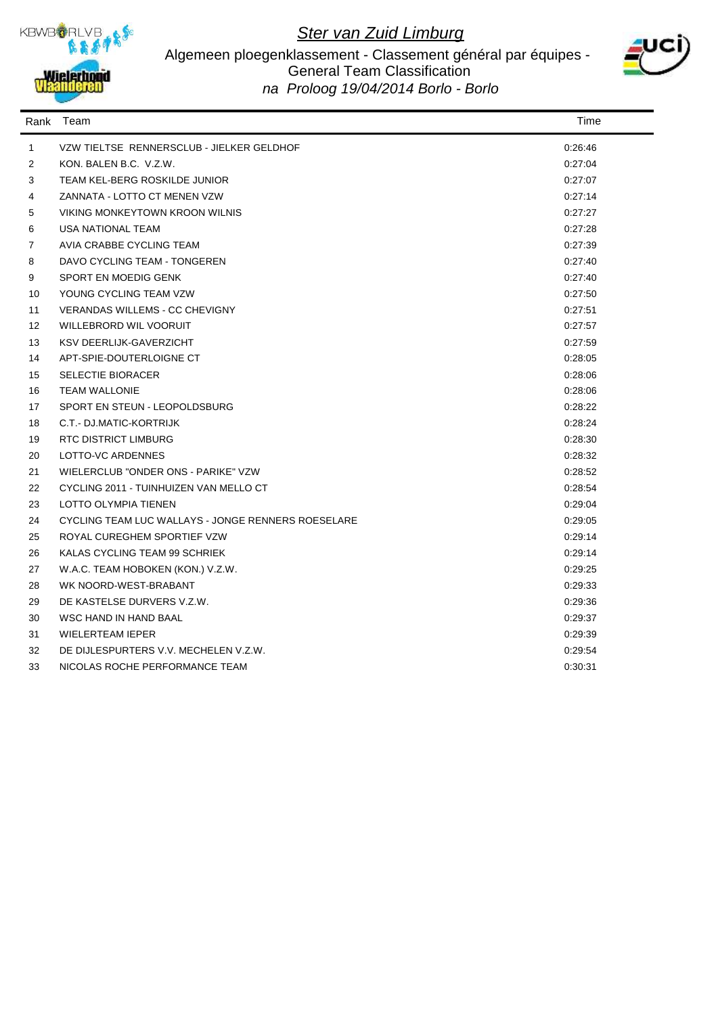

#### Algemeen ploegenklassement - Classement général par équipes - General Team Classification *na Proloog 19/04/2014 Borlo - Borlo*



| Rank              | Team                                               | Time    |
|-------------------|----------------------------------------------------|---------|
| $\mathbf{1}$      | VZW TIELTSE RENNERSCLUB - JIELKER GELDHOF          | 0:26:46 |
| 2                 | KON. BALEN B.C. V.Z.W.                             | 0:27:04 |
| 3                 | TEAM KEL-BERG ROSKILDE JUNIOR                      | 0:27:07 |
| 4                 | ZANNATA - LOTTO CT MENEN VZW                       | 0:27:14 |
| 5                 | VIKING MONKEYTOWN KROON WILNIS                     | 0:27:27 |
| 6                 | USA NATIONAL TEAM                                  | 0:27:28 |
| 7                 | AVIA CRABBE CYCLING TEAM                           | 0:27:39 |
| 8                 | DAVO CYCLING TEAM - TONGEREN                       | 0:27:40 |
| 9                 | SPORT EN MOEDIG GENK                               | 0:27:40 |
| 10                | YOUNG CYCLING TEAM VZW                             | 0:27:50 |
| 11                | VERANDAS WILLEMS - CC CHEVIGNY                     | 0:27:51 |
| $12 \overline{ }$ | WILLEBRORD WIL VOORUIT                             | 0:27:57 |
| 13                | <b>KSV DEERLIJK-GAVERZICHT</b>                     | 0:27:59 |
| 14                | APT-SPIE-DOUTERLOIGNE CT                           | 0:28:05 |
| 15                | <b>SELECTIE BIORACER</b>                           | 0:28:06 |
| 16                | <b>TEAM WALLONIE</b>                               | 0:28:06 |
| 17                | SPORT EN STEUN - LEOPOLDSBURG                      | 0:28:22 |
| 18                | C.T.- DJ.MATIC-KORTRIJK                            | 0:28:24 |
| 19                | RTC DISTRICT LIMBURG                               | 0:28:30 |
| 20                | LOTTO-VC ARDENNES                                  | 0:28:32 |
| 21                | WIELERCLUB "ONDER ONS - PARIKE" VZW                | 0.28.52 |
| 22                | CYCLING 2011 - TUINHUIZEN VAN MELLO CT             | 0:28:54 |
| 23                | <b>LOTTO OLYMPIA TIENEN</b>                        | 0:29:04 |
| 24                | CYCLING TEAM LUC WALLAYS - JONGE RENNERS ROESELARE | 0:29:05 |
| 25                | ROYAL CUREGHEM SPORTIEF VZW                        | 0:29:14 |
| 26                | KALAS CYCLING TEAM 99 SCHRIEK                      | 0:29:14 |
| 27                | W.A.C. TEAM HOBOKEN (KON.) V.Z.W.                  | 0:29:25 |
| 28                | WK NOORD-WEST-BRABANT                              | 0.29.33 |
| 29                | DE KASTELSE DURVERS V.Z.W.                         | 0:29:36 |
| 30                | <b>WSC HAND IN HAND BAAL</b>                       | 0:29:37 |
| 31                | <b>WIELERTEAM IEPER</b>                            | 0:29:39 |
| 32                | DE DIJLESPURTERS V.V. MECHELEN V.Z.W.              | 0:29:54 |
| 33                | NICOLAS ROCHE PERFORMANCE TEAM                     | 0:30:31 |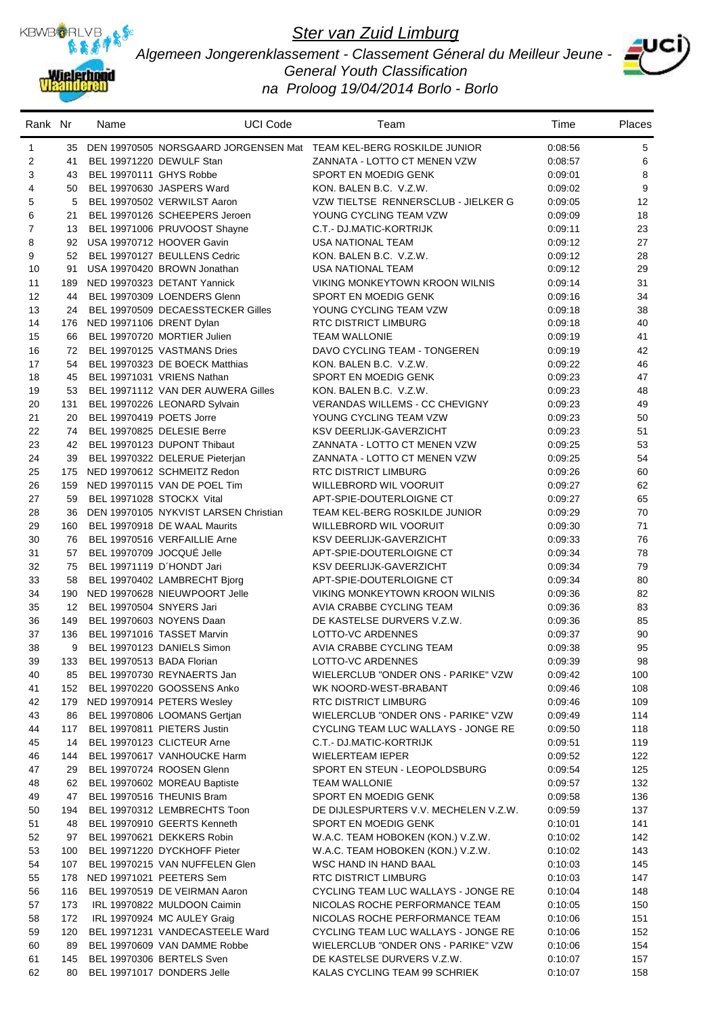

*Algemeen Jongerenklassement - Classement Géneral du Meilleur Jeune - General Youth Classification na Proloog 19/04/2014 Borlo - Borlo*



| 35 DEN 19970505 NORSGAARD JORGENSEN Mat TEAM KEL-BERG ROSKILDE JUNIOR<br>0:08:56<br>5<br>1<br>$\overline{\mathbf{c}}$<br>6<br>41<br>BEL 19971220 DEWULF Stan<br>ZANNATA - LOTTO CT MENEN VZW<br>0:08:57<br>8<br>3<br>43<br>BEL 19970111 GHYS Robbe<br>SPORT EN MOEDIG GENK<br>0:09:01<br>9<br>4<br>BEL 19970630 JASPERS Ward<br>KON. BALEN B.C. V.Z.W.<br>50<br>0:09:02<br>5<br>VZW TIELTSE RENNERSCLUB - JIELKER G<br>12<br>5<br>BEL 19970502 VERWILST Aaron<br>0:09:05<br>6<br>BEL 19970126 SCHEEPERS Jeroen<br>21<br>YOUNG CYCLING TEAM VZW<br>0:09:09<br>18<br>$\overline{7}$<br>23<br>13<br>BEL 19971006 PRUVOOST Shayne<br>C.T.- DJ.MATIC-KORTRIJK<br>0:09:11<br>8<br>92<br>USA 19970712 HOOVER Gavin<br><b>USA NATIONAL TEAM</b><br>27<br>0:09:12<br>9<br>52<br>BEL 19970127 BEULLENS Cedric<br>KON. BALEN B.C. V.Z.W.<br>28<br>0:09:12<br>29<br>10<br>91<br>USA 19970420 BROWN Jonathan<br><b>USA NATIONAL TEAM</b><br>0:09:12<br>11<br>31<br>189<br>NED 19970323 DETANT Yannick<br>VIKING MONKEYTOWN KROON WILNIS<br>0:09:14<br>12<br>44<br>BEL 19970309 LOENDERS Glenn<br>SPORT EN MOEDIG GENK<br>34<br>0.09:16<br>13<br>38<br>BEL 19970509 DECAESSTECKER Gilles<br>YOUNG CYCLING TEAM VZW<br>24<br>0:09:18<br>14<br>NED 19971106 DRENT Dylan<br><b>RTC DISTRICT LIMBURG</b><br>40<br>176<br>0:09:18<br>15<br>66<br>BEL 19970720 MORTIER Julien<br><b>TEAM WALLONIE</b><br>0:09:19<br>41<br>16<br>BEL 19970125 VASTMANS Dries<br>DAVO CYCLING TEAM - TONGEREN<br>42<br>72<br>0:09:19<br>17<br>54<br>BEL 19970323 DE BOECK Matthias<br>KON. BALEN B.C. V.Z.W.<br>46<br>0:09:22<br>18<br>BEL 19971031 VRIENS Nathan<br>SPORT EN MOEDIG GENK<br>47<br>45<br>0:09:23<br>19<br>BEL 19971112 VAN DER AUWERA Gilles<br>KON, BALEN B.C. V.Z.W.<br>0:09:23<br>48<br>53<br>20<br><b>VERANDAS WILLEMS - CC CHEVIGNY</b><br>49<br>131<br>BEL 19970226 LEONARD Sylvain<br>0:09:23<br>21<br>20<br>BEL 19970419 POETS Jorre<br>YOUNG CYCLING TEAM VZW<br>0:09:23<br>50<br>22<br>74<br>BEL 19970825 DELESIE Berre<br>KSV DEERLIJK-GAVERZICHT<br>51<br>0:09:23<br>23<br>42<br>BEL 19970123 DUPONT Thibaut<br>ZANNATA - LOTTO CT MENEN VZW<br>0:09:25<br>53<br>24<br>BEL 19970322 DELERUE Pieterjan<br>ZANNATA - LOTTO CT MENEN VZW<br>54<br>39<br>0:09:25<br>25<br>175<br>NED 19970612 SCHMEITZ Redon<br>RTC DISTRICT LIMBURG<br>60<br>0:09:26<br>26<br>159<br>NED 19970115 VAN DE POEL Tim<br>62<br>WILLEBRORD WIL VOORUIT<br>0:09:27<br>27<br>59<br>BEL 19971028 STOCKX Vital<br>APT-SPIE-DOUTERLOIGNE CT<br>65<br>0:09:27<br>28<br>DEN 19970105 NYKVIST LARSEN Christian<br>70<br>36<br>TEAM KEL-BERG ROSKILDE JUNIOR<br>0:09:29<br>29<br>160<br>BEL 19970918 DE WAAL Maurits<br>WILLEBRORD WIL VOORUIT<br>0:09:30<br>71<br>30<br>BEL 19970516 VERFAILLIE Arne<br>76<br>76<br>KSV DEERLIJK-GAVERZICHT<br>0:09:33<br>31<br>BEL 19970709 JOCQUÉ Jelle<br>57<br>APT-SPIE-DOUTERLOIGNE CT<br>78<br>0:09:34<br>32<br>75<br>BEL 19971119 D'HONDT Jari<br>79<br>KSV DEERLIJK-GAVERZICHT<br>0:09:34<br>33<br>58<br>BEL 19970402 LAMBRECHT Bjorg<br>APT-SPIE-DOUTERLOIGNE CT<br>80<br>0:09:34<br>34<br>190<br>NED 19970628 NIEUWPOORT Jelle<br>VIKING MONKEYTOWN KROON WILNIS<br>82<br>0:09:36<br>35<br>12 <sup>°</sup><br>BEL 19970504 SNYERS Jari<br>AVIA CRABBE CYCLING TEAM<br>83<br>0:09:36<br>36<br>149<br>BEL 19970603 NOYENS Daan<br>DE KASTELSE DURVERS V.Z.W.<br>85<br>0:09:36<br>37<br>BEL 19971016 TASSET Marvin<br>136<br>LOTTO-VC ARDENNES<br>0:09:37<br>90<br>95<br>38<br>AVIA CRABBE CYCLING TEAM<br>0:09:38<br>9<br>BEL 19970123 DANIELS Simon<br>98<br>39<br>133 BEL 19970513 BADA Florian<br>LOTTO-VC ARDENNES<br>0:09:39<br>40<br>BEL 19970730 REYNAERTS Jan<br>85<br>WIELERCLUB "ONDER ONS - PARIKE" VZW<br>0:09:42<br>100<br>41<br>BEL 19970220 GOOSSENS Anko<br>WK NOORD-WEST-BRABANT<br>152<br>0:09:46<br>108<br>42<br>179<br>NED 19970914 PETERS Wesley<br>RTC DISTRICT LIMBURG<br>0:09:46<br>109<br>WIELERCLUB "ONDER ONS - PARIKE" VZW<br>43<br>BEL 19970806 LOOMANS Gertjan<br>0:09:49<br>114<br>86<br>44<br>BEL 19970811 PIETERS Justin<br>CYCLING TEAM LUC WALLAYS - JONGE RE<br>117<br>0:09:50<br>118<br>45<br>BEL 19970123 CLICTEUR Arne<br>C.T.- DJ.MATIC-KORTRIJK<br>0:09:51<br>119<br>14<br>46<br>BEL 19970617 VANHOUCKE Harm<br>WIELERTEAM IEPER<br>122<br>0:09:52<br>144<br>47<br>BEL 19970724 ROOSEN Glenn<br>SPORT EN STEUN - LEOPOLDSBURG<br>0:09:54<br>125<br>29<br>48<br>BEL 19970602 MOREAU Baptiste<br>132<br>62<br><b>TEAM WALLONIE</b><br>0:09:57<br>49<br>47<br>BEL 19970516 THEUNIS Bram<br>SPORT EN MOEDIG GENK<br>0:09:58<br>136<br>50<br>BEL 19970312 LEMBRECHTS Toon<br>137<br>194<br>DE DIJLESPURTERS V.V. MECHELEN V.Z.W.<br>0:09:59<br>51<br>BEL 19970910 GEERTS Kenneth<br>SPORT EN MOEDIG GENK<br>0:10:01<br>141<br>48<br>52<br>BEL 19970621 DEKKERS Robin<br>W.A.C. TEAM HOBOKEN (KON.) V.Z.W.<br>97<br>0:10:02<br>142<br>BEL 19971220 DYCKHOFF Pieter<br>53<br>W.A.C. TEAM HOBOKEN (KON.) V.Z.W.<br>0:10:02<br>143<br>100<br>54<br>107<br>BEL 19970215 VAN NUFFELEN Glen<br>WSC HAND IN HAND BAAL<br>0:10:03<br>145<br>55<br>NED 19971021 PEETERS Sem<br>RTC DISTRICT LIMBURG<br>0:10:03<br>178<br>147<br>56<br>BEL 19970519 DE VEIRMAN Aaron<br>116<br>CYCLING TEAM LUC WALLAYS - JONGE RE<br>0:10:04<br>148<br>57<br>IRL 19970822 MULDOON Caimin<br>173<br>NICOLAS ROCHE PERFORMANCE TEAM<br>0:10:05<br>150<br>58<br>IRL 19970924 MC AULEY Graig<br>NICOLAS ROCHE PERFORMANCE TEAM<br>172<br>0:10:06<br>151<br>59<br>BEL 19971231 VANDECASTEELE Ward<br>CYCLING TEAM LUC WALLAYS - JONGE RE<br>120<br>0:10:06<br>152<br>60<br>BEL 19970609 VAN DAMME Robbe<br>WIELERCLUB "ONDER ONS - PARIKE" VZW<br>89<br>0:10:06<br>154<br>61<br>BEL 19970306 BERTELS Sven<br>DE KASTELSE DURVERS V.Z.W.<br>145<br>0:10:07<br>157<br>BEL 19971017 DONDERS Jelle<br>62<br>KALAS CYCLING TEAM 99 SCHRIEK<br>0:10:07<br>158<br>80 | Rank Nr | Name | <b>UCI Code</b> | Team | Time | Places |
|------------------------------------------------------------------------------------------------------------------------------------------------------------------------------------------------------------------------------------------------------------------------------------------------------------------------------------------------------------------------------------------------------------------------------------------------------------------------------------------------------------------------------------------------------------------------------------------------------------------------------------------------------------------------------------------------------------------------------------------------------------------------------------------------------------------------------------------------------------------------------------------------------------------------------------------------------------------------------------------------------------------------------------------------------------------------------------------------------------------------------------------------------------------------------------------------------------------------------------------------------------------------------------------------------------------------------------------------------------------------------------------------------------------------------------------------------------------------------------------------------------------------------------------------------------------------------------------------------------------------------------------------------------------------------------------------------------------------------------------------------------------------------------------------------------------------------------------------------------------------------------------------------------------------------------------------------------------------------------------------------------------------------------------------------------------------------------------------------------------------------------------------------------------------------------------------------------------------------------------------------------------------------------------------------------------------------------------------------------------------------------------------------------------------------------------------------------------------------------------------------------------------------------------------------------------------------------------------------------------------------------------------------------------------------------------------------------------------------------------------------------------------------------------------------------------------------------------------------------------------------------------------------------------------------------------------------------------------------------------------------------------------------------------------------------------------------------------------------------------------------------------------------------------------------------------------------------------------------------------------------------------------------------------------------------------------------------------------------------------------------------------------------------------------------------------------------------------------------------------------------------------------------------------------------------------------------------------------------------------------------------------------------------------------------------------------------------------------------------------------------------------------------------------------------------------------------------------------------------------------------------------------------------------------------------------------------------------------------------------------------------------------------------------------------------------------------------------------------------------------------------------------------------------------------------------------------------------------------------------------------------------------------------------------------------------------------------------------------------------------------------------------------------------------------------------------------------------------------------------------------------------------------------------------------------------------------------------------------------------------------------------------------------------------------------------------------------------------------------------------------------------------------------------------------------------------------------------------------------------------------------------------------------------------------------------------------------------------------------------------------------------------------------------------------------------------------------------------------------------------------------------------------------------------------------------------------------------------------------------------------------------------------------------------------------------------------------------------------------------------------------------------------------------------------------------------------------------------------------------------------------------------------------------------------------------------------------------------------------------------------------------------------------------------------------------------------------------------------------------------------------------------------------------------------------------------------------------------------------------|---------|------|-----------------|------|------|--------|
|                                                                                                                                                                                                                                                                                                                                                                                                                                                                                                                                                                                                                                                                                                                                                                                                                                                                                                                                                                                                                                                                                                                                                                                                                                                                                                                                                                                                                                                                                                                                                                                                                                                                                                                                                                                                                                                                                                                                                                                                                                                                                                                                                                                                                                                                                                                                                                                                                                                                                                                                                                                                                                                                                                                                                                                                                                                                                                                                                                                                                                                                                                                                                                                                                                                                                                                                                                                                                                                                                                                                                                                                                                                                                                                                                                                                                                                                                                                                                                                                                                                                                                                                                                                                                                                                                                                                                                                                                                                                                                                                                                                                                                                                                                                                                                                                                                                                                                                                                                                                                                                                                                                                                                                                                                                                                                                                                                                                                                                                                                                                                                                                                                                                                                                                                                                                                                                                  |         |      |                 |      |      |        |
|                                                                                                                                                                                                                                                                                                                                                                                                                                                                                                                                                                                                                                                                                                                                                                                                                                                                                                                                                                                                                                                                                                                                                                                                                                                                                                                                                                                                                                                                                                                                                                                                                                                                                                                                                                                                                                                                                                                                                                                                                                                                                                                                                                                                                                                                                                                                                                                                                                                                                                                                                                                                                                                                                                                                                                                                                                                                                                                                                                                                                                                                                                                                                                                                                                                                                                                                                                                                                                                                                                                                                                                                                                                                                                                                                                                                                                                                                                                                                                                                                                                                                                                                                                                                                                                                                                                                                                                                                                                                                                                                                                                                                                                                                                                                                                                                                                                                                                                                                                                                                                                                                                                                                                                                                                                                                                                                                                                                                                                                                                                                                                                                                                                                                                                                                                                                                                                                  |         |      |                 |      |      |        |
|                                                                                                                                                                                                                                                                                                                                                                                                                                                                                                                                                                                                                                                                                                                                                                                                                                                                                                                                                                                                                                                                                                                                                                                                                                                                                                                                                                                                                                                                                                                                                                                                                                                                                                                                                                                                                                                                                                                                                                                                                                                                                                                                                                                                                                                                                                                                                                                                                                                                                                                                                                                                                                                                                                                                                                                                                                                                                                                                                                                                                                                                                                                                                                                                                                                                                                                                                                                                                                                                                                                                                                                                                                                                                                                                                                                                                                                                                                                                                                                                                                                                                                                                                                                                                                                                                                                                                                                                                                                                                                                                                                                                                                                                                                                                                                                                                                                                                                                                                                                                                                                                                                                                                                                                                                                                                                                                                                                                                                                                                                                                                                                                                                                                                                                                                                                                                                                                  |         |      |                 |      |      |        |
|                                                                                                                                                                                                                                                                                                                                                                                                                                                                                                                                                                                                                                                                                                                                                                                                                                                                                                                                                                                                                                                                                                                                                                                                                                                                                                                                                                                                                                                                                                                                                                                                                                                                                                                                                                                                                                                                                                                                                                                                                                                                                                                                                                                                                                                                                                                                                                                                                                                                                                                                                                                                                                                                                                                                                                                                                                                                                                                                                                                                                                                                                                                                                                                                                                                                                                                                                                                                                                                                                                                                                                                                                                                                                                                                                                                                                                                                                                                                                                                                                                                                                                                                                                                                                                                                                                                                                                                                                                                                                                                                                                                                                                                                                                                                                                                                                                                                                                                                                                                                                                                                                                                                                                                                                                                                                                                                                                                                                                                                                                                                                                                                                                                                                                                                                                                                                                                                  |         |      |                 |      |      |        |
|                                                                                                                                                                                                                                                                                                                                                                                                                                                                                                                                                                                                                                                                                                                                                                                                                                                                                                                                                                                                                                                                                                                                                                                                                                                                                                                                                                                                                                                                                                                                                                                                                                                                                                                                                                                                                                                                                                                                                                                                                                                                                                                                                                                                                                                                                                                                                                                                                                                                                                                                                                                                                                                                                                                                                                                                                                                                                                                                                                                                                                                                                                                                                                                                                                                                                                                                                                                                                                                                                                                                                                                                                                                                                                                                                                                                                                                                                                                                                                                                                                                                                                                                                                                                                                                                                                                                                                                                                                                                                                                                                                                                                                                                                                                                                                                                                                                                                                                                                                                                                                                                                                                                                                                                                                                                                                                                                                                                                                                                                                                                                                                                                                                                                                                                                                                                                                                                  |         |      |                 |      |      |        |
|                                                                                                                                                                                                                                                                                                                                                                                                                                                                                                                                                                                                                                                                                                                                                                                                                                                                                                                                                                                                                                                                                                                                                                                                                                                                                                                                                                                                                                                                                                                                                                                                                                                                                                                                                                                                                                                                                                                                                                                                                                                                                                                                                                                                                                                                                                                                                                                                                                                                                                                                                                                                                                                                                                                                                                                                                                                                                                                                                                                                                                                                                                                                                                                                                                                                                                                                                                                                                                                                                                                                                                                                                                                                                                                                                                                                                                                                                                                                                                                                                                                                                                                                                                                                                                                                                                                                                                                                                                                                                                                                                                                                                                                                                                                                                                                                                                                                                                                                                                                                                                                                                                                                                                                                                                                                                                                                                                                                                                                                                                                                                                                                                                                                                                                                                                                                                                                                  |         |      |                 |      |      |        |
|                                                                                                                                                                                                                                                                                                                                                                                                                                                                                                                                                                                                                                                                                                                                                                                                                                                                                                                                                                                                                                                                                                                                                                                                                                                                                                                                                                                                                                                                                                                                                                                                                                                                                                                                                                                                                                                                                                                                                                                                                                                                                                                                                                                                                                                                                                                                                                                                                                                                                                                                                                                                                                                                                                                                                                                                                                                                                                                                                                                                                                                                                                                                                                                                                                                                                                                                                                                                                                                                                                                                                                                                                                                                                                                                                                                                                                                                                                                                                                                                                                                                                                                                                                                                                                                                                                                                                                                                                                                                                                                                                                                                                                                                                                                                                                                                                                                                                                                                                                                                                                                                                                                                                                                                                                                                                                                                                                                                                                                                                                                                                                                                                                                                                                                                                                                                                                                                  |         |      |                 |      |      |        |
|                                                                                                                                                                                                                                                                                                                                                                                                                                                                                                                                                                                                                                                                                                                                                                                                                                                                                                                                                                                                                                                                                                                                                                                                                                                                                                                                                                                                                                                                                                                                                                                                                                                                                                                                                                                                                                                                                                                                                                                                                                                                                                                                                                                                                                                                                                                                                                                                                                                                                                                                                                                                                                                                                                                                                                                                                                                                                                                                                                                                                                                                                                                                                                                                                                                                                                                                                                                                                                                                                                                                                                                                                                                                                                                                                                                                                                                                                                                                                                                                                                                                                                                                                                                                                                                                                                                                                                                                                                                                                                                                                                                                                                                                                                                                                                                                                                                                                                                                                                                                                                                                                                                                                                                                                                                                                                                                                                                                                                                                                                                                                                                                                                                                                                                                                                                                                                                                  |         |      |                 |      |      |        |
|                                                                                                                                                                                                                                                                                                                                                                                                                                                                                                                                                                                                                                                                                                                                                                                                                                                                                                                                                                                                                                                                                                                                                                                                                                                                                                                                                                                                                                                                                                                                                                                                                                                                                                                                                                                                                                                                                                                                                                                                                                                                                                                                                                                                                                                                                                                                                                                                                                                                                                                                                                                                                                                                                                                                                                                                                                                                                                                                                                                                                                                                                                                                                                                                                                                                                                                                                                                                                                                                                                                                                                                                                                                                                                                                                                                                                                                                                                                                                                                                                                                                                                                                                                                                                                                                                                                                                                                                                                                                                                                                                                                                                                                                                                                                                                                                                                                                                                                                                                                                                                                                                                                                                                                                                                                                                                                                                                                                                                                                                                                                                                                                                                                                                                                                                                                                                                                                  |         |      |                 |      |      |        |
|                                                                                                                                                                                                                                                                                                                                                                                                                                                                                                                                                                                                                                                                                                                                                                                                                                                                                                                                                                                                                                                                                                                                                                                                                                                                                                                                                                                                                                                                                                                                                                                                                                                                                                                                                                                                                                                                                                                                                                                                                                                                                                                                                                                                                                                                                                                                                                                                                                                                                                                                                                                                                                                                                                                                                                                                                                                                                                                                                                                                                                                                                                                                                                                                                                                                                                                                                                                                                                                                                                                                                                                                                                                                                                                                                                                                                                                                                                                                                                                                                                                                                                                                                                                                                                                                                                                                                                                                                                                                                                                                                                                                                                                                                                                                                                                                                                                                                                                                                                                                                                                                                                                                                                                                                                                                                                                                                                                                                                                                                                                                                                                                                                                                                                                                                                                                                                                                  |         |      |                 |      |      |        |
|                                                                                                                                                                                                                                                                                                                                                                                                                                                                                                                                                                                                                                                                                                                                                                                                                                                                                                                                                                                                                                                                                                                                                                                                                                                                                                                                                                                                                                                                                                                                                                                                                                                                                                                                                                                                                                                                                                                                                                                                                                                                                                                                                                                                                                                                                                                                                                                                                                                                                                                                                                                                                                                                                                                                                                                                                                                                                                                                                                                                                                                                                                                                                                                                                                                                                                                                                                                                                                                                                                                                                                                                                                                                                                                                                                                                                                                                                                                                                                                                                                                                                                                                                                                                                                                                                                                                                                                                                                                                                                                                                                                                                                                                                                                                                                                                                                                                                                                                                                                                                                                                                                                                                                                                                                                                                                                                                                                                                                                                                                                                                                                                                                                                                                                                                                                                                                                                  |         |      |                 |      |      |        |
|                                                                                                                                                                                                                                                                                                                                                                                                                                                                                                                                                                                                                                                                                                                                                                                                                                                                                                                                                                                                                                                                                                                                                                                                                                                                                                                                                                                                                                                                                                                                                                                                                                                                                                                                                                                                                                                                                                                                                                                                                                                                                                                                                                                                                                                                                                                                                                                                                                                                                                                                                                                                                                                                                                                                                                                                                                                                                                                                                                                                                                                                                                                                                                                                                                                                                                                                                                                                                                                                                                                                                                                                                                                                                                                                                                                                                                                                                                                                                                                                                                                                                                                                                                                                                                                                                                                                                                                                                                                                                                                                                                                                                                                                                                                                                                                                                                                                                                                                                                                                                                                                                                                                                                                                                                                                                                                                                                                                                                                                                                                                                                                                                                                                                                                                                                                                                                                                  |         |      |                 |      |      |        |
|                                                                                                                                                                                                                                                                                                                                                                                                                                                                                                                                                                                                                                                                                                                                                                                                                                                                                                                                                                                                                                                                                                                                                                                                                                                                                                                                                                                                                                                                                                                                                                                                                                                                                                                                                                                                                                                                                                                                                                                                                                                                                                                                                                                                                                                                                                                                                                                                                                                                                                                                                                                                                                                                                                                                                                                                                                                                                                                                                                                                                                                                                                                                                                                                                                                                                                                                                                                                                                                                                                                                                                                                                                                                                                                                                                                                                                                                                                                                                                                                                                                                                                                                                                                                                                                                                                                                                                                                                                                                                                                                                                                                                                                                                                                                                                                                                                                                                                                                                                                                                                                                                                                                                                                                                                                                                                                                                                                                                                                                                                                                                                                                                                                                                                                                                                                                                                                                  |         |      |                 |      |      |        |
|                                                                                                                                                                                                                                                                                                                                                                                                                                                                                                                                                                                                                                                                                                                                                                                                                                                                                                                                                                                                                                                                                                                                                                                                                                                                                                                                                                                                                                                                                                                                                                                                                                                                                                                                                                                                                                                                                                                                                                                                                                                                                                                                                                                                                                                                                                                                                                                                                                                                                                                                                                                                                                                                                                                                                                                                                                                                                                                                                                                                                                                                                                                                                                                                                                                                                                                                                                                                                                                                                                                                                                                                                                                                                                                                                                                                                                                                                                                                                                                                                                                                                                                                                                                                                                                                                                                                                                                                                                                                                                                                                                                                                                                                                                                                                                                                                                                                                                                                                                                                                                                                                                                                                                                                                                                                                                                                                                                                                                                                                                                                                                                                                                                                                                                                                                                                                                                                  |         |      |                 |      |      |        |
|                                                                                                                                                                                                                                                                                                                                                                                                                                                                                                                                                                                                                                                                                                                                                                                                                                                                                                                                                                                                                                                                                                                                                                                                                                                                                                                                                                                                                                                                                                                                                                                                                                                                                                                                                                                                                                                                                                                                                                                                                                                                                                                                                                                                                                                                                                                                                                                                                                                                                                                                                                                                                                                                                                                                                                                                                                                                                                                                                                                                                                                                                                                                                                                                                                                                                                                                                                                                                                                                                                                                                                                                                                                                                                                                                                                                                                                                                                                                                                                                                                                                                                                                                                                                                                                                                                                                                                                                                                                                                                                                                                                                                                                                                                                                                                                                                                                                                                                                                                                                                                                                                                                                                                                                                                                                                                                                                                                                                                                                                                                                                                                                                                                                                                                                                                                                                                                                  |         |      |                 |      |      |        |
|                                                                                                                                                                                                                                                                                                                                                                                                                                                                                                                                                                                                                                                                                                                                                                                                                                                                                                                                                                                                                                                                                                                                                                                                                                                                                                                                                                                                                                                                                                                                                                                                                                                                                                                                                                                                                                                                                                                                                                                                                                                                                                                                                                                                                                                                                                                                                                                                                                                                                                                                                                                                                                                                                                                                                                                                                                                                                                                                                                                                                                                                                                                                                                                                                                                                                                                                                                                                                                                                                                                                                                                                                                                                                                                                                                                                                                                                                                                                                                                                                                                                                                                                                                                                                                                                                                                                                                                                                                                                                                                                                                                                                                                                                                                                                                                                                                                                                                                                                                                                                                                                                                                                                                                                                                                                                                                                                                                                                                                                                                                                                                                                                                                                                                                                                                                                                                                                  |         |      |                 |      |      |        |
|                                                                                                                                                                                                                                                                                                                                                                                                                                                                                                                                                                                                                                                                                                                                                                                                                                                                                                                                                                                                                                                                                                                                                                                                                                                                                                                                                                                                                                                                                                                                                                                                                                                                                                                                                                                                                                                                                                                                                                                                                                                                                                                                                                                                                                                                                                                                                                                                                                                                                                                                                                                                                                                                                                                                                                                                                                                                                                                                                                                                                                                                                                                                                                                                                                                                                                                                                                                                                                                                                                                                                                                                                                                                                                                                                                                                                                                                                                                                                                                                                                                                                                                                                                                                                                                                                                                                                                                                                                                                                                                                                                                                                                                                                                                                                                                                                                                                                                                                                                                                                                                                                                                                                                                                                                                                                                                                                                                                                                                                                                                                                                                                                                                                                                                                                                                                                                                                  |         |      |                 |      |      |        |
|                                                                                                                                                                                                                                                                                                                                                                                                                                                                                                                                                                                                                                                                                                                                                                                                                                                                                                                                                                                                                                                                                                                                                                                                                                                                                                                                                                                                                                                                                                                                                                                                                                                                                                                                                                                                                                                                                                                                                                                                                                                                                                                                                                                                                                                                                                                                                                                                                                                                                                                                                                                                                                                                                                                                                                                                                                                                                                                                                                                                                                                                                                                                                                                                                                                                                                                                                                                                                                                                                                                                                                                                                                                                                                                                                                                                                                                                                                                                                                                                                                                                                                                                                                                                                                                                                                                                                                                                                                                                                                                                                                                                                                                                                                                                                                                                                                                                                                                                                                                                                                                                                                                                                                                                                                                                                                                                                                                                                                                                                                                                                                                                                                                                                                                                                                                                                                                                  |         |      |                 |      |      |        |
|                                                                                                                                                                                                                                                                                                                                                                                                                                                                                                                                                                                                                                                                                                                                                                                                                                                                                                                                                                                                                                                                                                                                                                                                                                                                                                                                                                                                                                                                                                                                                                                                                                                                                                                                                                                                                                                                                                                                                                                                                                                                                                                                                                                                                                                                                                                                                                                                                                                                                                                                                                                                                                                                                                                                                                                                                                                                                                                                                                                                                                                                                                                                                                                                                                                                                                                                                                                                                                                                                                                                                                                                                                                                                                                                                                                                                                                                                                                                                                                                                                                                                                                                                                                                                                                                                                                                                                                                                                                                                                                                                                                                                                                                                                                                                                                                                                                                                                                                                                                                                                                                                                                                                                                                                                                                                                                                                                                                                                                                                                                                                                                                                                                                                                                                                                                                                                                                  |         |      |                 |      |      |        |
|                                                                                                                                                                                                                                                                                                                                                                                                                                                                                                                                                                                                                                                                                                                                                                                                                                                                                                                                                                                                                                                                                                                                                                                                                                                                                                                                                                                                                                                                                                                                                                                                                                                                                                                                                                                                                                                                                                                                                                                                                                                                                                                                                                                                                                                                                                                                                                                                                                                                                                                                                                                                                                                                                                                                                                                                                                                                                                                                                                                                                                                                                                                                                                                                                                                                                                                                                                                                                                                                                                                                                                                                                                                                                                                                                                                                                                                                                                                                                                                                                                                                                                                                                                                                                                                                                                                                                                                                                                                                                                                                                                                                                                                                                                                                                                                                                                                                                                                                                                                                                                                                                                                                                                                                                                                                                                                                                                                                                                                                                                                                                                                                                                                                                                                                                                                                                                                                  |         |      |                 |      |      |        |
|                                                                                                                                                                                                                                                                                                                                                                                                                                                                                                                                                                                                                                                                                                                                                                                                                                                                                                                                                                                                                                                                                                                                                                                                                                                                                                                                                                                                                                                                                                                                                                                                                                                                                                                                                                                                                                                                                                                                                                                                                                                                                                                                                                                                                                                                                                                                                                                                                                                                                                                                                                                                                                                                                                                                                                                                                                                                                                                                                                                                                                                                                                                                                                                                                                                                                                                                                                                                                                                                                                                                                                                                                                                                                                                                                                                                                                                                                                                                                                                                                                                                                                                                                                                                                                                                                                                                                                                                                                                                                                                                                                                                                                                                                                                                                                                                                                                                                                                                                                                                                                                                                                                                                                                                                                                                                                                                                                                                                                                                                                                                                                                                                                                                                                                                                                                                                                                                  |         |      |                 |      |      |        |
|                                                                                                                                                                                                                                                                                                                                                                                                                                                                                                                                                                                                                                                                                                                                                                                                                                                                                                                                                                                                                                                                                                                                                                                                                                                                                                                                                                                                                                                                                                                                                                                                                                                                                                                                                                                                                                                                                                                                                                                                                                                                                                                                                                                                                                                                                                                                                                                                                                                                                                                                                                                                                                                                                                                                                                                                                                                                                                                                                                                                                                                                                                                                                                                                                                                                                                                                                                                                                                                                                                                                                                                                                                                                                                                                                                                                                                                                                                                                                                                                                                                                                                                                                                                                                                                                                                                                                                                                                                                                                                                                                                                                                                                                                                                                                                                                                                                                                                                                                                                                                                                                                                                                                                                                                                                                                                                                                                                                                                                                                                                                                                                                                                                                                                                                                                                                                                                                  |         |      |                 |      |      |        |
|                                                                                                                                                                                                                                                                                                                                                                                                                                                                                                                                                                                                                                                                                                                                                                                                                                                                                                                                                                                                                                                                                                                                                                                                                                                                                                                                                                                                                                                                                                                                                                                                                                                                                                                                                                                                                                                                                                                                                                                                                                                                                                                                                                                                                                                                                                                                                                                                                                                                                                                                                                                                                                                                                                                                                                                                                                                                                                                                                                                                                                                                                                                                                                                                                                                                                                                                                                                                                                                                                                                                                                                                                                                                                                                                                                                                                                                                                                                                                                                                                                                                                                                                                                                                                                                                                                                                                                                                                                                                                                                                                                                                                                                                                                                                                                                                                                                                                                                                                                                                                                                                                                                                                                                                                                                                                                                                                                                                                                                                                                                                                                                                                                                                                                                                                                                                                                                                  |         |      |                 |      |      |        |
|                                                                                                                                                                                                                                                                                                                                                                                                                                                                                                                                                                                                                                                                                                                                                                                                                                                                                                                                                                                                                                                                                                                                                                                                                                                                                                                                                                                                                                                                                                                                                                                                                                                                                                                                                                                                                                                                                                                                                                                                                                                                                                                                                                                                                                                                                                                                                                                                                                                                                                                                                                                                                                                                                                                                                                                                                                                                                                                                                                                                                                                                                                                                                                                                                                                                                                                                                                                                                                                                                                                                                                                                                                                                                                                                                                                                                                                                                                                                                                                                                                                                                                                                                                                                                                                                                                                                                                                                                                                                                                                                                                                                                                                                                                                                                                                                                                                                                                                                                                                                                                                                                                                                                                                                                                                                                                                                                                                                                                                                                                                                                                                                                                                                                                                                                                                                                                                                  |         |      |                 |      |      |        |
|                                                                                                                                                                                                                                                                                                                                                                                                                                                                                                                                                                                                                                                                                                                                                                                                                                                                                                                                                                                                                                                                                                                                                                                                                                                                                                                                                                                                                                                                                                                                                                                                                                                                                                                                                                                                                                                                                                                                                                                                                                                                                                                                                                                                                                                                                                                                                                                                                                                                                                                                                                                                                                                                                                                                                                                                                                                                                                                                                                                                                                                                                                                                                                                                                                                                                                                                                                                                                                                                                                                                                                                                                                                                                                                                                                                                                                                                                                                                                                                                                                                                                                                                                                                                                                                                                                                                                                                                                                                                                                                                                                                                                                                                                                                                                                                                                                                                                                                                                                                                                                                                                                                                                                                                                                                                                                                                                                                                                                                                                                                                                                                                                                                                                                                                                                                                                                                                  |         |      |                 |      |      |        |
|                                                                                                                                                                                                                                                                                                                                                                                                                                                                                                                                                                                                                                                                                                                                                                                                                                                                                                                                                                                                                                                                                                                                                                                                                                                                                                                                                                                                                                                                                                                                                                                                                                                                                                                                                                                                                                                                                                                                                                                                                                                                                                                                                                                                                                                                                                                                                                                                                                                                                                                                                                                                                                                                                                                                                                                                                                                                                                                                                                                                                                                                                                                                                                                                                                                                                                                                                                                                                                                                                                                                                                                                                                                                                                                                                                                                                                                                                                                                                                                                                                                                                                                                                                                                                                                                                                                                                                                                                                                                                                                                                                                                                                                                                                                                                                                                                                                                                                                                                                                                                                                                                                                                                                                                                                                                                                                                                                                                                                                                                                                                                                                                                                                                                                                                                                                                                                                                  |         |      |                 |      |      |        |
|                                                                                                                                                                                                                                                                                                                                                                                                                                                                                                                                                                                                                                                                                                                                                                                                                                                                                                                                                                                                                                                                                                                                                                                                                                                                                                                                                                                                                                                                                                                                                                                                                                                                                                                                                                                                                                                                                                                                                                                                                                                                                                                                                                                                                                                                                                                                                                                                                                                                                                                                                                                                                                                                                                                                                                                                                                                                                                                                                                                                                                                                                                                                                                                                                                                                                                                                                                                                                                                                                                                                                                                                                                                                                                                                                                                                                                                                                                                                                                                                                                                                                                                                                                                                                                                                                                                                                                                                                                                                                                                                                                                                                                                                                                                                                                                                                                                                                                                                                                                                                                                                                                                                                                                                                                                                                                                                                                                                                                                                                                                                                                                                                                                                                                                                                                                                                                                                  |         |      |                 |      |      |        |
|                                                                                                                                                                                                                                                                                                                                                                                                                                                                                                                                                                                                                                                                                                                                                                                                                                                                                                                                                                                                                                                                                                                                                                                                                                                                                                                                                                                                                                                                                                                                                                                                                                                                                                                                                                                                                                                                                                                                                                                                                                                                                                                                                                                                                                                                                                                                                                                                                                                                                                                                                                                                                                                                                                                                                                                                                                                                                                                                                                                                                                                                                                                                                                                                                                                                                                                                                                                                                                                                                                                                                                                                                                                                                                                                                                                                                                                                                                                                                                                                                                                                                                                                                                                                                                                                                                                                                                                                                                                                                                                                                                                                                                                                                                                                                                                                                                                                                                                                                                                                                                                                                                                                                                                                                                                                                                                                                                                                                                                                                                                                                                                                                                                                                                                                                                                                                                                                  |         |      |                 |      |      |        |
|                                                                                                                                                                                                                                                                                                                                                                                                                                                                                                                                                                                                                                                                                                                                                                                                                                                                                                                                                                                                                                                                                                                                                                                                                                                                                                                                                                                                                                                                                                                                                                                                                                                                                                                                                                                                                                                                                                                                                                                                                                                                                                                                                                                                                                                                                                                                                                                                                                                                                                                                                                                                                                                                                                                                                                                                                                                                                                                                                                                                                                                                                                                                                                                                                                                                                                                                                                                                                                                                                                                                                                                                                                                                                                                                                                                                                                                                                                                                                                                                                                                                                                                                                                                                                                                                                                                                                                                                                                                                                                                                                                                                                                                                                                                                                                                                                                                                                                                                                                                                                                                                                                                                                                                                                                                                                                                                                                                                                                                                                                                                                                                                                                                                                                                                                                                                                                                                  |         |      |                 |      |      |        |
|                                                                                                                                                                                                                                                                                                                                                                                                                                                                                                                                                                                                                                                                                                                                                                                                                                                                                                                                                                                                                                                                                                                                                                                                                                                                                                                                                                                                                                                                                                                                                                                                                                                                                                                                                                                                                                                                                                                                                                                                                                                                                                                                                                                                                                                                                                                                                                                                                                                                                                                                                                                                                                                                                                                                                                                                                                                                                                                                                                                                                                                                                                                                                                                                                                                                                                                                                                                                                                                                                                                                                                                                                                                                                                                                                                                                                                                                                                                                                                                                                                                                                                                                                                                                                                                                                                                                                                                                                                                                                                                                                                                                                                                                                                                                                                                                                                                                                                                                                                                                                                                                                                                                                                                                                                                                                                                                                                                                                                                                                                                                                                                                                                                                                                                                                                                                                                                                  |         |      |                 |      |      |        |
|                                                                                                                                                                                                                                                                                                                                                                                                                                                                                                                                                                                                                                                                                                                                                                                                                                                                                                                                                                                                                                                                                                                                                                                                                                                                                                                                                                                                                                                                                                                                                                                                                                                                                                                                                                                                                                                                                                                                                                                                                                                                                                                                                                                                                                                                                                                                                                                                                                                                                                                                                                                                                                                                                                                                                                                                                                                                                                                                                                                                                                                                                                                                                                                                                                                                                                                                                                                                                                                                                                                                                                                                                                                                                                                                                                                                                                                                                                                                                                                                                                                                                                                                                                                                                                                                                                                                                                                                                                                                                                                                                                                                                                                                                                                                                                                                                                                                                                                                                                                                                                                                                                                                                                                                                                                                                                                                                                                                                                                                                                                                                                                                                                                                                                                                                                                                                                                                  |         |      |                 |      |      |        |
|                                                                                                                                                                                                                                                                                                                                                                                                                                                                                                                                                                                                                                                                                                                                                                                                                                                                                                                                                                                                                                                                                                                                                                                                                                                                                                                                                                                                                                                                                                                                                                                                                                                                                                                                                                                                                                                                                                                                                                                                                                                                                                                                                                                                                                                                                                                                                                                                                                                                                                                                                                                                                                                                                                                                                                                                                                                                                                                                                                                                                                                                                                                                                                                                                                                                                                                                                                                                                                                                                                                                                                                                                                                                                                                                                                                                                                                                                                                                                                                                                                                                                                                                                                                                                                                                                                                                                                                                                                                                                                                                                                                                                                                                                                                                                                                                                                                                                                                                                                                                                                                                                                                                                                                                                                                                                                                                                                                                                                                                                                                                                                                                                                                                                                                                                                                                                                                                  |         |      |                 |      |      |        |
|                                                                                                                                                                                                                                                                                                                                                                                                                                                                                                                                                                                                                                                                                                                                                                                                                                                                                                                                                                                                                                                                                                                                                                                                                                                                                                                                                                                                                                                                                                                                                                                                                                                                                                                                                                                                                                                                                                                                                                                                                                                                                                                                                                                                                                                                                                                                                                                                                                                                                                                                                                                                                                                                                                                                                                                                                                                                                                                                                                                                                                                                                                                                                                                                                                                                                                                                                                                                                                                                                                                                                                                                                                                                                                                                                                                                                                                                                                                                                                                                                                                                                                                                                                                                                                                                                                                                                                                                                                                                                                                                                                                                                                                                                                                                                                                                                                                                                                                                                                                                                                                                                                                                                                                                                                                                                                                                                                                                                                                                                                                                                                                                                                                                                                                                                                                                                                                                  |         |      |                 |      |      |        |
|                                                                                                                                                                                                                                                                                                                                                                                                                                                                                                                                                                                                                                                                                                                                                                                                                                                                                                                                                                                                                                                                                                                                                                                                                                                                                                                                                                                                                                                                                                                                                                                                                                                                                                                                                                                                                                                                                                                                                                                                                                                                                                                                                                                                                                                                                                                                                                                                                                                                                                                                                                                                                                                                                                                                                                                                                                                                                                                                                                                                                                                                                                                                                                                                                                                                                                                                                                                                                                                                                                                                                                                                                                                                                                                                                                                                                                                                                                                                                                                                                                                                                                                                                                                                                                                                                                                                                                                                                                                                                                                                                                                                                                                                                                                                                                                                                                                                                                                                                                                                                                                                                                                                                                                                                                                                                                                                                                                                                                                                                                                                                                                                                                                                                                                                                                                                                                                                  |         |      |                 |      |      |        |
|                                                                                                                                                                                                                                                                                                                                                                                                                                                                                                                                                                                                                                                                                                                                                                                                                                                                                                                                                                                                                                                                                                                                                                                                                                                                                                                                                                                                                                                                                                                                                                                                                                                                                                                                                                                                                                                                                                                                                                                                                                                                                                                                                                                                                                                                                                                                                                                                                                                                                                                                                                                                                                                                                                                                                                                                                                                                                                                                                                                                                                                                                                                                                                                                                                                                                                                                                                                                                                                                                                                                                                                                                                                                                                                                                                                                                                                                                                                                                                                                                                                                                                                                                                                                                                                                                                                                                                                                                                                                                                                                                                                                                                                                                                                                                                                                                                                                                                                                                                                                                                                                                                                                                                                                                                                                                                                                                                                                                                                                                                                                                                                                                                                                                                                                                                                                                                                                  |         |      |                 |      |      |        |
|                                                                                                                                                                                                                                                                                                                                                                                                                                                                                                                                                                                                                                                                                                                                                                                                                                                                                                                                                                                                                                                                                                                                                                                                                                                                                                                                                                                                                                                                                                                                                                                                                                                                                                                                                                                                                                                                                                                                                                                                                                                                                                                                                                                                                                                                                                                                                                                                                                                                                                                                                                                                                                                                                                                                                                                                                                                                                                                                                                                                                                                                                                                                                                                                                                                                                                                                                                                                                                                                                                                                                                                                                                                                                                                                                                                                                                                                                                                                                                                                                                                                                                                                                                                                                                                                                                                                                                                                                                                                                                                                                                                                                                                                                                                                                                                                                                                                                                                                                                                                                                                                                                                                                                                                                                                                                                                                                                                                                                                                                                                                                                                                                                                                                                                                                                                                                                                                  |         |      |                 |      |      |        |
|                                                                                                                                                                                                                                                                                                                                                                                                                                                                                                                                                                                                                                                                                                                                                                                                                                                                                                                                                                                                                                                                                                                                                                                                                                                                                                                                                                                                                                                                                                                                                                                                                                                                                                                                                                                                                                                                                                                                                                                                                                                                                                                                                                                                                                                                                                                                                                                                                                                                                                                                                                                                                                                                                                                                                                                                                                                                                                                                                                                                                                                                                                                                                                                                                                                                                                                                                                                                                                                                                                                                                                                                                                                                                                                                                                                                                                                                                                                                                                                                                                                                                                                                                                                                                                                                                                                                                                                                                                                                                                                                                                                                                                                                                                                                                                                                                                                                                                                                                                                                                                                                                                                                                                                                                                                                                                                                                                                                                                                                                                                                                                                                                                                                                                                                                                                                                                                                  |         |      |                 |      |      |        |
|                                                                                                                                                                                                                                                                                                                                                                                                                                                                                                                                                                                                                                                                                                                                                                                                                                                                                                                                                                                                                                                                                                                                                                                                                                                                                                                                                                                                                                                                                                                                                                                                                                                                                                                                                                                                                                                                                                                                                                                                                                                                                                                                                                                                                                                                                                                                                                                                                                                                                                                                                                                                                                                                                                                                                                                                                                                                                                                                                                                                                                                                                                                                                                                                                                                                                                                                                                                                                                                                                                                                                                                                                                                                                                                                                                                                                                                                                                                                                                                                                                                                                                                                                                                                                                                                                                                                                                                                                                                                                                                                                                                                                                                                                                                                                                                                                                                                                                                                                                                                                                                                                                                                                                                                                                                                                                                                                                                                                                                                                                                                                                                                                                                                                                                                                                                                                                                                  |         |      |                 |      |      |        |
|                                                                                                                                                                                                                                                                                                                                                                                                                                                                                                                                                                                                                                                                                                                                                                                                                                                                                                                                                                                                                                                                                                                                                                                                                                                                                                                                                                                                                                                                                                                                                                                                                                                                                                                                                                                                                                                                                                                                                                                                                                                                                                                                                                                                                                                                                                                                                                                                                                                                                                                                                                                                                                                                                                                                                                                                                                                                                                                                                                                                                                                                                                                                                                                                                                                                                                                                                                                                                                                                                                                                                                                                                                                                                                                                                                                                                                                                                                                                                                                                                                                                                                                                                                                                                                                                                                                                                                                                                                                                                                                                                                                                                                                                                                                                                                                                                                                                                                                                                                                                                                                                                                                                                                                                                                                                                                                                                                                                                                                                                                                                                                                                                                                                                                                                                                                                                                                                  |         |      |                 |      |      |        |
|                                                                                                                                                                                                                                                                                                                                                                                                                                                                                                                                                                                                                                                                                                                                                                                                                                                                                                                                                                                                                                                                                                                                                                                                                                                                                                                                                                                                                                                                                                                                                                                                                                                                                                                                                                                                                                                                                                                                                                                                                                                                                                                                                                                                                                                                                                                                                                                                                                                                                                                                                                                                                                                                                                                                                                                                                                                                                                                                                                                                                                                                                                                                                                                                                                                                                                                                                                                                                                                                                                                                                                                                                                                                                                                                                                                                                                                                                                                                                                                                                                                                                                                                                                                                                                                                                                                                                                                                                                                                                                                                                                                                                                                                                                                                                                                                                                                                                                                                                                                                                                                                                                                                                                                                                                                                                                                                                                                                                                                                                                                                                                                                                                                                                                                                                                                                                                                                  |         |      |                 |      |      |        |
|                                                                                                                                                                                                                                                                                                                                                                                                                                                                                                                                                                                                                                                                                                                                                                                                                                                                                                                                                                                                                                                                                                                                                                                                                                                                                                                                                                                                                                                                                                                                                                                                                                                                                                                                                                                                                                                                                                                                                                                                                                                                                                                                                                                                                                                                                                                                                                                                                                                                                                                                                                                                                                                                                                                                                                                                                                                                                                                                                                                                                                                                                                                                                                                                                                                                                                                                                                                                                                                                                                                                                                                                                                                                                                                                                                                                                                                                                                                                                                                                                                                                                                                                                                                                                                                                                                                                                                                                                                                                                                                                                                                                                                                                                                                                                                                                                                                                                                                                                                                                                                                                                                                                                                                                                                                                                                                                                                                                                                                                                                                                                                                                                                                                                                                                                                                                                                                                  |         |      |                 |      |      |        |
|                                                                                                                                                                                                                                                                                                                                                                                                                                                                                                                                                                                                                                                                                                                                                                                                                                                                                                                                                                                                                                                                                                                                                                                                                                                                                                                                                                                                                                                                                                                                                                                                                                                                                                                                                                                                                                                                                                                                                                                                                                                                                                                                                                                                                                                                                                                                                                                                                                                                                                                                                                                                                                                                                                                                                                                                                                                                                                                                                                                                                                                                                                                                                                                                                                                                                                                                                                                                                                                                                                                                                                                                                                                                                                                                                                                                                                                                                                                                                                                                                                                                                                                                                                                                                                                                                                                                                                                                                                                                                                                                                                                                                                                                                                                                                                                                                                                                                                                                                                                                                                                                                                                                                                                                                                                                                                                                                                                                                                                                                                                                                                                                                                                                                                                                                                                                                                                                  |         |      |                 |      |      |        |
|                                                                                                                                                                                                                                                                                                                                                                                                                                                                                                                                                                                                                                                                                                                                                                                                                                                                                                                                                                                                                                                                                                                                                                                                                                                                                                                                                                                                                                                                                                                                                                                                                                                                                                                                                                                                                                                                                                                                                                                                                                                                                                                                                                                                                                                                                                                                                                                                                                                                                                                                                                                                                                                                                                                                                                                                                                                                                                                                                                                                                                                                                                                                                                                                                                                                                                                                                                                                                                                                                                                                                                                                                                                                                                                                                                                                                                                                                                                                                                                                                                                                                                                                                                                                                                                                                                                                                                                                                                                                                                                                                                                                                                                                                                                                                                                                                                                                                                                                                                                                                                                                                                                                                                                                                                                                                                                                                                                                                                                                                                                                                                                                                                                                                                                                                                                                                                                                  |         |      |                 |      |      |        |
|                                                                                                                                                                                                                                                                                                                                                                                                                                                                                                                                                                                                                                                                                                                                                                                                                                                                                                                                                                                                                                                                                                                                                                                                                                                                                                                                                                                                                                                                                                                                                                                                                                                                                                                                                                                                                                                                                                                                                                                                                                                                                                                                                                                                                                                                                                                                                                                                                                                                                                                                                                                                                                                                                                                                                                                                                                                                                                                                                                                                                                                                                                                                                                                                                                                                                                                                                                                                                                                                                                                                                                                                                                                                                                                                                                                                                                                                                                                                                                                                                                                                                                                                                                                                                                                                                                                                                                                                                                                                                                                                                                                                                                                                                                                                                                                                                                                                                                                                                                                                                                                                                                                                                                                                                                                                                                                                                                                                                                                                                                                                                                                                                                                                                                                                                                                                                                                                  |         |      |                 |      |      |        |
|                                                                                                                                                                                                                                                                                                                                                                                                                                                                                                                                                                                                                                                                                                                                                                                                                                                                                                                                                                                                                                                                                                                                                                                                                                                                                                                                                                                                                                                                                                                                                                                                                                                                                                                                                                                                                                                                                                                                                                                                                                                                                                                                                                                                                                                                                                                                                                                                                                                                                                                                                                                                                                                                                                                                                                                                                                                                                                                                                                                                                                                                                                                                                                                                                                                                                                                                                                                                                                                                                                                                                                                                                                                                                                                                                                                                                                                                                                                                                                                                                                                                                                                                                                                                                                                                                                                                                                                                                                                                                                                                                                                                                                                                                                                                                                                                                                                                                                                                                                                                                                                                                                                                                                                                                                                                                                                                                                                                                                                                                                                                                                                                                                                                                                                                                                                                                                                                  |         |      |                 |      |      |        |
|                                                                                                                                                                                                                                                                                                                                                                                                                                                                                                                                                                                                                                                                                                                                                                                                                                                                                                                                                                                                                                                                                                                                                                                                                                                                                                                                                                                                                                                                                                                                                                                                                                                                                                                                                                                                                                                                                                                                                                                                                                                                                                                                                                                                                                                                                                                                                                                                                                                                                                                                                                                                                                                                                                                                                                                                                                                                                                                                                                                                                                                                                                                                                                                                                                                                                                                                                                                                                                                                                                                                                                                                                                                                                                                                                                                                                                                                                                                                                                                                                                                                                                                                                                                                                                                                                                                                                                                                                                                                                                                                                                                                                                                                                                                                                                                                                                                                                                                                                                                                                                                                                                                                                                                                                                                                                                                                                                                                                                                                                                                                                                                                                                                                                                                                                                                                                                                                  |         |      |                 |      |      |        |
|                                                                                                                                                                                                                                                                                                                                                                                                                                                                                                                                                                                                                                                                                                                                                                                                                                                                                                                                                                                                                                                                                                                                                                                                                                                                                                                                                                                                                                                                                                                                                                                                                                                                                                                                                                                                                                                                                                                                                                                                                                                                                                                                                                                                                                                                                                                                                                                                                                                                                                                                                                                                                                                                                                                                                                                                                                                                                                                                                                                                                                                                                                                                                                                                                                                                                                                                                                                                                                                                                                                                                                                                                                                                                                                                                                                                                                                                                                                                                                                                                                                                                                                                                                                                                                                                                                                                                                                                                                                                                                                                                                                                                                                                                                                                                                                                                                                                                                                                                                                                                                                                                                                                                                                                                                                                                                                                                                                                                                                                                                                                                                                                                                                                                                                                                                                                                                                                  |         |      |                 |      |      |        |
|                                                                                                                                                                                                                                                                                                                                                                                                                                                                                                                                                                                                                                                                                                                                                                                                                                                                                                                                                                                                                                                                                                                                                                                                                                                                                                                                                                                                                                                                                                                                                                                                                                                                                                                                                                                                                                                                                                                                                                                                                                                                                                                                                                                                                                                                                                                                                                                                                                                                                                                                                                                                                                                                                                                                                                                                                                                                                                                                                                                                                                                                                                                                                                                                                                                                                                                                                                                                                                                                                                                                                                                                                                                                                                                                                                                                                                                                                                                                                                                                                                                                                                                                                                                                                                                                                                                                                                                                                                                                                                                                                                                                                                                                                                                                                                                                                                                                                                                                                                                                                                                                                                                                                                                                                                                                                                                                                                                                                                                                                                                                                                                                                                                                                                                                                                                                                                                                  |         |      |                 |      |      |        |
|                                                                                                                                                                                                                                                                                                                                                                                                                                                                                                                                                                                                                                                                                                                                                                                                                                                                                                                                                                                                                                                                                                                                                                                                                                                                                                                                                                                                                                                                                                                                                                                                                                                                                                                                                                                                                                                                                                                                                                                                                                                                                                                                                                                                                                                                                                                                                                                                                                                                                                                                                                                                                                                                                                                                                                                                                                                                                                                                                                                                                                                                                                                                                                                                                                                                                                                                                                                                                                                                                                                                                                                                                                                                                                                                                                                                                                                                                                                                                                                                                                                                                                                                                                                                                                                                                                                                                                                                                                                                                                                                                                                                                                                                                                                                                                                                                                                                                                                                                                                                                                                                                                                                                                                                                                                                                                                                                                                                                                                                                                                                                                                                                                                                                                                                                                                                                                                                  |         |      |                 |      |      |        |
|                                                                                                                                                                                                                                                                                                                                                                                                                                                                                                                                                                                                                                                                                                                                                                                                                                                                                                                                                                                                                                                                                                                                                                                                                                                                                                                                                                                                                                                                                                                                                                                                                                                                                                                                                                                                                                                                                                                                                                                                                                                                                                                                                                                                                                                                                                                                                                                                                                                                                                                                                                                                                                                                                                                                                                                                                                                                                                                                                                                                                                                                                                                                                                                                                                                                                                                                                                                                                                                                                                                                                                                                                                                                                                                                                                                                                                                                                                                                                                                                                                                                                                                                                                                                                                                                                                                                                                                                                                                                                                                                                                                                                                                                                                                                                                                                                                                                                                                                                                                                                                                                                                                                                                                                                                                                                                                                                                                                                                                                                                                                                                                                                                                                                                                                                                                                                                                                  |         |      |                 |      |      |        |
|                                                                                                                                                                                                                                                                                                                                                                                                                                                                                                                                                                                                                                                                                                                                                                                                                                                                                                                                                                                                                                                                                                                                                                                                                                                                                                                                                                                                                                                                                                                                                                                                                                                                                                                                                                                                                                                                                                                                                                                                                                                                                                                                                                                                                                                                                                                                                                                                                                                                                                                                                                                                                                                                                                                                                                                                                                                                                                                                                                                                                                                                                                                                                                                                                                                                                                                                                                                                                                                                                                                                                                                                                                                                                                                                                                                                                                                                                                                                                                                                                                                                                                                                                                                                                                                                                                                                                                                                                                                                                                                                                                                                                                                                                                                                                                                                                                                                                                                                                                                                                                                                                                                                                                                                                                                                                                                                                                                                                                                                                                                                                                                                                                                                                                                                                                                                                                                                  |         |      |                 |      |      |        |
|                                                                                                                                                                                                                                                                                                                                                                                                                                                                                                                                                                                                                                                                                                                                                                                                                                                                                                                                                                                                                                                                                                                                                                                                                                                                                                                                                                                                                                                                                                                                                                                                                                                                                                                                                                                                                                                                                                                                                                                                                                                                                                                                                                                                                                                                                                                                                                                                                                                                                                                                                                                                                                                                                                                                                                                                                                                                                                                                                                                                                                                                                                                                                                                                                                                                                                                                                                                                                                                                                                                                                                                                                                                                                                                                                                                                                                                                                                                                                                                                                                                                                                                                                                                                                                                                                                                                                                                                                                                                                                                                                                                                                                                                                                                                                                                                                                                                                                                                                                                                                                                                                                                                                                                                                                                                                                                                                                                                                                                                                                                                                                                                                                                                                                                                                                                                                                                                  |         |      |                 |      |      |        |
|                                                                                                                                                                                                                                                                                                                                                                                                                                                                                                                                                                                                                                                                                                                                                                                                                                                                                                                                                                                                                                                                                                                                                                                                                                                                                                                                                                                                                                                                                                                                                                                                                                                                                                                                                                                                                                                                                                                                                                                                                                                                                                                                                                                                                                                                                                                                                                                                                                                                                                                                                                                                                                                                                                                                                                                                                                                                                                                                                                                                                                                                                                                                                                                                                                                                                                                                                                                                                                                                                                                                                                                                                                                                                                                                                                                                                                                                                                                                                                                                                                                                                                                                                                                                                                                                                                                                                                                                                                                                                                                                                                                                                                                                                                                                                                                                                                                                                                                                                                                                                                                                                                                                                                                                                                                                                                                                                                                                                                                                                                                                                                                                                                                                                                                                                                                                                                                                  |         |      |                 |      |      |        |
|                                                                                                                                                                                                                                                                                                                                                                                                                                                                                                                                                                                                                                                                                                                                                                                                                                                                                                                                                                                                                                                                                                                                                                                                                                                                                                                                                                                                                                                                                                                                                                                                                                                                                                                                                                                                                                                                                                                                                                                                                                                                                                                                                                                                                                                                                                                                                                                                                                                                                                                                                                                                                                                                                                                                                                                                                                                                                                                                                                                                                                                                                                                                                                                                                                                                                                                                                                                                                                                                                                                                                                                                                                                                                                                                                                                                                                                                                                                                                                                                                                                                                                                                                                                                                                                                                                                                                                                                                                                                                                                                                                                                                                                                                                                                                                                                                                                                                                                                                                                                                                                                                                                                                                                                                                                                                                                                                                                                                                                                                                                                                                                                                                                                                                                                                                                                                                                                  |         |      |                 |      |      |        |
|                                                                                                                                                                                                                                                                                                                                                                                                                                                                                                                                                                                                                                                                                                                                                                                                                                                                                                                                                                                                                                                                                                                                                                                                                                                                                                                                                                                                                                                                                                                                                                                                                                                                                                                                                                                                                                                                                                                                                                                                                                                                                                                                                                                                                                                                                                                                                                                                                                                                                                                                                                                                                                                                                                                                                                                                                                                                                                                                                                                                                                                                                                                                                                                                                                                                                                                                                                                                                                                                                                                                                                                                                                                                                                                                                                                                                                                                                                                                                                                                                                                                                                                                                                                                                                                                                                                                                                                                                                                                                                                                                                                                                                                                                                                                                                                                                                                                                                                                                                                                                                                                                                                                                                                                                                                                                                                                                                                                                                                                                                                                                                                                                                                                                                                                                                                                                                                                  |         |      |                 |      |      |        |
|                                                                                                                                                                                                                                                                                                                                                                                                                                                                                                                                                                                                                                                                                                                                                                                                                                                                                                                                                                                                                                                                                                                                                                                                                                                                                                                                                                                                                                                                                                                                                                                                                                                                                                                                                                                                                                                                                                                                                                                                                                                                                                                                                                                                                                                                                                                                                                                                                                                                                                                                                                                                                                                                                                                                                                                                                                                                                                                                                                                                                                                                                                                                                                                                                                                                                                                                                                                                                                                                                                                                                                                                                                                                                                                                                                                                                                                                                                                                                                                                                                                                                                                                                                                                                                                                                                                                                                                                                                                                                                                                                                                                                                                                                                                                                                                                                                                                                                                                                                                                                                                                                                                                                                                                                                                                                                                                                                                                                                                                                                                                                                                                                                                                                                                                                                                                                                                                  |         |      |                 |      |      |        |
|                                                                                                                                                                                                                                                                                                                                                                                                                                                                                                                                                                                                                                                                                                                                                                                                                                                                                                                                                                                                                                                                                                                                                                                                                                                                                                                                                                                                                                                                                                                                                                                                                                                                                                                                                                                                                                                                                                                                                                                                                                                                                                                                                                                                                                                                                                                                                                                                                                                                                                                                                                                                                                                                                                                                                                                                                                                                                                                                                                                                                                                                                                                                                                                                                                                                                                                                                                                                                                                                                                                                                                                                                                                                                                                                                                                                                                                                                                                                                                                                                                                                                                                                                                                                                                                                                                                                                                                                                                                                                                                                                                                                                                                                                                                                                                                                                                                                                                                                                                                                                                                                                                                                                                                                                                                                                                                                                                                                                                                                                                                                                                                                                                                                                                                                                                                                                                                                  |         |      |                 |      |      |        |
|                                                                                                                                                                                                                                                                                                                                                                                                                                                                                                                                                                                                                                                                                                                                                                                                                                                                                                                                                                                                                                                                                                                                                                                                                                                                                                                                                                                                                                                                                                                                                                                                                                                                                                                                                                                                                                                                                                                                                                                                                                                                                                                                                                                                                                                                                                                                                                                                                                                                                                                                                                                                                                                                                                                                                                                                                                                                                                                                                                                                                                                                                                                                                                                                                                                                                                                                                                                                                                                                                                                                                                                                                                                                                                                                                                                                                                                                                                                                                                                                                                                                                                                                                                                                                                                                                                                                                                                                                                                                                                                                                                                                                                                                                                                                                                                                                                                                                                                                                                                                                                                                                                                                                                                                                                                                                                                                                                                                                                                                                                                                                                                                                                                                                                                                                                                                                                                                  |         |      |                 |      |      |        |
|                                                                                                                                                                                                                                                                                                                                                                                                                                                                                                                                                                                                                                                                                                                                                                                                                                                                                                                                                                                                                                                                                                                                                                                                                                                                                                                                                                                                                                                                                                                                                                                                                                                                                                                                                                                                                                                                                                                                                                                                                                                                                                                                                                                                                                                                                                                                                                                                                                                                                                                                                                                                                                                                                                                                                                                                                                                                                                                                                                                                                                                                                                                                                                                                                                                                                                                                                                                                                                                                                                                                                                                                                                                                                                                                                                                                                                                                                                                                                                                                                                                                                                                                                                                                                                                                                                                                                                                                                                                                                                                                                                                                                                                                                                                                                                                                                                                                                                                                                                                                                                                                                                                                                                                                                                                                                                                                                                                                                                                                                                                                                                                                                                                                                                                                                                                                                                                                  |         |      |                 |      |      |        |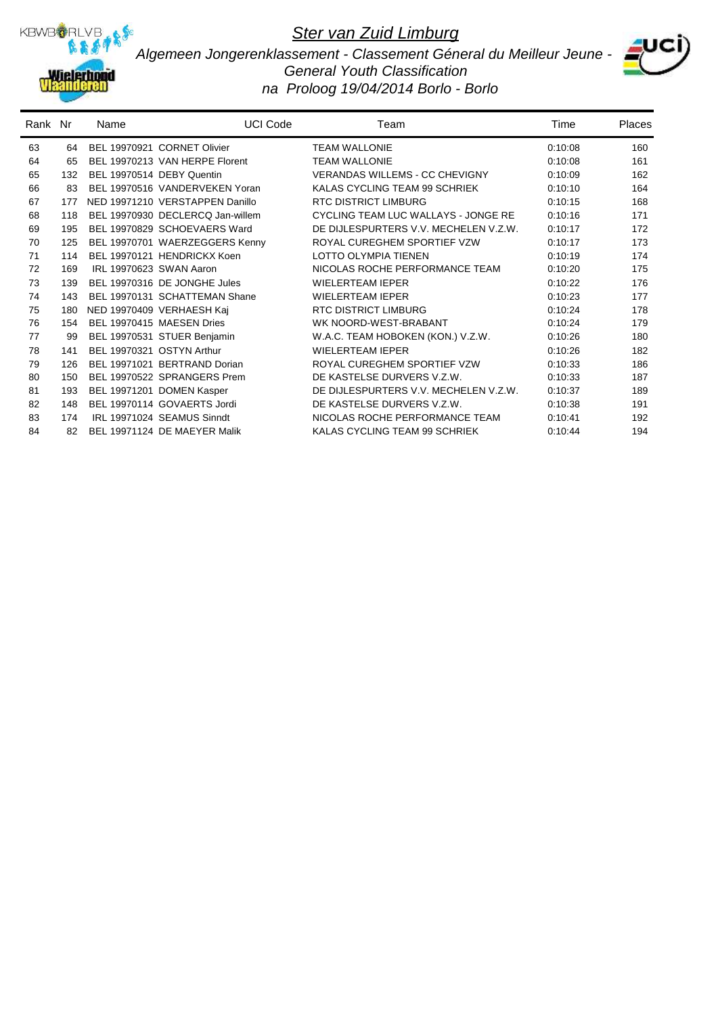

*Algemeen Jongerenklassement - Classement Géneral du Meilleur Jeune - General Youth Classification na Proloog 19/04/2014 Borlo - Borlo*



| Rank Nr |     | Name                      | <b>UCI Code</b>                  | Team                                  | Time    | <b>Places</b> |
|---------|-----|---------------------------|----------------------------------|---------------------------------------|---------|---------------|
| 63      | 64  |                           | BEL 19970921 CORNET Olivier      | <b>TEAM WALLONIE</b>                  | 0:10:08 | 160           |
| 64      | 65  |                           | BEL 19970213 VAN HERPE Florent   | <b>TEAM WALLONIE</b>                  | 0:10:08 | 161           |
| 65      | 132 | BEL 19970514 DEBY Quentin |                                  | <b>VERANDAS WILLEMS - CC CHEVIGNY</b> | 0:10:09 | 162           |
| 66      | 83  |                           | BEL 19970516 VANDERVEKEN Yoran   | KALAS CYCLING TEAM 99 SCHRIEK         | 0:10:10 | 164           |
| 67      | 177 |                           | NED 19971210 VERSTAPPEN Danillo  | <b>RTC DISTRICT LIMBURG</b>           | 0:10:15 | 168           |
| 68      | 118 |                           | BEL 19970930 DECLERCQ Jan-willem | CYCLING TEAM LUC WALLAYS - JONGE RE   | 0:10:16 | 171           |
| 69      | 195 |                           | BEL 19970829 SCHOEVAERS Ward     | DE DIJLESPURTERS V.V. MECHELEN V.Z.W. | 0:10:17 | 172           |
| 70      | 125 |                           | BEL 19970701 WAERZEGGERS Kenny   | ROYAL CUREGHEM SPORTIEF VZW           | 0:10:17 | 173           |
| 71      | 114 |                           | BEL 19970121 HENDRICKX Koen      | <b>LOTTO OLYMPIA TIENEN</b>           | 0:10:19 | 174           |
| 72      | 169 | IRL 19970623 SWAN Aaron   |                                  | NICOLAS ROCHE PERFORMANCE TEAM        | 0:10:20 | 175           |
| 73      | 139 |                           | BEL 19970316 DE JONGHE Jules     | <b>WIELERTEAM IEPER</b>               | 0:10:22 | 176           |
| 74      | 143 |                           | BEL 19970131 SCHATTEMAN Shane    | <b>WIELERTEAM IEPER</b>               | 0:10:23 | 177           |
| 75      | 180 |                           | NED 19970409 VERHAESH Kaj        | <b>RTC DISTRICT LIMBURG</b>           | 0:10:24 | 178           |
| 76      | 154 |                           | BEL 19970415 MAESEN Dries        | WK NOORD-WEST-BRABANT                 | 0:10:24 | 179           |
| 77      | 99  |                           | BEL 19970531 STUER Benjamin      | W.A.C. TEAM HOBOKEN (KON.) V.Z.W.     | 0:10:26 | 180           |
| 78      | 141 | BEL 19970321 OSTYN Arthur |                                  | <b>WIELERTEAM IEPER</b>               | 0:10:26 | 182           |
| 79      | 126 |                           | BEL 19971021 BERTRAND Dorian     | ROYAL CUREGHEM SPORTIEF VZW           | 0:10:33 | 186           |
| 80      | 150 |                           | BEL 19970522 SPRANGERS Prem      | DE KASTELSE DURVERS V.Z.W.            | 0:10:33 | 187           |
| 81      | 193 |                           | BEL 19971201 DOMEN Kasper        | DE DIJLESPURTERS V.V. MECHELEN V.Z.W. | 0:10:37 | 189           |
| 82      | 148 |                           | BEL 19970114 GOVAERTS Jordi      | DE KASTELSE DURVERS V.Z.W.            | 0:10:38 | 191           |
| 83      | 174 |                           | IRL 19971024 SEAMUS Sinndt       | NICOLAS ROCHE PERFORMANCE TEAM        | 0:10:41 | 192           |
| 84      | 82  |                           | BEL 19971124 DE MAEYER Malik     | KALAS CYCLING TEAM 99 SCHRIEK         | 0:10:44 | 194           |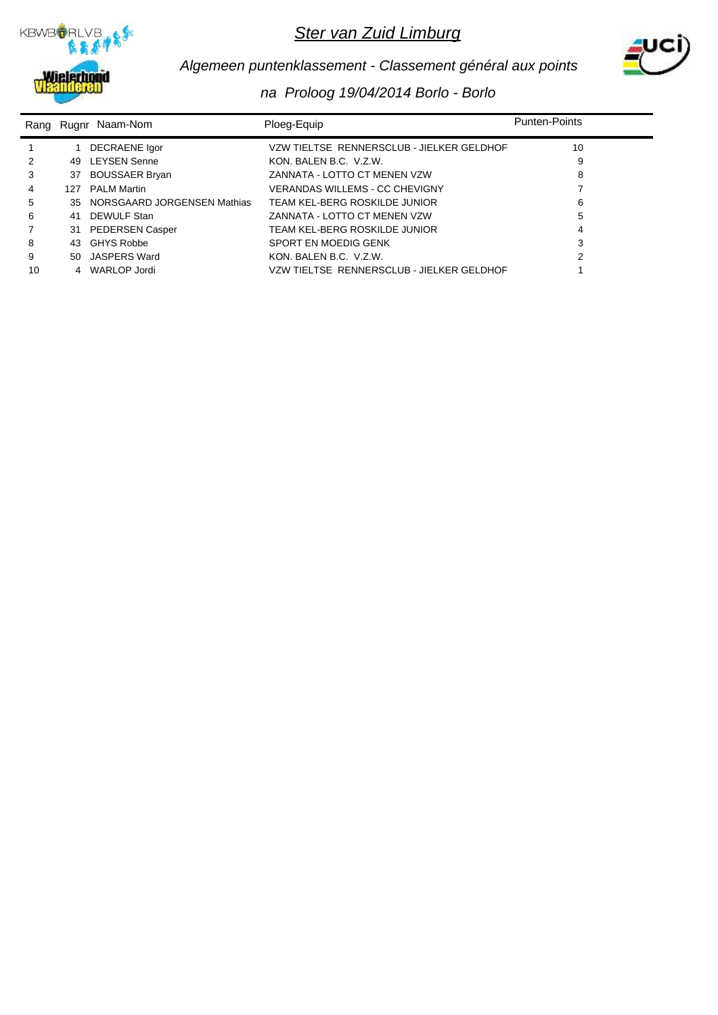



# *Algemeen puntenklassement - Classement général aux points*

|    |     | Rang Rugnr Naam-Nom         | Ploeg-Equip                               | <b>Punten-Points</b> |
|----|-----|-----------------------------|-------------------------------------------|----------------------|
|    |     | DECRAENE Igor               | VZW TIELTSE RENNERSCLUB - JIELKER GELDHOF | 10                   |
|    | 49  | <b>LEYSEN Senne</b>         | KON, BALEN B.C. V.Z.W.                    | 9                    |
| 3  | 37  | <b>BOUSSAER Bryan</b>       | ZANNATA - LOTTO CT MENEN VZW              | 8                    |
| 4  | 127 | <b>PALM Martin</b>          | VERANDAS WILLEMS - CC CHEVIGNY            |                      |
| 5  | 35  | NORSGAARD JORGENSEN Mathias | TEAM KEL-BERG ROSKILDE JUNIOR             | 6                    |
| 6  | 41  | <b>DEWULF Stan</b>          | ZANNATA - LOTTO CT MENEN VZW              | 5                    |
|    | 31  | <b>PEDERSEN Casper</b>      | TEAM KEL-BERG ROSKILDE JUNIOR             | 4                    |
| 8  | 43  | <b>GHYS Robbe</b>           | SPORT EN MOEDIG GENK                      | 3                    |
| 9  | 50  | JASPERS Ward                | KON, BALEN B.C. V.Z.W.                    |                      |
| 10 |     | 4 WARLOP Jordi              | VZW TIELTSE RENNERSCLUB - JIELKER GELDHOF |                      |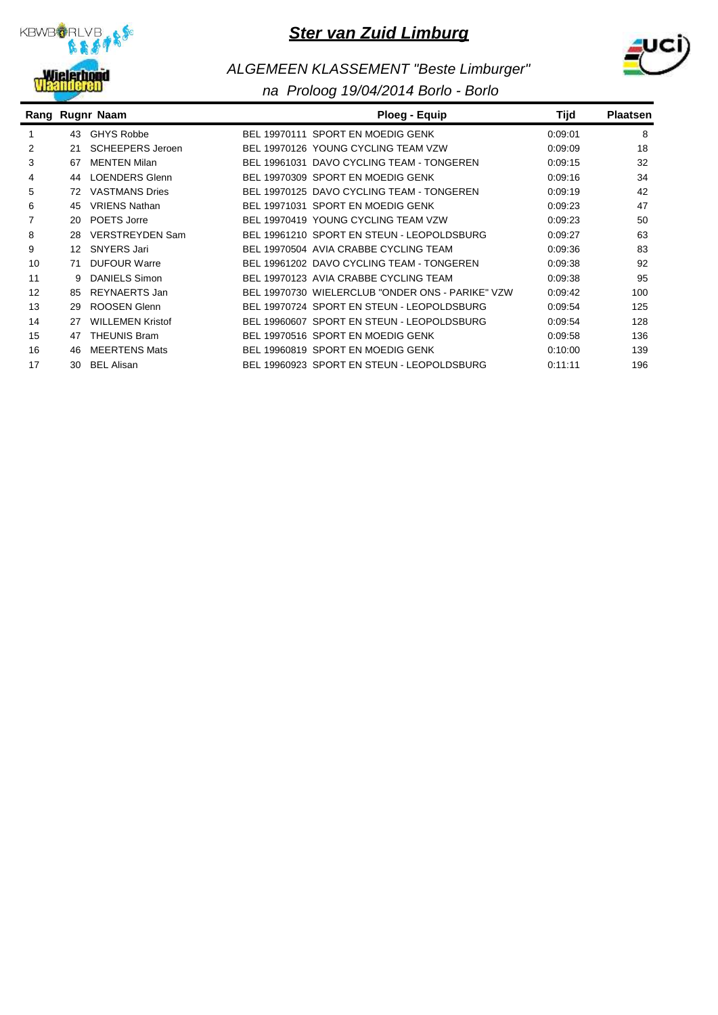



# *ALGEMEEN KLASSEMENT "Beste Limburger"*

|    |    | Rang Rugnr Naam         | Ploeg - Equip                                    | Tijd    | <b>Plaatsen</b> |
|----|----|-------------------------|--------------------------------------------------|---------|-----------------|
|    | 43 | <b>GHYS Robbe</b>       | BEL 19970111 SPORT EN MOEDIG GENK                | 0:09:01 | 8               |
| 2  | 21 | <b>SCHEEPERS Jeroen</b> | BEL 19970126 YOUNG CYCLING TEAM VZW              | 0:09:09 | 18              |
| 3  | 67 | <b>MENTEN Milan</b>     | BEL 19961031 DAVO CYCLING TEAM - TONGEREN        | 0:09:15 | 32              |
| 4  | 44 | LOENDERS Glenn          | BEL 19970309 SPORT EN MOEDIG GENK                | 0:09:16 | 34              |
| 5  | 72 | <b>VASTMANS Dries</b>   | BEL 19970125 DAVO CYCLING TEAM - TONGEREN        | 0:09:19 | 42              |
| 6  | 45 | <b>VRIENS Nathan</b>    | BEL 19971031 SPORT EN MOEDIG GENK                | 0:09:23 | 47              |
|    | 20 | POETS Jorre             | BEL 19970419 YOUNG CYCLING TEAM VZW              | 0:09:23 | 50              |
| 8  | 28 | <b>VERSTREYDEN Sam</b>  | BEL 19961210 SPORT EN STEUN - LEOPOLDSBURG       | 0:09:27 | 63              |
| 9  | 12 | <b>SNYERS Jari</b>      | BEL 19970504 AVIA CRABBE CYCLING TEAM            | 0:09:36 | 83              |
| 10 | 71 | <b>DUFOUR Warre</b>     | BEL 19961202 DAVO CYCLING TEAM - TONGEREN        | 0.09.38 | 92              |
| 11 | 9  | <b>DANIELS Simon</b>    | BEL 19970123 AVIA CRABBE CYCLING TEAM            | 0:09:38 | 95              |
| 12 | 85 | REYNAERTS Jan           | BEL 19970730 WIELERCLUB "ONDER ONS - PARIKE" VZW | 0:09:42 | 100             |
| 13 | 29 | ROOSEN Glenn            | BEL 19970724 SPORT EN STEUN - LEOPOLDSBURG       | 0.09.54 | 125             |
| 14 | 27 | <b>WILLEMEN Kristof</b> | BEL 19960607 SPORT EN STEUN - LEOPOLDSBURG       | 0.09.54 | 128             |
| 15 | 47 | <b>THEUNIS Bram</b>     | BEL 19970516 SPORT EN MOEDIG GENK                | 0.09:58 | 136             |
| 16 | 46 | <b>MEERTENS Mats</b>    | BEL 19960819 SPORT EN MOEDIG GENK                | 0:10:00 | 139             |
| 17 | 30 | <b>BEL Alisan</b>       | BEL 19960923 SPORT EN STEUN - LEOPOLDSBURG       | 0:11:11 | 196             |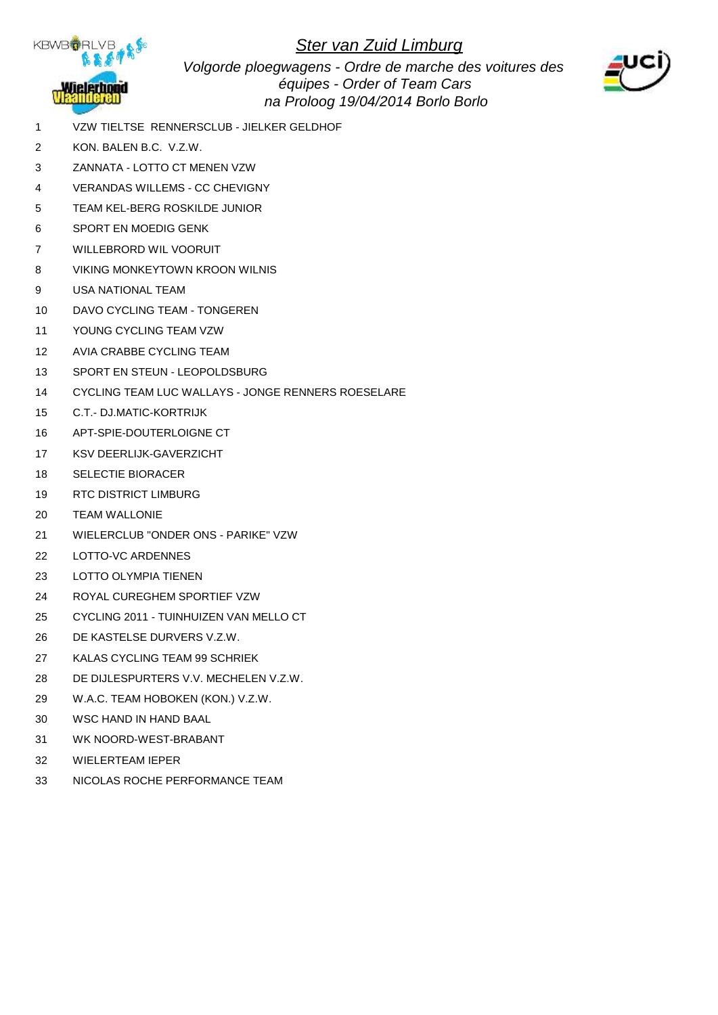

*Volgorde ploegwagens - Ordre de marche des voitures des équipes - Order of Team Cars na Proloog 19/04/2014 Borlo Borlo*



- 1 VZW TIELTSE RENNERSCLUB JIELKER GELDHOF
- 2 KON. BALEN B.C. V.Z.W.
- 3 ZANNATA LOTTO CT MENEN VZW
- 4 VERANDAS WILLEMS CC CHEVIGNY
- 5 TEAM KEL-BERG ROSKILDE JUNIOR
- 6 SPORT EN MOEDIG GENK
- 7 WILLEBRORD WIL VOORUIT
- 8 VIKING MONKEYTOWN KROON WILNIS
- 9 USA NATIONAL TEAM
- 10 DAVO CYCLING TEAM TONGEREN
- 11 YOUNG CYCLING TEAM VZW
- 12 AVIA CRABBE CYCLING TEAM
- 13 SPORT EN STEUN LEOPOLDSBURG
- 14 CYCLING TEAM LUC WALLAYS JONGE RENNERS ROESELARE
- 15 C.T.- DJ.MATIC-KORTRIJK
- 16 APT-SPIE-DOUTERLOIGNE CT
- 17 KSV DEERLIJK-GAVERZICHT
- 18 SELECTIE BIORACER
- 19 RTC DISTRICT LIMBURG
- 20 TEAM WALLONIE
- 21 WIELERCLUB "ONDER ONS PARIKE" VZW
- 22 LOTTO-VC ARDENNES
- 23 LOTTO OLYMPIA TIENEN
- 24 ROYAL CUREGHEM SPORTIEF VZW
- 25 CYCLING 2011 TUINHUIZEN VAN MELLO CT
- 26 DE KASTELSE DURVERS V.Z.W.
- 27 KALAS CYCLING TEAM 99 SCHRIEK
- 28 DE DIJLESPURTERS V.V. MECHELEN V.Z.W.
- 29 W.A.C. TEAM HOBOKEN (KON.) V.Z.W.
- 30 WSC HAND IN HAND BAAL
- 31 WK NOORD-WEST-BRABANT
- 32 WIELERTEAM IEPER
- 33 NICOLAS ROCHE PERFORMANCE TEAM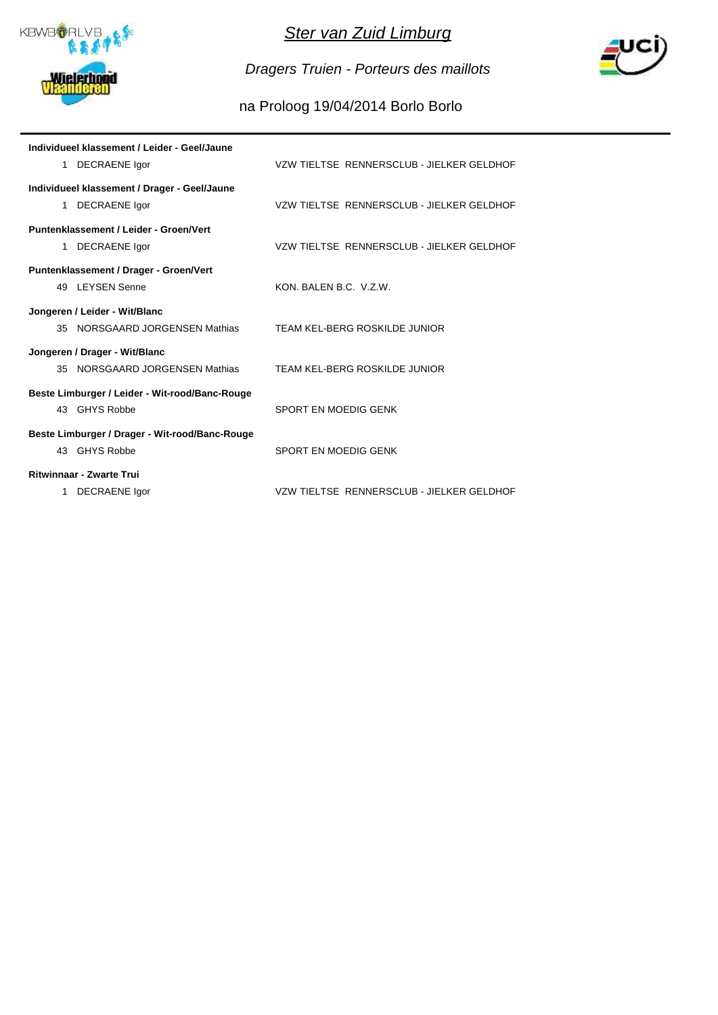

*Dragers Truien - Porteurs des maillots*



| Individueel klassement / Leider - Geel/Jaune   |                                           |
|------------------------------------------------|-------------------------------------------|
| 1 DECRAENE Igor                                | VZW TIELTSE RENNERSCLUB - JIELKER GELDHOF |
| Individueel klassement / Drager - Geel/Jaune   |                                           |
| 1 DECRAENE Igor                                | VZW TIELTSE RENNERSCLUB - JIELKER GELDHOF |
| Puntenklassement / Leider - Groen/Vert         |                                           |
| 1 DECRAENE Igor                                | VZW TIELTSE RENNERSCLUB - JIELKER GELDHOF |
| Puntenklassement / Drager - Groen/Vert         |                                           |
| 49 LEYSEN Senne                                | KON, BALEN B.C. V.Z.W.                    |
| Jongeren / Leider - Wit/Blanc                  |                                           |
| 35 NORSGAARD JORGENSEN Mathias                 | TEAM KEL-BERG ROSKILDE JUNIOR             |
| Jongeren / Drager - Wit/Blanc                  |                                           |
| 35 NORSGAARD JORGENSEN Mathias                 | TEAM KEL-BERG ROSKILDE JUNIOR             |
| Beste Limburger / Leider - Wit-rood/Banc-Rouge |                                           |
| 43 GHYS Robbe                                  | SPORT EN MOEDIG GENK                      |
| Beste Limburger / Drager - Wit-rood/Banc-Rouge |                                           |
| 43 GHYS Robbe                                  | SPORT EN MOEDIG GENK                      |
| <b>Ritwinnaar - Zwarte Trui</b>                |                                           |
| 1 DECRAENE Igor                                | VZW TIELTSE RENNERSCLUB - JIELKER GELDHOF |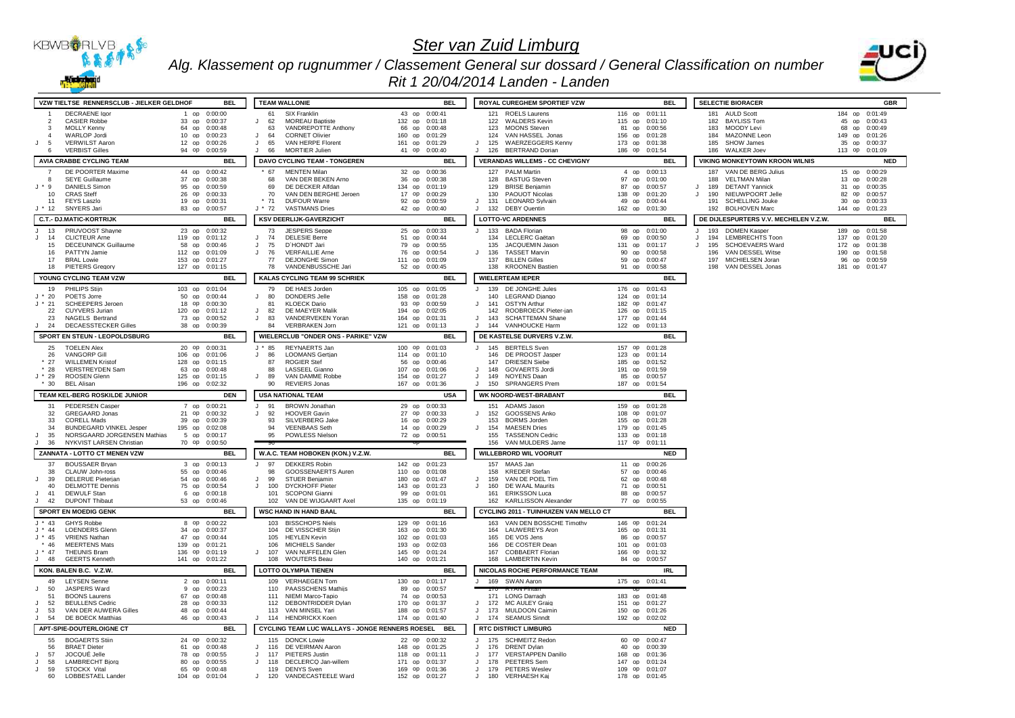

*Alg. Klassement op rugnummer / Classement General sur dossard / General Classification on number*



### *Rit 1 20/04/2014 Landen - Landen*

| VZW TIELTSE RENNERSCLUB - JIELKER GELDHOF                                                    | <b>BEL</b>                                       | <b>TEAM WALLONIE</b>                                                                   | <b>BEL</b>                                         | ROYAL CUREGHEM SPORTIEF VZW                                                   | <b>BEL</b>                                         | <b>SELECTIE BIORACER</b>                                     | <b>GBR</b>                       |
|----------------------------------------------------------------------------------------------|--------------------------------------------------|----------------------------------------------------------------------------------------|----------------------------------------------------|-------------------------------------------------------------------------------|----------------------------------------------------|--------------------------------------------------------------|----------------------------------|
| <b>DECRAENE</b> laor                                                                         | 1 op 0:00:00                                     | SIX Franklin<br>61                                                                     | 43 op 0:00:41                                      | 121 ROELS Laurens                                                             | 116 op 0:01:11                                     | 181 AULD Scott                                               | 184 op 0:01:49                   |
| <b>CASIER Robbe</b><br>$\mathcal{P}$<br>MOLLY Kennv<br>$\mathbf{3}$                          | 33 op 0:00:37<br>64 op 0:00:48                   | <b>MOREAU Baptiste</b><br>62<br>J.<br>63<br>VANDREPOTTE Anthony                        | 132 op 0:01:18<br>66 op 0:00:48                    | 122 WALDERS Kevin<br>123<br><b>MOONS Steven</b>                               | 115 op 0:01:10<br>81 op 0:00:56                    | 182 BAYLISS Tom<br>183 MOODY Levi                            | 45 op 0:00:43<br>68 op 0:00:49   |
| <b>WARLOP Jordi</b><br>$\overline{4}$                                                        | 10 op 0:00:23                                    | $\mathbf{J}$<br>64<br><b>CORNET Olivier</b>                                            | 160 op 0:01:29                                     | 124<br>VAN HASSEL Jonas                                                       | 156 op 0:01:28                                     | 184 MAZONNE Leon                                             | 149 op 0:01:26                   |
| J<br><b>VERWILST Aaron</b><br>- 5<br><b>VERBIST Gilles</b><br>-6                             | 12 op 0:00:26<br>94 op 0:00:59                   | VAN HERPE Florent<br>65<br>$\mathbf{J}$<br>$\mathbf{H}$<br><b>MORTIER Julien</b><br>66 | 161 op 0:01:29<br>41 op 0:00:40                    | 125<br><b>WAERZEGGERS Kennv</b><br>$\Box$<br>J<br>126 BERTRAND Dorian         | 173 op 0:01:38<br>186 op 0:01:54                   | 185 SHOW James<br>186 WALKER Joev                            | 35 op 0:00:37<br>113 op 0:01:09  |
| AVIA CRABBE CYCLING TEAM                                                                     | <b>BEL</b>                                       | DAVO CYCLING TEAM - TONGEREN                                                           | <b>BEL</b>                                         | <b>VERANDAS WILLEMS - CC CHEVIGNY</b>                                         | <b>BEL</b>                                         | <b>VIKING MONKEYTOWN KROON WILNIS</b>                        | <b>NED</b>                       |
| DE POORTER Maxime                                                                            | 44 op 0:00:42                                    | 67<br><b>MENTEN Milan</b>                                                              | 32 op 0:00:36                                      | 127 PALM Martin                                                               | 4 op 0:00:13                                       | 187<br>VAN DE BERG Julius                                    | 15 op 0:00:29                    |
| <b>SEYE Guillaume</b>                                                                        | 37 op<br>0:00:38                                 | VAN DER BEKEN Arno<br>68                                                               | 36 op 0:00:38                                      | 128 BASTUG Steven                                                             | 97 op 0:01:00                                      | 188 VELTMAN Milan                                            | 13 op 0:00:28                    |
| $J * 9$<br><b>DANIELS Simon</b><br><b>CRAS Steff</b><br>10                                   | 95 op 0:00:59<br>26 op 0:00:33                   | 69<br>DE DECKER Alfdan<br>VAN DEN BERGHE Jeroen<br>70                                  | 134 op 0:01:19<br>17 op 0:00:29                    | 129<br><b>BRISE Beniamin</b><br>$130 -$<br>PAQUOT Nicolas                     | 87 op 0:00:57<br>138 op 0:01:20                    | 189 DETANT Yannick<br>190 NIEUWPOORT Jelle<br>$\cdot$ .      | 31 op 0:00:35<br>82 op 0:00:57   |
| 11<br><b>FEYS Laszlo</b>                                                                     | 19 op 0:00:31                                    | $*71$<br><b>DUFOUR Warre</b>                                                           | 92 op 0:00:59                                      | <b>LEONARD Sylvain</b><br>131<br>$\cdot$                                      | 49 op 0:00:44                                      | 191<br><b>SCHELLING Jouke</b>                                | 30 op 0:00:33                    |
| $J * 12$<br><b>SNYERS Jari</b>                                                               | 83 op 0:00:57                                    | J * 72<br><b>VASTMANS Dries</b>                                                        | 42 op 0:00:40                                      | $\mathbf{H}$<br>132 DEBY Quentin                                              | 162 op 0:01:30                                     | 192 BOLHOVEN Marc                                            | 144 op 0:01:23                   |
| <b>C.T.- DJ.MATIC-KORTRIJK</b>                                                               | <b>BEL</b>                                       | <b>KSV DEERLIJK-GAVERZICHT</b>                                                         | <b>RFI</b>                                         | <b>LOTTO-VC ARDENNES</b>                                                      | <b>BEL</b>                                         | DE DIJLESPURTERS V.V. MECHELEN V.Z.W.                        | <b>BEL</b>                       |
| 13<br>PRUVOOST Shayne<br>$\cdot$<br>J<br>14<br><b>CLICTEUR Ame</b>                           | 23 op 0:00:32<br>119 op 0:01:12                  | 73<br><b>JESPERS Seppe</b><br>$\mathbf{J}$<br><b>DELESIE Berre</b><br>74               | 25 op 0:00:33<br>51 op 0:00:44                     | J<br>133<br><b>BADA Florian</b><br>134 LECLERC Gaëtan                         | 98 op 0:01:00<br>69 op 0:00:50                     | 193<br><b>DOMEN Kasper</b><br>194 LEMBRECHTS Toon<br>$\cdot$ | 189 op 0:01:58<br>137 op 0:01:20 |
| <b>DECEUNINCK Guillaume</b><br>15                                                            | 58 OD 0:00:46                                    | D'HONDT Jari<br>75<br>$\mathbf{J}$                                                     | 79 OD 0:00:55                                      | 135<br>JACQUEMIN Jason                                                        | 131 op 0:01:17                                     | 195 SCHOEVAERS Ward<br>$\cdot$                               | 172 op 0:01:38                   |
| 16<br>PATTYN Jamie<br>17                                                                     | 112 op 0:01:09                                   | $\mathsf{J}$<br>76<br><b>VERFAILLIE Arne</b><br><b>DEJONGHE Simon</b>                  | 76 op 0:00:54<br>111 op 0:01:09                    | <b>TASSET Marvin</b><br>J<br>136<br>137<br><b>BILLEN Gilles</b>               | 90 op 0:00:58<br>59 op 0:00:47                     | 196 VAN DESSEL Witse<br>197 MICHIELSEN Joran                 | 190 op 0:01:58<br>96 op 0:00:59  |
| <b>BRAL Lowie</b><br>18<br><b>PIETERS Gregory</b>                                            | 153 op 0:01:27<br>127 op 0:01:15                 | 77<br>78<br>VANDENBUSSCHE Jari                                                         | 52 op 0:00:45                                      | 138 KROONEN Bastien                                                           | 91 op 0:00:58                                      | 198 VAN DESSEL Jonas                                         | 181 op 0:01:47                   |
| YOUNG CYCLING TEAM VZW                                                                       | <b>BEL</b>                                       | KALAS CYCLING TEAM 99 SCHRIEK                                                          | <b>BEL</b>                                         | <b>WIELERTEAM IEPER</b>                                                       | <b>BEL</b>                                         |                                                              |                                  |
| PHILIPS Stiin<br>19                                                                          | 103 op 0:01:04                                   | DE HAES Jorden<br>79                                                                   | 105 op 0:01:05                                     | 139<br>DE JONGHE Jules<br>J                                                   | 176 op 0:01:43                                     |                                                              |                                  |
| POETS Jorre<br>$J * 20$<br><b>SCHEEPERS Jeroen</b><br>$J * 21$                               | 50 op 0:00:44<br>18 op 0:00:30                   | DONDERS Jelle<br>J.<br>-80<br><b>KLOECK Dario</b><br>81                                | 158 op 0:01:28<br>93 op 0:00:59                    | LEGRAND Diango<br>140<br>141 OSTYN Arthur<br>$\cdot$                          | 124 op 0:01:14<br>182 op 0:01:47                   |                                                              |                                  |
| 22<br>CUYVERS Jurian                                                                         | 120 op 0:01:12                                   | $\mathbf{J}$<br>82<br>DE MAEYER Malik                                                  | 194 op 0:02:05                                     | 142<br>ROOBROECK Pieter-ian                                                   | 126 op 0:01:15                                     |                                                              |                                  |
| 23<br>NAGELS Bertrand<br>$\cdot$<br>24                                                       | 73 op 0:00:52                                    | VANDERVEKEN Yoran<br>83<br>$\mathbf{J}$<br>84                                          | 164 op 0:01:31                                     | 143<br><b>SCHATTEMAN Shane</b><br>$\Box$<br>$\Box$                            | 177 op 0:01:44                                     |                                                              |                                  |
| <b>DECAESSTECKER Gilles</b><br>SPORT EN STEUN - LEOPOLDSBURG                                 | 38 op 0:00:39<br><b>BEL</b>                      | <b>VERBRAKEN Jorn</b><br>WIELERCLUB "ONDER ONS - PARIKE" VZW                           | 121 op 0:01:13<br><b>BEL</b>                       | 144 VANHOUCKE Harm<br>DE KASTELSE DURVERS V.Z.W.                              | 122 op 0:01:13<br><b>BEL</b>                       |                                                              |                                  |
| 25<br><b>TOELEN Alex</b>                                                                     | 20 op 0:00:31                                    | REYNAERTS Jan<br>$J * 85$                                                              | 100 op 0:01:03                                     | 145 BERTELS Sven<br>$\mathbf{J}$                                              | 157 op 0:01:28                                     |                                                              |                                  |
| <b>VANGORP Gill</b><br>26                                                                    | 106 op 0:01:06                                   | <b>LOOMANS Gertian</b><br>$\mathbf{J}$<br>86                                           | 114 op 0:01:10                                     | 146 DE PROOST Jasper                                                          | 123 op 0:01:14                                     |                                                              |                                  |
| <b>WILLEMEN Kristof</b><br>$*27$                                                             | 128 op 0:01:15                                   | <b>ROGIER Stef</b><br>87                                                               | 56 op 0:00:46                                      | 147 DRIESEN Siebe                                                             | 185 op 0:01:52                                     |                                                              |                                  |
| 28<br><b>VERSTREYDEN Sam</b><br>$J * 29$<br>ROOSEN Glenn                                     | 63 op 0:00:48<br>125 op 0:01:15                  | 88<br>LASSEEL Gianno<br>89<br>VAN DAMME Robbe<br>$\mathbf{J}$                          | 107 op 0:01:06<br>154 op 0:01:27                   | 148<br><b>GOVAERTS Jordi</b><br>$\mathbf{J}$<br>NOYENS Daan<br>$\cdot$<br>149 | 191 op 0:01:59<br>85 op 0:00:57                    |                                                              |                                  |
| <b>BEL Alisan</b><br>$*30$                                                                   | 196 op 0:02:32                                   | 90<br>REVIERS Jonas                                                                    | 167 op 0:01:36                                     | $\Box$<br>150<br><b>SPRANGERS Prem</b>                                        | 187 op 0:01:54                                     |                                                              |                                  |
|                                                                                              |                                                  |                                                                                        |                                                    |                                                                               |                                                    |                                                              |                                  |
| TEAM KEL-BERG ROSKILDE JUNIOR                                                                | <b>DEN</b>                                       | <b>USA NATIONAL TEAM</b>                                                               | <b>USA</b>                                         | WK NOORD-WEST-BRABANT                                                         | <b>BEL</b>                                         |                                                              |                                  |
| PEDERSEN Casper<br>31                                                                        | 7 op 0:00:21                                     | 91<br><b>BROWN Jonathan</b><br>J                                                       | 29 op 0:00:33                                      | 151 ADAMS Jason                                                               | 159 op 0:01:28                                     |                                                              |                                  |
| <b>GREGAARD Jonas</b><br>32<br>33<br><b>CORELL Mads</b>                                      | 21 op 0:00:32<br>39 op 0:00:39                   | 92<br><b>HOOVER Gavin</b><br>J.<br>93<br>SILVERBERG Jake                               | 27 op 0:00:33<br>16 op 0:00:29                     | 152 GOOSSENS Anko<br>J<br>153 BORMS Jorden                                    | 108 op 0:01:07<br>155 op 0:01:28                   |                                                              |                                  |
| 34<br><b>BUNDEGARD VINKEL Jesper</b>                                                         | 195 op 0:02:08                                   | 94<br><b>VEENBAAS Seth</b>                                                             | 14 op 0:00:29                                      | 154 MAESEN Dries<br>$\mathbf{J}$                                              | 179 op 0:01:45                                     |                                                              |                                  |
| J<br>35<br>NORSGAARD JORGENSEN Mathias<br>36<br>$\cdot$                                      | 5 op 0:00:17<br>70 OD 0:00:50                    | 95<br>POWLESS Nielson                                                                  | 72 op 0:00:51                                      | 155<br><b>TASSENON Cedric</b>                                                 | 133 op 0:01:18                                     |                                                              |                                  |
| NYKVIST LARSEN Christian                                                                     | <b>BEL</b>                                       |                                                                                        | <b>BEL</b>                                         | VAN MULDERS Jarne<br>156                                                      | 117 op 0:01:11<br><b>NED</b>                       |                                                              |                                  |
| ZANNATA - LOTTO CT MENEN VZW<br>37<br><b>BOUSSAER Brvan</b>                                  | 3 op 0:00:13                                     | W.A.C. TEAM HOBOKEN (KON.) V.Z.W.<br><b>DEKKERS Robin</b><br>97<br>J                   | 142 op 0:01:23                                     | <b>WILLEBRORD WIL VOORUIT</b><br>157 MAAS Jan                                 | 11 op 0:00:26                                      |                                                              |                                  |
| 38<br>CLAUW John-ross                                                                        | 55 op 0:00:46                                    | 98<br>GOOSSENAERTS Auren                                                               | 110 op 0:01:08                                     | <b>KREDER Stefan</b><br>158                                                   | 57 op 0:00:46                                      |                                                              |                                  |
| 39<br><b>DELERUE Pieterian</b><br>$\cdot$<br>40                                              | 0:00:46<br>54 op                                 | 99<br><b>STUER Beniamin</b><br>$\mathbf{J}$<br>100<br><b>DYCKHOFF Pieter</b>           | 180 op 0:01:47                                     | 159<br>VAN DE POEL Tim<br>$\mathbf{J}$                                        | 62 op 0:00:48                                      |                                                              |                                  |
| <b>DELMOTTE Dennis</b><br>41<br>J<br>DEWULF Stan                                             | 75 op 0:00:54<br>6 op 0:00:18                    | SCOPONI Gianni<br>101                                                                  | 143 op 0:01:23<br>99 op 0:01:01                    | 160<br>DE WAAL Maurits<br>161<br><b>ERIKSSON Luca</b>                         | 71 op 0:00:51<br>88 op 0:00:57                     |                                                              |                                  |
| 42<br><b>DUPONT Thibaut</b>                                                                  | 53 op 0:00:46                                    | 102 VAN DE WIJGAART Axel                                                               | 135 op 0:01:19                                     | <b>KARLLISSON Alexander</b><br>162                                            | 77 op 0:00:55                                      |                                                              |                                  |
| <b>SPORT EN MOEDIG GENK</b>                                                                  | <b>BEL</b>                                       | <b>WSC HAND IN HAND BAAL</b>                                                           | <b>BEL</b>                                         | CYCLING 2011 - TUINHUIZEN VAN MELLO CT                                        | <b>BEL</b>                                         |                                                              |                                  |
| <b>GHYS Robbe</b><br>$J * 43$<br>$J * 44$                                                    | 8 op 0:00:22                                     | 103 BISSCHOPS Niels                                                                    | 129 op 0:01:16                                     | VAN DEN BOSSCHE Timothy<br>163                                                | 146 op 0:01:24                                     |                                                              |                                  |
| <b>LOENDERS Glenn</b><br>$J * 45$<br><b>VRIENS Nathan</b>                                    | 34 op 0:00:37<br>47 op 0:00:44                   | 104 DE VISSCHER Stiin<br>105 HEYLEN Kevin                                              | 163 op 0:01:30<br>102 op 0:01:03                   | 164<br><b>LAUWEREYS Aron</b><br>165 DE VOS Jens                               | 165 op 0:01:31<br>86 op 0:00:57                    |                                                              |                                  |
| $*46$<br><b>MEERTENS Mats</b>                                                                | 139 op 0:01:21                                   | 106 MICHIELS Sander                                                                    | 193 op 0:02:03                                     | 166<br>DE COSTER Dean                                                         | 101 op 0:01:03                                     |                                                              |                                  |
| $J * 47$<br><b>THEUNIS Bram</b><br>$J$ 48<br><b>GEERTS Kenneth</b>                           | 136 op 0:01:19<br>141 op 0:01:22                 | J<br>107 VAN NUFFELEN Glen<br>108 WOUTERS Beau                                         | 145 op 0:01:24<br>140 op 0:01:21                   | 167<br><b>COBBAERT Florian</b><br>168<br><b>LAMBERTIN Kevin</b>               | 166 op 0:01:32<br>84 op 0:00:57                    |                                                              |                                  |
| KON, BALEN B.C. V.Z.W.                                                                       | <b>BEL</b>                                       | <b>LOTTO OLYMPIA TIENEN</b>                                                            | <b>BEL</b>                                         | <b>NICOLAS ROCHE PERFORMANCE TEAM</b>                                         | <b>IRL</b>                                         |                                                              |                                  |
| <b>LEYSEN Senne</b><br>49                                                                    | 2 op 0:00:11                                     | 109 VERHAEGEN Tom                                                                      | 130 op 0:01:17                                     | 169 SWAN Aaron                                                                | 175 op 0:01:41                                     |                                                              |                                  |
| J<br>50<br>JASPERS Ward<br><b>BOONS Laurens</b><br>51                                        | 9 OD<br>0:00:23<br>67 OD 0:00:48                 | 110 PAASSCHENS Mathiis<br>111 NIEMI Marco-Tapio                                        | 89 OD 0:00:57<br>74 op 0:00:53                     | 171 LONG Darragh                                                              | 183 op 0:01:48                                     |                                                              |                                  |
| J<br>52<br><b>BEULLENS Cedric</b>                                                            | 28 op 0:00:33                                    | 112 DEBONTRIDDER Dvlan                                                                 | 170 op 0:01:37                                     | $\mathbf{J}$<br>172 MC AULEY Graid                                            | 151 op 0:01:27                                     |                                                              |                                  |
| VAN DER AUWERA Gilles<br>J<br>53                                                             | 48 op 0:00:44                                    | 113 VAN MINSEL Yari                                                                    | 188 op 0:01:57                                     | $\Box$<br>173<br>MULDOON Caimin                                               | 150 op 0:01:26                                     |                                                              |                                  |
| $\mathbf{J}$<br>DE BOECK Matthias<br>54                                                      | 46 op 0:00:43                                    | J 114 HENDRICKX Koen                                                                   | 174 op 0:01:40                                     | J 174 SEAMUS Sinndt                                                           | 192 op 0:02:02                                     |                                                              |                                  |
| APT-SPIE-DOUTERLOIGNE CT                                                                     | <b>BEL</b>                                       | CYCLING TEAM LUC WALLAYS - JONGE RENNERS ROESEL BEL                                    |                                                    | <b>RTC DISTRICT LIMBURG</b><br>$\mathbf{J}$                                   | <b>NED</b>                                         |                                                              |                                  |
| <b>BOGAERTS Stiin</b><br>55<br><b>BRAET Dieter</b><br>56                                     | 24 op 0:00:32<br>61 op 0:00:48                   | 115 DONCK Lowie<br>J 116 DE VEIRMAN Aaron                                              | 22 op 0:00:32<br>148 op 0:01:25                    | 175 SCHMEITZ Redon<br>176 DRENT Dvlan<br>$\mathbf{J}$                         | 60 op 0:00:47<br>40 op 0:00:39                     |                                                              |                                  |
| 57<br>JOCQUÉ Jelle<br>J                                                                      | 78 op 0:00:55                                    | J 117 PIETERS Justin                                                                   | 118 op 0:01:11                                     | 177<br>VERSTAPPEN Danillo                                                     | 168 op 0:01:36                                     |                                                              |                                  |
| 58<br><b>LAMBRECHT Biora</b><br>J<br>$\mathsf{J}$<br>59<br>STOCKX Vital<br>LOBBESTAEL Lander | 80 op 0:00:55<br>65 op 0:00:48<br>104 op 0:01:04 | 118 DECLERCQ Jan-willem<br>J.<br>119 DENYS Sven<br>J 120 VANDECASTEELE Ward            | 171 op 0:01:37<br>169 op 0:01:36<br>152 op 0:01:27 | J 178 PEETERS Sem<br>J 179 PETERS Wesley<br>J 180 VERHAESH Kaj                | 147 op 0:01:24<br>109 op 0:01:07<br>178 op 0:01:45 |                                                              |                                  |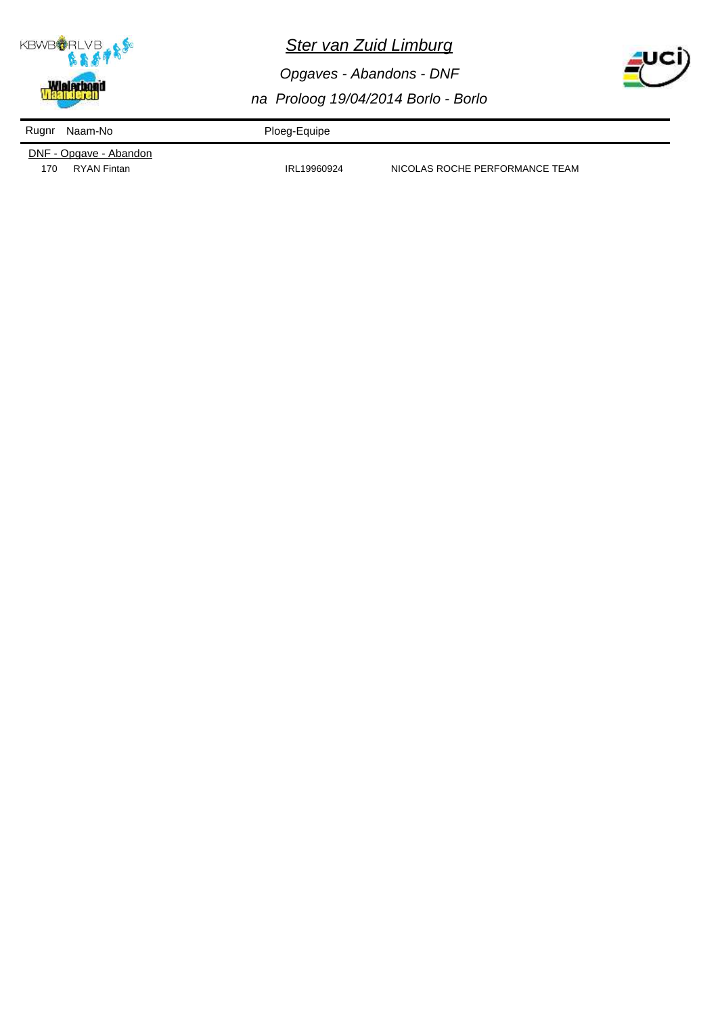

*Opgaves - Abandons - DNF na Proloog 19/04/2014 Borlo - Borlo*



Rugnr Naam-No **Ploeg-Equipe** 

DNF - Opgave - Abandon

170 RYAN Fintan **IRL19960924** NICOLAS ROCHE PERFORMANCE TEAM